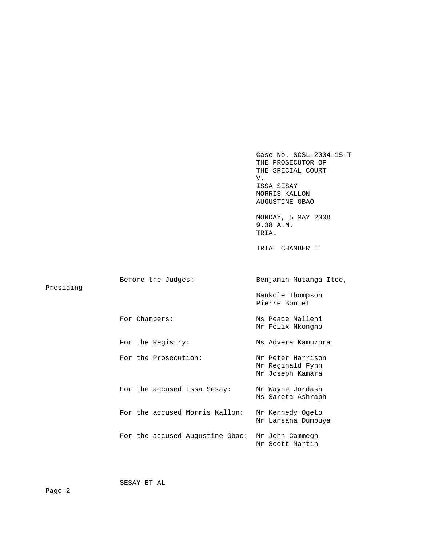Case No. SCSL-2004-15-T THE PROSECUTOR OF THE SPECIAL COURT V. ISSA SESAY MORRIS KALLON AUGUSTINE GBAO MONDAY, 5 MAY 2008 9.38 A.M. TRIAL TRIAL CHAMBER I Before the Judges: Benjamin Mutanga Itoe, Presiding Bankole Thompson Pierre Boutet For Chambers: Ms Peace Malleni Mr Felix Nkongho For the Registry: Ms Advera Kamuzora For the Prosecution: Mr Peter Harrison Mr Reginald Fynn Mr Joseph Kamara For the accused Issa Sesay: Mr Wayne Jordash Ms Sareta Ashraph For the accused Morris Kallon: Mr Kennedy Ogeto Mr Lansana Dumbuya For the accused Augustine Gbao: Mr John Cammegh Mr Scott Martin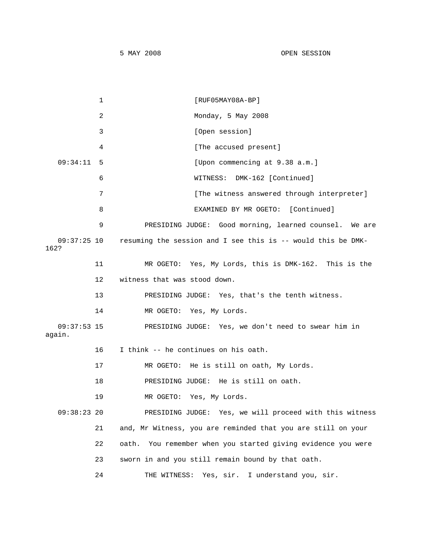|                         | $\mathbf{1}$ | $[RUF05MAY08A-BP]$                                              |
|-------------------------|--------------|-----------------------------------------------------------------|
|                         | 2            | Monday, 5 May 2008                                              |
|                         | 3            | [Open session]                                                  |
|                         | 4            | [The accused present]                                           |
| 09:34:11                | 5            | [Upon commencing at 9.38 a.m.]                                  |
|                         | 6            | WITNESS: DMK-162 [Continued]                                    |
|                         | 7            | [The witness answered through interpreter]                      |
|                         | 8            | EXAMINED BY MR OGETO: [Continued]                               |
|                         | 9            | PRESIDING JUDGE: Good morning, learned counsel. We are          |
| $09:37:25$ 10<br>162?   |              | resuming the session and I see this is -- would this be DMK-    |
|                         | 11           | MR OGETO: Yes, My Lords, this is DMK-162. This is the           |
|                         | 12           | witness that was stood down.                                    |
|                         | 13           | PRESIDING JUDGE: Yes, that's the tenth witness.                 |
|                         | 14           | MR OGETO: Yes, My Lords.                                        |
| $09:37:53$ 15<br>again. |              | PRESIDING JUDGE: Yes, we don't need to swear him in             |
|                         | 16           | I think -- he continues on his oath.                            |
|                         | 17           | MR OGETO: He is still on oath, My Lords.                        |
|                         | 18           | PRESIDING JUDGE: He is still on oath.                           |
|                         | 19           | MR OGETO: Yes, My Lords.                                        |
| $09:38:23$ 20           |              | PRESIDING JUDGE: Yes, we will proceed with this witness         |
|                         | 21           | and, Mr Witness, you are reminded that you are still on your    |
|                         | 22           | You remember when you started giving evidence you were<br>oath. |
|                         | 23           | sworn in and you still remain bound by that oath.               |
|                         | 24           | I understand you, sir.<br>Yes, sir.<br>THE WITNESS:             |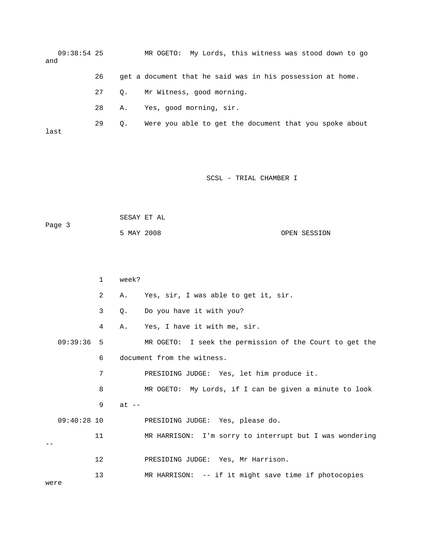09:38:54 25 MR OGETO: My Lords, this witness was stood down to go and 26 get a document that he said was in his possession at home. 27 Q. Mr Witness, good morning. 28 A. Yes, good morning, sir. 29 Q. Were you able to get the document that you spoke about last

## SCSL - TRIAL CHAMBER I

| Page 3 | SESAY ET AL |  |              |
|--------|-------------|--|--------------|
|        | 5 MAY 2008  |  | OPEN SESSION |

|               | $\mathbf 1$ | week?   |                                                         |
|---------------|-------------|---------|---------------------------------------------------------|
|               | 2           | Α.      | Yes, sir, I was able to get it, sir.                    |
|               | 3           | Q.      | Do you have it with you?                                |
|               | 4           | Α.      | Yes, I have it with me, sir.                            |
| 09:39:36      | -5          |         | MR OGETO: I seek the permission of the Court to get the |
|               | 6           |         | document from the witness.                              |
|               | 7           |         | PRESIDING JUDGE: Yes, let him produce it.               |
|               | 8           |         | MR OGETO: My Lords, if I can be given a minute to look  |
|               | 9           | $at --$ |                                                         |
| $09:40:28$ 10 |             |         | PRESIDING JUDGE: Yes, please do.                        |
|               | 11          |         | MR HARRISON: I'm sorry to interrupt but I was wondering |
|               |             |         |                                                         |
|               | 12          |         | PRESIDING JUDGE: Yes, Mr Harrison.                      |
|               | 13          |         | MR HARRISON: -- if it might save time if photocopies    |

were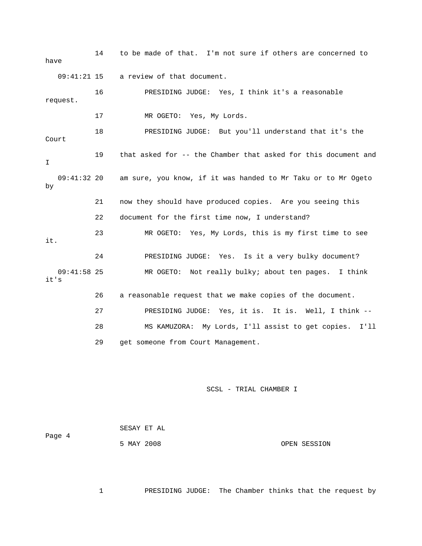14 to be made of that. I'm not sure if others are concerned to have 09:41:21 15 a review of that document. 16 PRESIDING JUDGE: Yes, I think it's a reasonable request. 17 MR OGETO: Yes, My Lords. 18 PRESIDING JUDGE: But you'll understand that it's the Court 19 that asked for -- the Chamber that asked for this document and  $\mathsf{T}$  09:41:32 20 am sure, you know, if it was handed to Mr Taku or to Mr Ogeto by 21 now they should have produced copies. Are you seeing this 22 document for the first time now, I understand? 23 MR OGETO: Yes, My Lords, this is my first time to see it. 24 PRESIDING JUDGE: Yes. Is it a very bulky document? 09:41:58 25 MR OGETO: Not really bulky; about ten pages. I think it's 26 a reasonable request that we make copies of the document. 27 PRESIDING JUDGE: Yes, it is. It is. Well, I think -- 28 MS KAMUZORA: My Lords, I'll assist to get copies. I'll 29 get someone from Court Management.

SCSL - TRIAL CHAMBER I

 SESAY ET AL Page 4 5 MAY 2008 OPEN SESSION

1 PRESIDING JUDGE: The Chamber thinks that the request by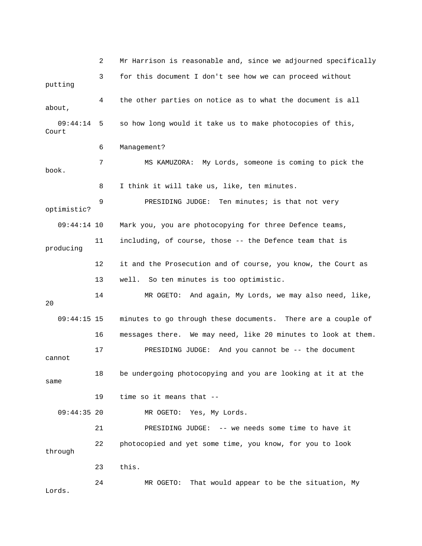2 Mr Harrison is reasonable and, since we adjourned specifically 3 for this document I don't see how we can proceed without putting 4 the other parties on notice as to what the document is all about, 09:44:14 5 so how long would it take us to make photocopies of this, Court 6 Management? 7 MS KAMUZORA: My Lords, someone is coming to pick the book. 8 I think it will take us, like, ten minutes. 9 PRESIDING JUDGE: Ten minutes; is that not very optimistic? 09:44:14 10 Mark you, you are photocopying for three Defence teams, 11 including, of course, those -- the Defence team that is producing 12 it and the Prosecution and of course, you know, the Court as 13 well. So ten minutes is too optimistic. 14 MR OGETO: And again, My Lords, we may also need, like, 20 09:44:15 15 minutes to go through these documents. There are a couple of 16 messages there. We may need, like 20 minutes to look at them. 17 PRESIDING JUDGE: And you cannot be -- the document cannot 18 be undergoing photocopying and you are looking at it at the same 19 time so it means that -- 09:44:35 20 MR OGETO: Yes, My Lords. 21 PRESIDING JUDGE: -- we needs some time to have it 22 photocopied and yet some time, you know, for you to look through 23 this. 24 MR OGETO: That would appear to be the situation, My Lords.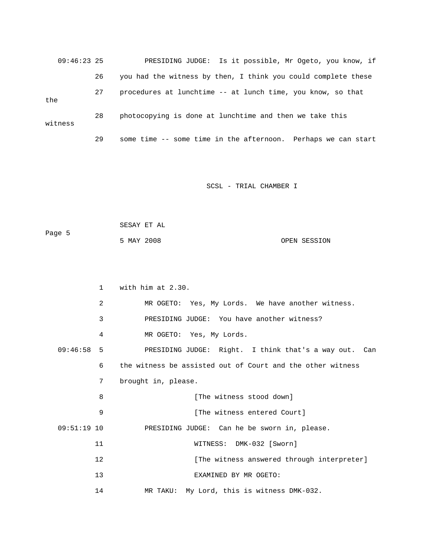|     | $09:46:23$ 25 |    | PRESIDING JUDGE: Is it possible, Mr Ogeto, you know, if       |
|-----|---------------|----|---------------------------------------------------------------|
|     |               | 26 | you had the witness by then, I think you could complete these |
| the |               | 27 | procedures at lunchtime -- at lunch time, you know, so that   |
|     | witness       | 28 | photocopying is done at lunchtime and then we take this       |
|     |               | 29 | some time -- some time in the afternoon. Perhaps we can start |

| Page 5 | SESAY ET AL |  |              |
|--------|-------------|--|--------------|
|        | 5 MAY 2008  |  | OPEN SESSION |

|               | $\mathbf{1}$   | with him at $2.30$ .                                       |
|---------------|----------------|------------------------------------------------------------|
|               | $\overline{2}$ | MR OGETO: Yes, My Lords. We have another witness.          |
|               | 3              | PRESIDING JUDGE: You have another witness?                 |
|               | 4              | MR OGETO: Yes, My Lords.                                   |
| 09:46:58      | $5 -$          | PRESIDING JUDGE: Right. I think that's a way out. Can      |
|               | 6              | the witness be assisted out of Court and the other witness |
|               | 7              | brought in, please.                                        |
|               | 8              | [The witness stood down]                                   |
|               | 9              | [The witness entered Court]                                |
| $09:51:19$ 10 |                | PRESIDING JUDGE: Can he be sworn in, please.               |
|               | 11             | WITNESS: DMK-032 [Sworn]                                   |
|               | 12             | [The witness answered through interpreter]                 |
|               | 13             | EXAMINED BY MR OGETO:                                      |
|               | 14             | MR TAKU: My Lord, this is witness DMK-032.                 |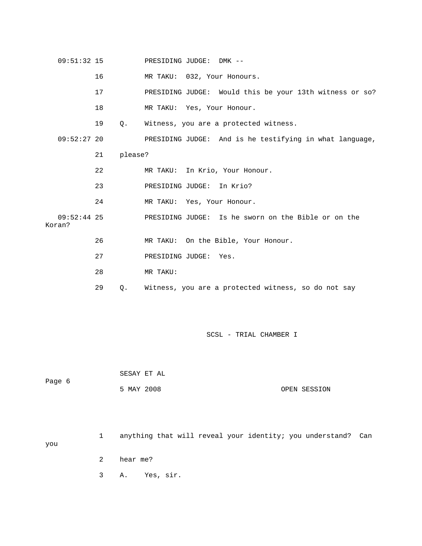| $09:51:32$ 15           |    |         | PRESIDING JUDGE: DMK --                                 |
|-------------------------|----|---------|---------------------------------------------------------|
|                         | 16 |         | MR TAKU: 032, Your Honours.                             |
|                         | 17 |         | PRESIDING JUDGE: Would this be your 13th witness or so? |
|                         | 18 |         | MR TAKU: Yes, Your Honour.                              |
|                         | 19 | Q.      | Witness, you are a protected witness.                   |
| $09:52:27$ 20           |    |         | PRESIDING JUDGE: And is he testifying in what language, |
|                         | 21 | please? |                                                         |
|                         | 22 |         | MR TAKU: In Krio, Your Honour.                          |
|                         | 23 |         | PRESIDING JUDGE: In Krio?                               |
|                         | 24 |         | MR TAKU: Yes, Your Honour.                              |
| $09:52:44$ 25<br>Koran? |    |         | PRESIDING JUDGE: Is he sworn on the Bible or on the     |
|                         | 26 |         | MR TAKU: On the Bible, Your Honour.                     |
|                         | 27 |         | PRESIDING JUDGE: Yes.                                   |
|                         | 28 |         | MR TAKU:                                                |
|                         | 29 | Q.      | Witness, you are a protected witness, so do not say     |

 SESAY ET AL Page 6 5 MAY 2008 OPEN SESSION

 1 anything that will reveal your identity; you understand? Can you 2 hear me? 3 A. Yes, sir.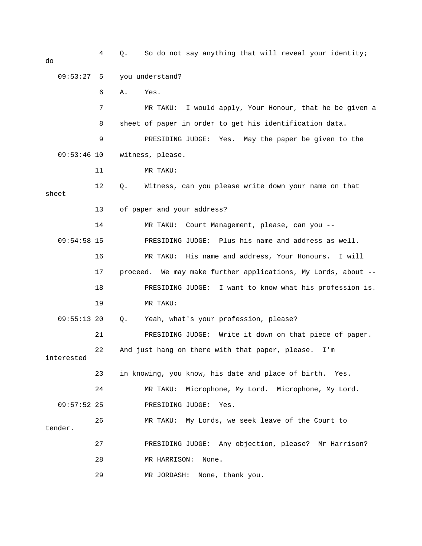| do            | 4  | So do not say anything that will reveal your identity;<br>Q.  |
|---------------|----|---------------------------------------------------------------|
| 09:53:27      | 5  | you understand?                                               |
|               | 6  | Α.<br>Yes.                                                    |
|               | 7  | MR TAKU:<br>I would apply, Your Honour, that he be given a    |
|               | 8  | sheet of paper in order to get his identification data.       |
|               | 9  | Yes. May the paper be given to the<br>PRESIDING JUDGE:        |
| $09:53:46$ 10 |    | witness, please.                                              |
|               | 11 | MR TAKU:                                                      |
| sheet         | 12 | Witness, can you please write down your name on that<br>Q.    |
|               | 13 | of paper and your address?                                    |
|               | 14 | Court Management, please, can you --<br>MR TAKU:              |
| $09:54:58$ 15 |    | PRESIDING JUDGE: Plus his name and address as well.           |
|               | 16 | MR TAKU: His name and address, Your Honours.<br>I will        |
|               | 17 | proceed. We may make further applications, My Lords, about -- |
|               | 18 | I want to know what his profession is.<br>PRESIDING JUDGE:    |
|               | 19 | MR TAKU:                                                      |
| $09:55:13$ 20 |    | Yeah, what's your profession, please?<br>$Q$ .                |
|               | 21 | PRESIDING JUDGE: Write it down on that piece of paper.        |
| interested    | 22 | And just hang on there with that paper, please.<br>I'm        |
|               | 23 | in knowing, you know, his date and place of birth. Yes.       |
|               | 24 | Microphone, My Lord. Microphone, My Lord.<br>MR TAKU:         |
| $09:57:52$ 25 |    | PRESIDING JUDGE:<br>Yes.                                      |
| tender.       | 26 | MR TAKU: My Lords, we seek leave of the Court to              |
|               | 27 | PRESIDING JUDGE: Any objection, please? Mr Harrison?          |
|               | 28 | MR HARRISON:<br>None.                                         |
|               | 29 | MR JORDASH:<br>None, thank you.                               |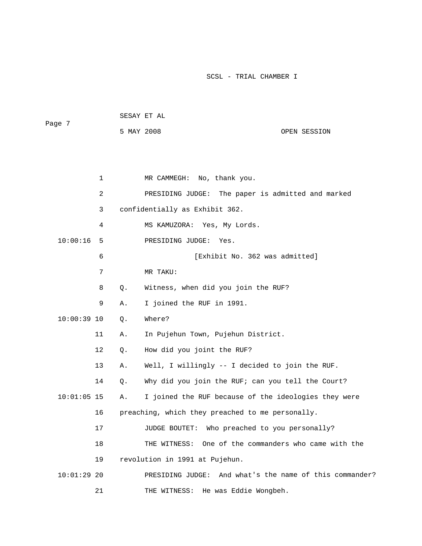```
 SESAY ET AL 
Page 7 
           5 MAY 2008 OPEN SESSION
```

|               | 1              |    | No, thank you.<br>MR CAMMEGH:                           |
|---------------|----------------|----|---------------------------------------------------------|
|               | $\overline{a}$ |    | PRESIDING JUDGE: The paper is admitted and marked       |
|               | 3              |    | confidentially as Exhibit 362.                          |
|               | 4              |    | MS KAMUZORA: Yes, My Lords.                             |
| 10:00:16      | 5              |    | PRESIDING JUDGE:<br>Yes.                                |
|               | 6              |    | [Exhibit No. 362 was admitted]                          |
|               | 7              |    | MR TAKU:                                                |
|               | 8              | Q. | Witness, when did you join the RUF?                     |
|               | 9              | Α. | I joined the RUF in 1991.                               |
| $10:00:39$ 10 |                | Q. | Where?                                                  |
|               | 11             | Α. | In Pujehun Town, Pujehun District.                      |
|               | 12             | Q. | How did you joint the RUF?                              |
|               | 13             | Α. | Well, I willingly -- I decided to join the RUF.         |
|               | 14             | О. | Why did you join the RUF; can you tell the Court?       |
| $10:01:05$ 15 |                | Α. | I joined the RUF because of the ideologies they were    |
|               | 16             |    | preaching, which they preached to me personally.        |
|               | 17             |    | JUDGE BOUTET:<br>Who preached to you personally?        |
|               | 18             |    | THE WITNESS: One of the commanders who came with the    |
|               | 19             |    | revolution in 1991 at Pujehun.                          |
| $10:01:29$ 20 |                |    | PRESIDING JUDGE: And what's the name of this commander? |
|               | 21             |    | He was Eddie Wongbeh.<br>THE WITNESS:                   |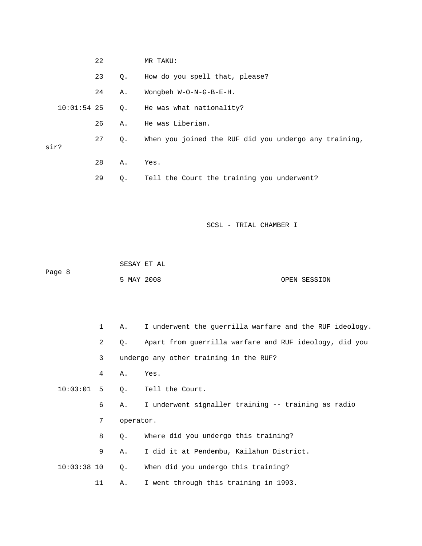|      | 22 |           | MR TAKU:                                              |
|------|----|-----------|-------------------------------------------------------|
|      | 23 | $\circ$ . | How do you spell that, please?                        |
|      | 24 | Α.        | Wongbeh W-O-N-G-B-E-H.                                |
|      |    |           | 10:01:54 25 Q. He was what nationality?               |
|      | 26 | Α.        | He was Liberian.                                      |
| sir? | 27 | $\circ$ . | When you joined the RUF did you undergo any training, |
|      | 28 | Α.        | Yes.                                                  |
|      | 29 | Q.        | Tell the Court the training you underwent?            |

 SESAY ET AL Page 8

5 MAY 2008 OPEN SESSION

 1 A. I underwent the guerrilla warfare and the RUF ideology. Tell the Court. 6 A. I underwent signaller training -- training as radio 8 Q. Where did you undergo this training? 9 A. I did it at Pendembu, Kailahun District. 2 Q. Apart from guerrilla warfare and RUF ideology, did you 3 undergo any other training in the RUF? 4 A. Yes.  $10:03:01$  5 Q. 7 operator. 10:03:38 10 Q. When did you undergo this training? 11 A. I went through this training in 1993.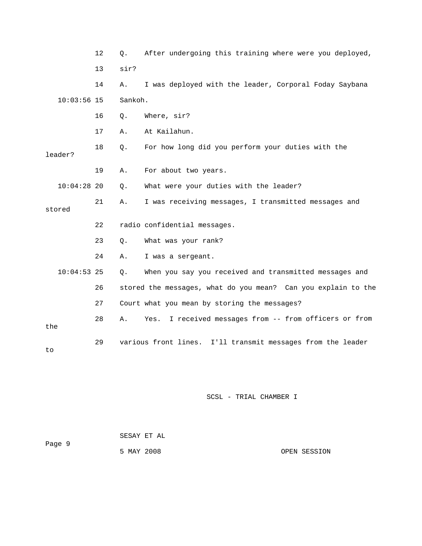|               | 12 | $\circ$ . | After undergoing this training where were you deployed,        |
|---------------|----|-----------|----------------------------------------------------------------|
|               | 13 | sir?      |                                                                |
|               | 14 | Α.        | I was deployed with the leader, Corporal Foday Saybana         |
| $10:03:56$ 15 |    | Sankoh.   |                                                                |
|               | 16 | $Q$ .     | Where, sir?                                                    |
|               | 17 | Α.        | At Kailahun.                                                   |
| leader?       | 18 | Q.        | For how long did you perform your duties with the              |
|               | 19 | Α.        | For about two years.                                           |
| $10:04:28$ 20 |    | $Q$ .     | What were your duties with the leader?                         |
| stored        | 21 | Α.        | I was receiving messages, I transmitted messages and           |
|               | 22 |           | radio confidential messages.                                   |
|               | 23 | Q.        | What was your rank?                                            |
|               | 24 | Α.        | I was a sergeant.                                              |
| $10:04:53$ 25 |    | Q.        | When you say you received and transmitted messages and         |
|               | 26 |           | stored the messages, what do you mean? Can you explain to the  |
|               | 27 |           | Court what you mean by storing the messages?                   |
| the           | 28 | Α.        | I received messages from -- from officers or from<br>Yes.      |
| to            | 29 |           | various front lines.<br>I'll transmit messages from the leader |

|        |            | SESAY ET AL |              |
|--------|------------|-------------|--------------|
| Page 9 |            |             |              |
|        | 5 MAY 2008 |             | OPEN SESSION |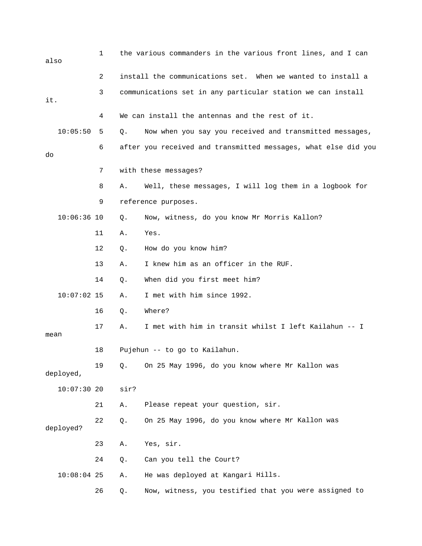| also          | 1  |      | the various commanders in the various front lines, and I can   |
|---------------|----|------|----------------------------------------------------------------|
|               | 2  |      | install the communications set. When we wanted to install a    |
| it.           | 3  |      | communications set in any particular station we can install    |
|               | 4  |      | We can install the antennas and the rest of it.                |
| 10:05:50      | 5  | Q.   | Now when you say you received and transmitted messages,        |
| do            | 6  |      | after you received and transmitted messages, what else did you |
|               | 7  |      | with these messages?                                           |
|               | 8  | Α.   | Well, these messages, I will log them in a logbook for         |
|               | 9  |      | reference purposes.                                            |
| $10:06:36$ 10 |    | Q.   | Now, witness, do you know Mr Morris Kallon?                    |
|               | 11 | Α.   | Yes.                                                           |
|               | 12 | Q.   | How do you know him?                                           |
|               | 13 | Α.   | I knew him as an officer in the RUF.                           |
|               | 14 | Q.   | When did you first meet him?                                   |
| $10:07:02$ 15 |    | Α.   | I met with him since 1992.                                     |
|               | 16 | Q.   | Where?                                                         |
| mean          | 17 | Α.   | I met with him in transit whilst I left Kailahun -- I          |
|               | 18 |      | Pujehun -- to go to Kailahun.                                  |
| deployed,     | 19 | Q.   | On 25 May 1996, do you know where Mr Kallon was                |
| 10:07:3020    |    | sir? |                                                                |
|               | 21 | Α.   | Please repeat your question, sir.                              |
| deployed?     | 22 | Q.   | On 25 May 1996, do you know where Mr Kallon was                |
|               | 23 | Α.   | Yes, sir.                                                      |
|               | 24 | Q.   | Can you tell the Court?                                        |
| $10:08:04$ 25 |    | Α.   | He was deployed at Kangari Hills.                              |
|               | 26 | Q.   | Now, witness, you testified that you were assigned to          |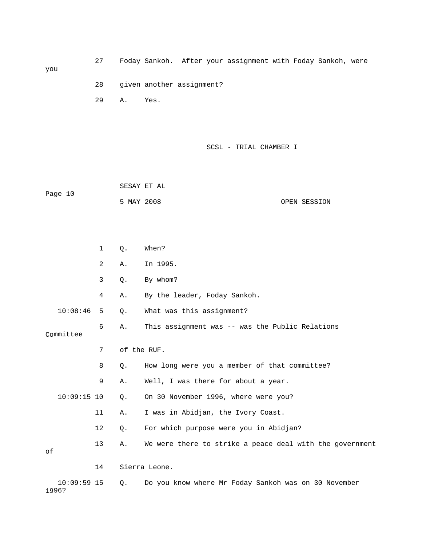27 Foday Sankoh. After your assignment with Foday Sankoh, were 28 given another assignment?

SCSL - TRIAL CHAMBER I

 SESAY ET AL Page 10 5 MAY 2008 OPEN SESSION

29 A. Yes.

you

 1 Q. When? 2 A. In 1995. 4 A. By the leader, Foday Sankoh. 6 A. This assignment was -- was the Public Relations Committee 7 of the RUF. 8 Q. How long were you a member of that committee? 12 Q. For which purpose were you in Abidjan? 13 A. We were there to strike a peace deal with the government 14 Sierra Leone. 10:09:59 15 Q. Do you know where Mr Foday Sankoh was on 30 November 1996? 3 Q. By whom? 10:08:46 5 Q. What was this assignment? 9 A. Well, I was there for about a year. 10:09:15 10 Q. On 30 November 1996, where were you? 11 A. I was in Abidjan, the Ivory Coast. of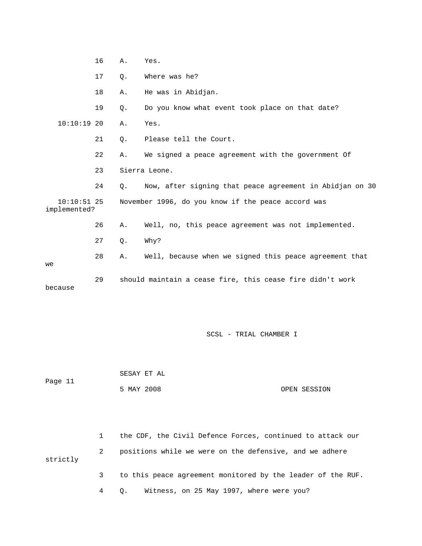|                               | 16 | Α.    | Yes.                                                      |
|-------------------------------|----|-------|-----------------------------------------------------------|
|                               | 17 | $Q$ . | Where was he?                                             |
|                               | 18 | Α.    | He was in Abidjan.                                        |
|                               | 19 | $Q$ . | Do you know what event took place on that date?           |
| $10:10:19$ 20                 |    | Α.    | Yes.                                                      |
|                               | 21 | $Q$ . | Please tell the Court.                                    |
|                               | 22 | Α.    | We signed a peace agreement with the government Of        |
|                               | 23 |       | Sierra Leone.                                             |
|                               | 24 | 0.    | Now, after signing that peace agreement in Abidjan on 30  |
| $10:10:51$ 25<br>implemented? |    |       | November 1996, do you know if the peace accord was        |
|                               | 26 | Α.    | Well, no, this peace agreement was not implemented.       |
|                               | 27 | Q.    | Why?                                                      |
| we                            | 28 | Α.    | Well, because when we signed this peace agreement that    |
| because                       | 29 |       | should maintain a cease fire, this cease fire didn't work |

|         | SESAY ET AL |              |
|---------|-------------|--------------|
| Page 11 |             |              |
|         | 5 MAY 2008  | OPEN SESSION |

 1 the CDF, the Civil Defence Forces, continued to attack our 3 to this peace agreement monitored by the leader of the RUF. 2 positions while we were on the defensive, and we adhere strictly

4 Q. Witness, on 25 May 1997, where were you?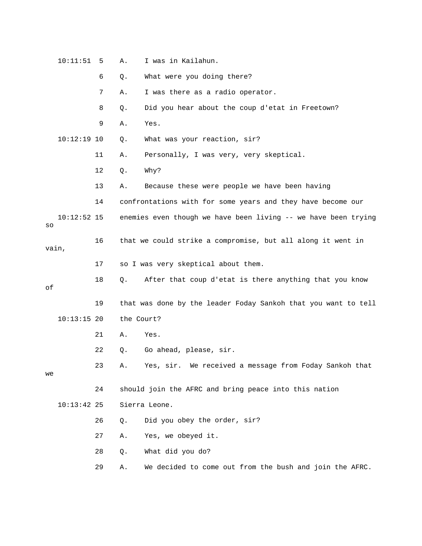|       | 10:11:51      | 5  | Α.         | I was in Kailahun.                                             |
|-------|---------------|----|------------|----------------------------------------------------------------|
|       |               | 6  | Q.         | What were you doing there?                                     |
|       |               | 7  | Α.         | I was there as a radio operator.                               |
|       |               | 8  | Q.         | Did you hear about the coup d'etat in Freetown?                |
|       |               | 9  | Α.         | Yes.                                                           |
|       | $10:12:19$ 10 |    | Q.         | What was your reaction, sir?                                   |
|       |               | 11 | Α.         | Personally, I was very, very skeptical.                        |
|       |               | 12 | Q.         | Why?                                                           |
|       |               | 13 | Α.         | Because these were people we have been having                  |
|       |               | 14 |            | confrontations with for some years and they have become our    |
| SO    | $10:12:52$ 15 |    |            | enemies even though we have been living -- we have been trying |
| vain, |               | 16 |            | that we could strike a compromise, but all along it went in    |
|       |               | 17 |            | so I was very skeptical about them.                            |
| оf    |               | 18 | Q.         | After that coup d'etat is there anything that you know         |
|       |               | 19 |            | that was done by the leader Foday Sankoh that you want to tell |
|       | $10:13:15$ 20 |    | the Court? |                                                                |
|       |               | 21 | Α.         | Yes.                                                           |
|       |               | 22 | Q.         | Go ahead, please, sir.                                         |
| we    |               | 23 | Α.         | Yes, sir. We received a message from Foday Sankoh that         |
|       |               | 24 |            | should join the AFRC and bring peace into this nation          |
|       | $10:13:42$ 25 |    |            | Sierra Leone.                                                  |
|       |               | 26 | Q.         | Did you obey the order, sir?                                   |
|       |               | 27 | Α.         | Yes, we obeyed it.                                             |
|       |               | 28 | Q.         | What did you do?                                               |
|       |               | 29 | Α.         | We decided to come out from the bush and join the AFRC.        |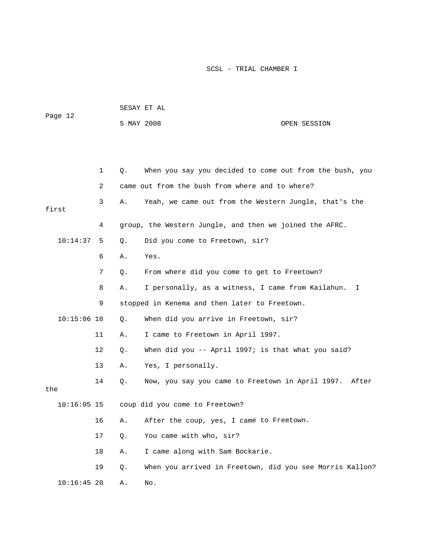| Page 12       |             |    | SESAY ET AL                                              |              |
|---------------|-------------|----|----------------------------------------------------------|--------------|
|               |             |    | 5 MAY 2008                                               | OPEN SESSION |
|               |             |    |                                                          |              |
|               |             |    |                                                          |              |
|               | $\mathbf 1$ | Q. | When you say you decided to come out from the bush, you  |              |
|               | 2           |    | came out from the bush from where and to where?          |              |
| first         | 3           | Α. | Yeah, we came out from the Western Jungle, that's the    |              |
|               | 4           |    | group, the Western Jungle, and then we joined the AFRC.  |              |
| 10:14:37      | 5           | Q. | Did you come to Freetown, sir?                           |              |
|               | 6           | Α. | Yes.                                                     |              |
|               | 7           | Q. | From where did you come to get to Freetown?              |              |
|               | 8           | Α. | I personally, as a witness, I came from Kailahun.        | I.           |
|               | 9           |    | stopped in Kenema and then later to Freetown.            |              |
| $10:15:06$ 10 |             | Q. | When did you arrive in Freetown, sir?                    |              |
|               | 11          | Α. | I came to Freetown in April 1997.                        |              |
|               | 12          | Q. | When did you -- April 1997; is that what you said?       |              |
|               | 13          | Α. | Yes, I personally.                                       |              |
| the           | 14          | Q. | Now, you say you came to Freetown in April 1997. After   |              |
| $10:16:05$ 15 |             |    | coup did you come to Freetown?                           |              |
|               | 16          | Α. | After the coup, yes, I came to Freetown.                 |              |
|               | 17          | Q. | You came with who, sir?                                  |              |
|               | 18          | Α. | I came along with Sam Bockarie.                          |              |
|               | 19          | Q. | When you arrived in Freetown, did you see Morris Kallon? |              |
| $10:16:45$ 20 |             | Α. | No.                                                      |              |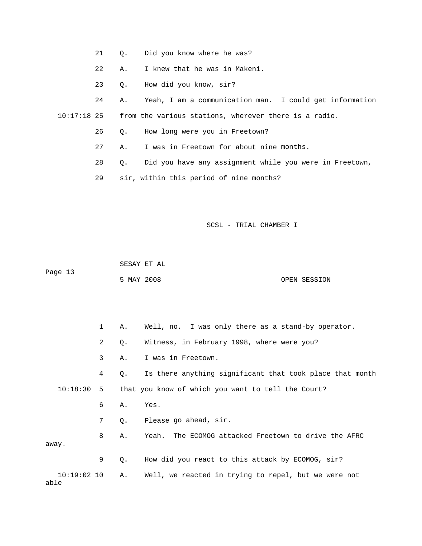- 21 Q. Did you know where he was?
- . 22 A. I knew that he was in Makeni
	- 23 Q. How did you know, sir?
- 24 A. Yeah, I am a communication man. I could get information

10:17:18 25 from the various stations, wherever there is a radio.

- 26 Q. How long were you in Freetown?
- 27 A. I was in Freetown for about nine months.
- 28 Q. Did you have any assignment while you were in Freetown,
	- 29 sir, within this period of nine months?

SCSL - TRIAL CHAMBER I

SESAY ET AL

Page 13

5 MAY 2008 OPEN SESSION

 1 A. Well, no. I was only there as a stand-by operator. 4 Q. Is there anything significant that took place that month 7 Q. Please go ahead, sir. 8 A. Yeah. The ECOMOG attacked Freetown to drive the AFRC away. 10:19:02 10 A. Well, we reacted in trying to repel, but we were not 2 Q. Witness, in February 1998, where were you? 3 A. I was in Freetown. 10:18:30 5 that you know of which you want to tell the Court? 6 A. Yes. 9 Q. How did you react to this attack by ECOMOG, sir? able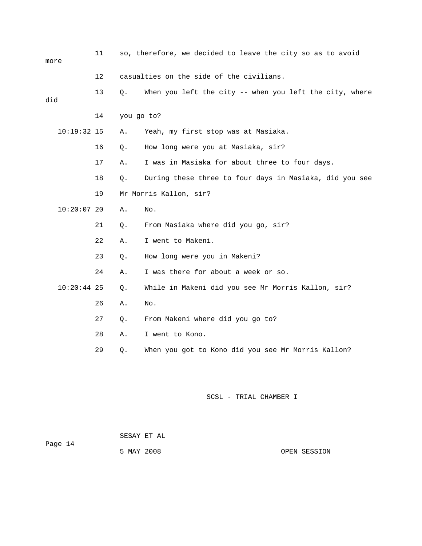| more |               | 11 |            | so, therefore, we decided to leave the city so as to avoid |
|------|---------------|----|------------|------------------------------------------------------------|
|      |               | 12 |            | casualties on the side of the civilians.                   |
| did  |               | 13 | Q.         | When you left the city -- when you left the city, where    |
|      |               | 14 | you go to? |                                                            |
|      | $10:19:32$ 15 |    | Α.         | Yeah, my first stop was at Masiaka.                        |
|      |               | 16 | Q.         | How long were you at Masiaka, sir?                         |
|      |               | 17 | Α.         | I was in Masiaka for about three to four days.             |
|      |               | 18 | Q.         | During these three to four days in Masiaka, did you see    |
|      |               | 19 |            | Mr Morris Kallon, sir?                                     |
|      | $10:20:07$ 20 |    | Α.         | No.                                                        |
|      |               | 21 | Q.         | From Masiaka where did you go, sir?                        |
|      |               | 22 | Α.         | I went to Makeni.                                          |
|      |               | 23 | Q.         | How long were you in Makeni?                               |
|      |               | 24 | Α.         | I was there for about a week or so.                        |
|      | $10:20:44$ 25 |    | Q.         | While in Makeni did you see Mr Morris Kallon, sir?         |
|      |               | 26 | Α.         | No.                                                        |
|      |               | 27 | Q.         | From Makeni where did you go to?                           |
|      |               | 28 | Α.         | I went to Kono.                                            |
|      |               | 29 | Q.         | When you got to Kono did you see Mr Morris Kallon?         |
|      |               |    |            |                                                            |

Page 14 5 MAY 2008 OPEN SESSION SESAY ET AL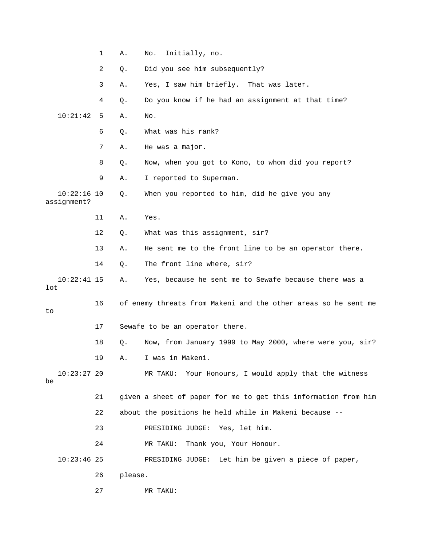|                              | $\mathbf 1$ | Α.      | No.<br>Initially, no.                                          |
|------------------------------|-------------|---------|----------------------------------------------------------------|
|                              | 2           | Q.      | Did you see him subsequently?                                  |
|                              | 3           | Α.      | Yes, I saw him briefly. That was later.                        |
|                              | 4           | Q.      | Do you know if he had an assignment at that time?              |
| 10:21:42                     | 5           | Α.      | No.                                                            |
|                              | 6           | Q.      | What was his rank?                                             |
|                              | 7           | Α.      | He was a major.                                                |
|                              | 8           | Q.      | Now, when you got to Kono, to whom did you report?             |
|                              | 9           | Α.      | I reported to Superman.                                        |
| $10:22:16$ 10<br>assignment? |             | Q.      | When you reported to him, did he give you any                  |
|                              | 11          | Α.      | Yes.                                                           |
|                              | 12          | Q.      | What was this assignment, sir?                                 |
|                              | 13          | Α.      | He sent me to the front line to be an operator there.          |
|                              | 14          | Q.      | The front line where, sir?                                     |
| $10:22:41$ 15<br>lot         |             | Α.      | Yes, because he sent me to Sewafe because there was a          |
| to                           | 16          |         | of enemy threats from Makeni and the other areas so he sent me |
|                              | 17          |         | Sewafe to be an operator there.                                |
|                              | 18          | Q.      | Now, from January 1999 to May 2000, where were you, sir?       |
|                              | 19          | Α.      | I was in Makeni.                                               |
| $10:23:27$ 20<br>be          |             |         | Your Honours, I would apply that the witness<br>MR TAKU:       |
|                              | 21          |         | given a sheet of paper for me to get this information from him |
|                              | 22          |         | about the positions he held while in Makeni because --         |
|                              | 23          |         | PRESIDING JUDGE:<br>Yes, let him.                              |
|                              | 24          |         | Thank you, Your Honour.<br>MR TAKU:                            |
| $10:23:46$ 25                |             |         | PRESIDING JUDGE: Let him be given a piece of paper,            |
|                              | 26          | please. |                                                                |
|                              | 27          |         | MR TAKU:                                                       |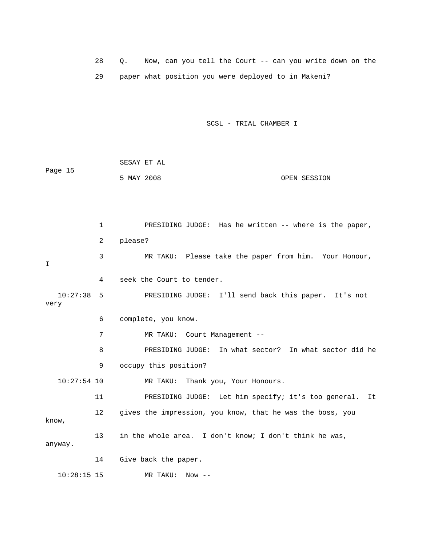28 Q. Now, can you tell the Court -- can you write down on the 29 paper what position you were deployed to in Makeni?

SCSL - TRIAL CHAMBER I

 SESAY ET AL Page 15 5 MAY 2008 OPEN SESSION

 1 PRESIDING JUDGE: Has he written -- where is the paper, 2 please? 4 seek the Court to tender. very 8 PRESIDING JUDGE: In what sector? In what sector did he 9 occupy this position? 10:27:54 10 MR TAKU: Thank you, Your Honours. 11 PRESIDING JUDGE: Let him specify; it's too general. It 12 gives the impression, you know, that he was the boss, you anyway. 3 MR TAKU: Please take the paper from him. Your Honour, I 10:27:38 5 PRESIDING JUDGE: I'll send back this paper. It's not 6 complete, you know. 7 MR TAKU: Court Management - know, 13 in the whole area. I don't know; I don't think he was, 14 Give back the paper. 10:28:15 15 MR TAKU: Now --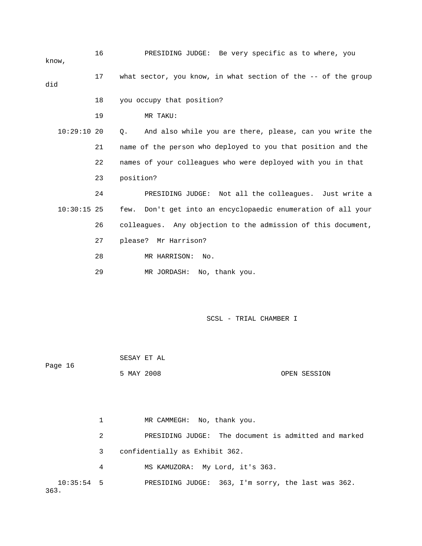16 PRESIDING JUDGE: Be very specific as to where, you 17 what sector, you know, in what section of the -- of the group 18 you occupy that position? 19 MR TAKU: 10:29:10 20 Q. And also while you are there, please, can you write the 21 aame of the person who deployed to you that position and the 10:30:15 25 few. Don't get into an encyclopaedic enumeration of all your 29 MR JORDASH: No, thank you. know, did 22 names of your colleagues who were deployed with you in that 23 position? 24 PRESIDING JUDGE: Not all the colleagues. Just write a 26 colleagues. Any objection to the admission of this document, 27 please? Mr Harrison? 28 MR HARRISON: No.

SCSL - TRIAL CHAMBER I

1 MR CAMMEGH: No, thank you. 2 PRESIDING JUDGE: The document is admitted and marked 10:35:54 5 PRESIDING JUDGE: 363, I'm sorry, the last was 362.  $363.$  3 confidentially as Exhibit 362. 4 MS KAMUZORA: My Lord, it's 363.

5 MAY 2008 OPEN SESSION

SESAY ET AL

Page 16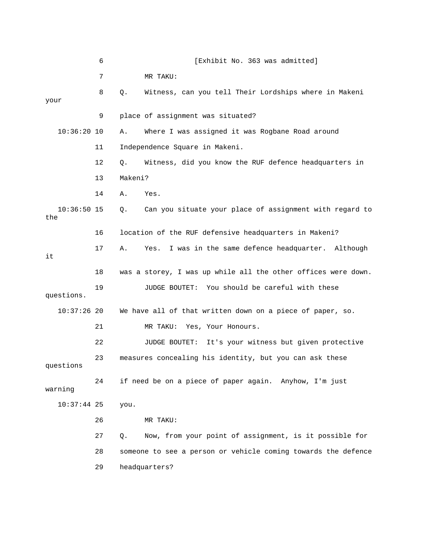|                      | 6  | [Exhibit No. 363 was admitted]                                |
|----------------------|----|---------------------------------------------------------------|
|                      | 7  | MR TAKU:                                                      |
| your                 | 8  | Witness, can you tell Their Lordships where in Makeni<br>Q.   |
|                      | 9  | place of assignment was situated?                             |
| $10:36:20$ 10        |    | Where I was assigned it was Rogbane Road around<br>Α.         |
|                      | 11 | Independence Square in Makeni.                                |
|                      | 12 | Witness, did you know the RUF defence headquarters in<br>Q.   |
|                      | 13 | Makeni?                                                       |
|                      | 14 | Α.<br>Yes.                                                    |
| $10:36:50$ 15<br>the |    | Can you situate your place of assignment with regard to<br>Q. |
|                      | 16 | location of the RUF defensive headquarters in Makeni?         |
| it                   | 17 | I was in the same defence headquarter. Although<br>Yes.<br>Α. |
|                      | 18 | was a storey, I was up while all the other offices were down. |
| questions.           | 19 | JUDGE BOUTET: You should be careful with these                |
| $10:37:26$ 20        |    | We have all of that written down on a piece of paper, so.     |
|                      | 21 | Yes, Your Honours.<br>MR TAKU:                                |
|                      | 22 | It's your witness but given protective<br>JUDGE BOUTET:       |
| questions            | 23 | measures concealing his identity, but you can ask these       |
| warning              | 24 | if need be on a piece of paper again. Anyhow, I'm just        |
| $10:37:44$ 25        |    | you.                                                          |
|                      | 26 | MR TAKU:                                                      |
|                      | 27 | Now, from your point of assignment, is it possible for<br>Q.  |
|                      | 28 | someone to see a person or vehicle coming towards the defence |
|                      | 29 | headquarters?                                                 |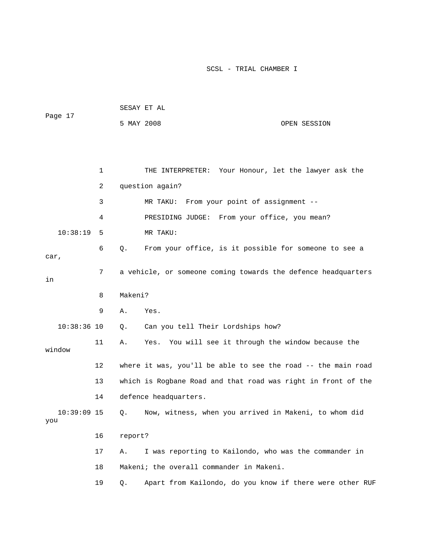| Page 17              |    |            | SESAY ET AL                                                   |
|----------------------|----|------------|---------------------------------------------------------------|
|                      |    | 5 MAY 2008 | OPEN SESSION                                                  |
|                      |    |            |                                                               |
|                      |    |            |                                                               |
|                      | 1  |            | THE INTERPRETER: Your Honour, let the lawyer ask the          |
|                      | 2  |            | question again?                                               |
|                      | 3  |            | From your point of assignment --<br>MR TAKU:                  |
|                      | 4  |            | PRESIDING JUDGE: From your office, you mean?                  |
| 10:38:19             | 5  |            | MR TAKU:                                                      |
| car,                 | 6  | $Q$ .      | From your office, is it possible for someone to see a         |
| in                   | 7  |            | a vehicle, or someone coming towards the defence headquarters |
|                      | 8  | Makeni?    |                                                               |
|                      | 9  | Α.         | Yes.                                                          |
| $10:38:36$ 10        |    | Q.         | Can you tell Their Lordships how?                             |
| window               | 11 | Α.         | Yes. You will see it through the window because the           |
|                      | 12 |            | where it was, you'll be able to see the road -- the main road |
|                      | 13 |            | which is Rogbane Road and that road was right in front of the |
|                      | 14 |            | defence headquarters.                                         |
| $10:39:09$ 15<br>you |    | Q.         | Now, witness, when you arrived in Makeni, to whom did         |
|                      | 16 | report?    |                                                               |
|                      | 17 | Α.         | I was reporting to Kailondo, who was the commander in         |
|                      | 18 |            | Makeni; the overall commander in Makeni.                      |
|                      | 19 | Q.         | Apart from Kailondo, do you know if there were other RUF      |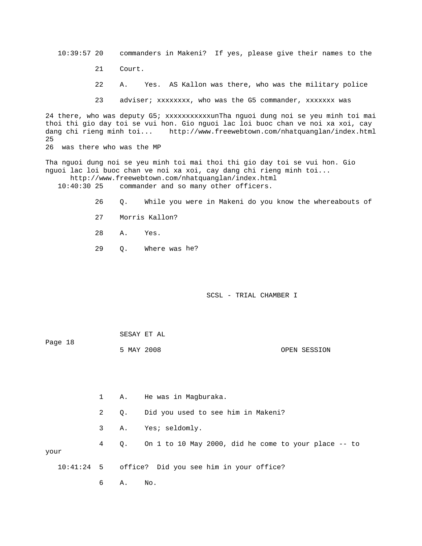10:39:57 20 commanders in Makeni? If yes, please give their names to the

- 21 Court.
- 22 A. Yes. AS Kallon was there, who was the military police
- 23 adviser; xxxxxxxx, who was the G5 commander, xxxxxxx was

thoi thi gio day toi se vui hon. Gio nguoi lac loi buoc chan ve noi xa xoi, cay dang chi rieng minh toi... http://www.freewebtown.com/nhatquanglan/index.html 25 24 there, who was deputy G5; xxxxxxxxxxxunTha nguoi dung noi se yeu minh toi mai 26 was there who was the MP

nguoi lac loi buoc chan ve noi xa xoi, cay dang chi rieng minh toi... http://www.freewebtown.com/nhatquanglan/index.html Tha nguoi dung noi se yeu minh toi mai thoi thi gio day toi se vui hon. Gio

10:40:30 25 commander and so many other officers.

- 26 Q. While you were in Makeni do you know the whereabouts of
	- 27 Morris Kallon?
	- 28 A. Yes.
- 29 Q. Where was he?

SCSL - TRIAL CHAMBER I

|         | SESAY ET AL |  |              |
|---------|-------------|--|--------------|
| Page 18 |             |  |              |
|         | 5 MAY 2008  |  | OPEN SESSION |

 2 Q. Did you used to see him in Makeni? 4 Q. On 1 to 10 May 2000, did he come to your place -- to your 3 A. Yes; seldomly.

10:41:24 5 office? Did you see him in your office?

1 A. He was in Magburaka.

6 A. No.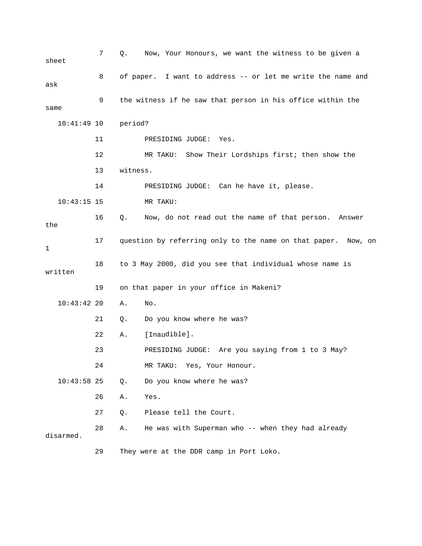7 Q. Now, Your Honours, we want the witness to be given a 8 of paper. I want to address -- or let me write the name and 9 the witness if he saw that person in his office within the 10:41:49 10 period? 11 PRESIDING JUDGE: Yes. 12 MR TAKU: Show Their Lordships first; then show the MR TAKU: 16 Q. Now, do not read out the name of that person. Answer 17 question by referring only to the name on that paper. Now, on 18 to 3 May 2000, did you see that individual whose name is 19 on that paper in your office in Makeni? 10:43:42 20 A. No. 22 A. [Inaudible]. 23 **PRESIDING JUDGE:** Are you saying from 1 to 3 May? 24 MR TAKU: Yes, Your Honour. 28 A. He was with Superman who -- when they had already 29 They were at the DDR camp in Port Loko. sheet ask same 13 witness. 14 PRESIDING JUDGE: Can he have it, please.  $10:43:15$  15 the 1 written 21 Q. Do you know where he was? 10:43:58 25 Q. Do you know where he was? 26 A. Yes. 27 Q. Please tell the Court. disarmed.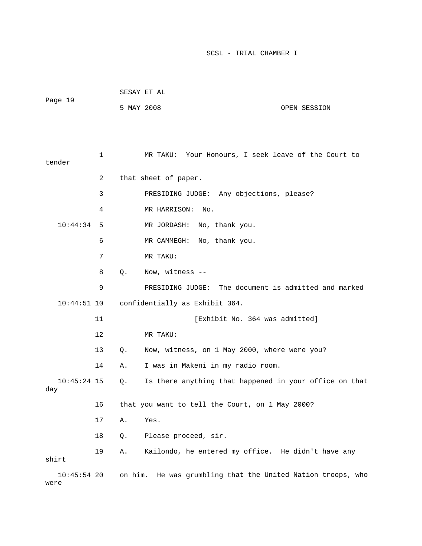| Page 19              |    | 5 MAY 2008 |                                                        | OPEN SESSION                        |
|----------------------|----|------------|--------------------------------------------------------|-------------------------------------|
| tender               | 1  |            | MR TAKU: Your Honours, I seek leave of the Court to    |                                     |
|                      | 2  |            | that sheet of paper.                                   |                                     |
|                      | 3  |            | PRESIDING JUDGE: Any objections, please?               |                                     |
|                      | 4  |            | MR HARRISON:<br>No.                                    |                                     |
| 10:44:34             | 5  |            | MR JORDASH:<br>No, thank you.                          |                                     |
|                      | 6  |            | MR CAMMEGH: No, thank you.                             |                                     |
|                      | 7  |            | MR TAKU:                                               |                                     |
|                      | 8  | Q.         | Now, witness --                                        |                                     |
|                      | 9  |            | PRESIDING JUDGE:                                       | The document is admitted and marked |
| $10:44:51$ 10        |    |            | confidentially as Exhibit 364.                         |                                     |
|                      | 11 |            | [Exhibit No. 364 was admitted]                         |                                     |
|                      | 12 |            | MR TAKU:                                               |                                     |
|                      | 13 | Q.         | Now, witness, on 1 May 2000, where were you?           |                                     |
|                      | 14 | Α.         | I was in Makeni in my radio room.                      |                                     |
| $10:45:24$ 15<br>day |    | Q.         | Is there anything that happened in your office on that |                                     |
|                      | 16 |            | that you want to tell the Court, on 1 May 2000?        |                                     |

17 A. Yes.

SESAY ET AL

18 Q. Please proceed, sir.

 19 A. Kailondo, he entered my office. He didn't have any shirt

10:45:54 20 on him. He was grumbling that the United Nation troops, who were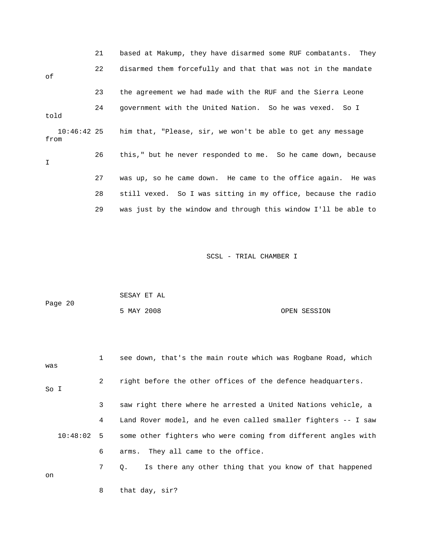|                     | 21 | based at Makump, they have disarmed some RUF combatants. They  |
|---------------------|----|----------------------------------------------------------------|
| оf                  | 22 | disarmed them forcefully and that that was not in the mandate  |
|                     | 23 | the agreement we had made with the RUF and the Sierra Leone    |
| told                | 24 | government with the United Nation. So he was vexed. So I       |
| 10:46:42 25<br>from |    | him that, "Please, sir, we won't be able to get any message    |
| T.                  | 26 | this," but he never responded to me. So he came down, because  |
|                     | 27 | was up, so he came down. He came to the office again. He was   |
|                     | 28 | still vexed. So I was sitting in my office, because the radio  |
|                     | 29 | was just by the window and through this window I'll be able to |

| Page 20 | SESAY ET AL |  |              |
|---------|-------------|--|--------------|
|         | 5 MAY 2008  |  | OPEN SESSION |

| was          | $\mathbf{1}$ | see down, that's the main route which was Rogbane Road, which        |
|--------------|--------------|----------------------------------------------------------------------|
| So I         | $\mathbf{2}$ | right before the other offices of the defence headquarters.          |
|              | 3            | saw right there where he arrested a United Nations vehicle, a        |
|              | 4            | Land Rover model, and he even called smaller fighters -- I saw       |
| $10:48:02$ 5 |              | some other fighters who were coming from different angles with       |
|              | 6            | arms. They all came to the office.                                   |
| on           | 7            | Is there any other thing that you know of that happened<br>$\circ$ . |

8 that day, sir?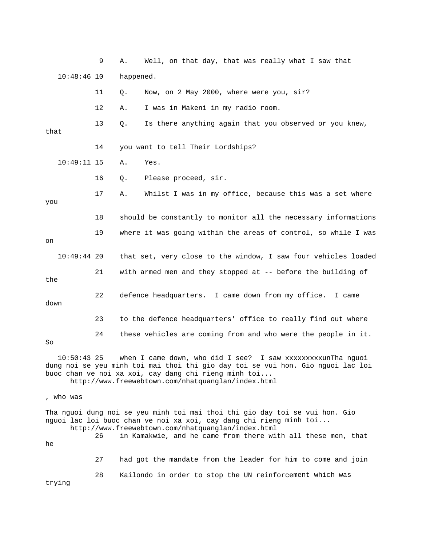9 A. Well, on that day, that was really what I saw that 10:48:46 10 happened. 11 Q. Now, on 2 May 2000, where were you, sir? 13 Q. Is there anything again that you observed or you knew, 14 you want to tell Their Lordships? 10:49:11 15 A. Yes. 16 Q. Please proceed, sir. 17 A. Whilst I was in my office, because this was a set where 18 should be constantly to monitor all the necessary informations 19 where it was going within the areas of control, so while I was 10:49:44 20 that set, very close to the window, I saw four vehicles loaded 22 defence headquarters. I came down from my office. I came 24 these vehicles are coming from and who were the people in it. 10:50:43 25 when I came down, who did I see? I saw xxxxxxxxxunTha nguoi buoc chan ve noi xa xoi, cay dang chi rieng minh toi... who was , nguoi lac loi buoc chan ve noi xa xoi, cay dang chi rieng minh toi... 26 in Kamakwie, and he came from there with all these men, that 27 had got the mandate from the leader for him to come and join 12 A. I was in Makeni in my radio room. that you on 21 with armed men and they stopped at -- before the building of the down 23 to the defence headquarters' office to really find out where So dung noi se yeu minh toi mai thoi thi gio day toi se vui hon. Gio nguoi lac loi http://www.freewebtown.com/nhatquanglan/index.html Tha nguoi dung noi se yeu minh toi mai thoi thi gio day toi se vui hon. Gio http://www.freewebtown.com/nhatquanglan/index.html he

28 Kailondo in order to stop the UN reinforcement which was

trying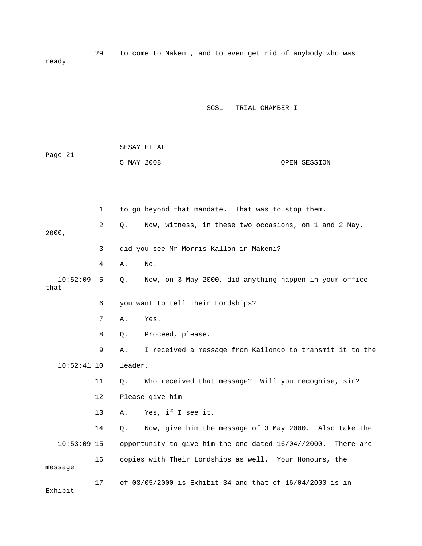29 to come to Makeni, and to even get rid of anybody who was ready

### SCSL - TRIAL CHAMBER I

|         | SESAY ET AL |  |              |
|---------|-------------|--|--------------|
| Page 21 |             |  |              |
|         | 5 MAY 2008  |  | OPEN SESSION |

 2 Q. Now, witness, in these two occasions, on 1 and 2 May, 00, 20 4 A. No. Q. Now, on 3 May 2000, did anything happen in your office that 6 you want to tell Their Lordships? 8 Q. Proceed, please. 9 A. I received a message from Kailondo to transmit it to the 11 Q. Who received that message? Will you recognise, sir? 13 A. Yes, if I see it. e 14 Q. Now, give him the message of 3 May 2000. Also take th  $10:53:09$  15 opportunity to give him the one dated  $16/04//2000$ . There are 16 copies with Their Lordships as well. Your Honours, the 1 to go beyond that mandate. That was to stop them. 3 did you see Mr Morris Kallon in Makeni?  $10:52:09$  5 7 A. Yes. 10:52:41 10 leader. 12 Please give him - message 17 of 03/05/2000 is Exhibit 34 and that of 16/04/2000 is in Exhibit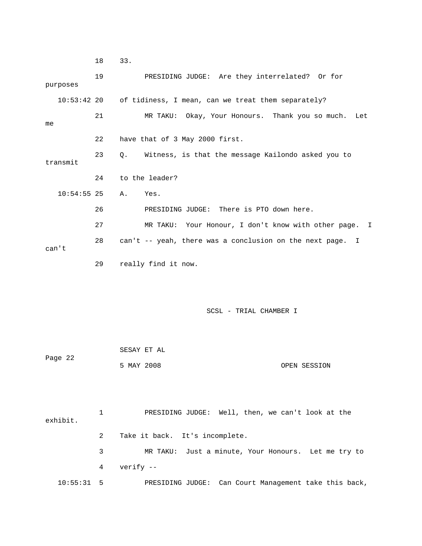18 33. 19 PRESIDING JUDGE: Are they interrelated? Or for 10:53:42 20 of tidiness, I mean, can we treat them separately? 21 MR TAKU: Okay, Your Honours. Thank you so much. Let 22 have that of 3 May 2000 first. 10:54:55 25 A. Yes. 26 PRESIDING JUDGE: There is PTO down here. 27 MR TAKU: Your Honour, I don't know with other page. I 28 can't -- yeah, there was a conclusion on the next page. I can't SCSL - TRIAL CHAMBER I SESAY ET AL Page 22 OPEN SESSION 2 Take it back. It's incomplete. 3 MR TAKU: Just a minute, Your Honours. Let me try to PRESIDING JUDGE: Can Court Management take this back, purposes me 23 Q. Witness, is that the message Kailondo asked you to transmit 24 to the leader? 29 really find it now. 5 MAY 2008 1 PRESIDING JUDGE: Well, then, we can't look at the exhibit. 4 verify -- 10:55: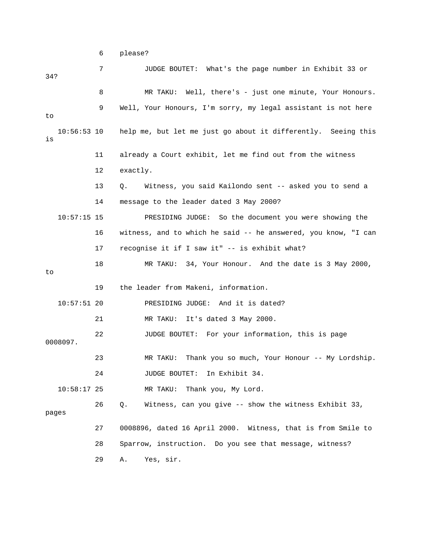6 please?

| 34?                 | 7  | JUDGE BOUTET: What's the page number in Exhibit 33 or          |
|---------------------|----|----------------------------------------------------------------|
|                     | 8  | MR TAKU: Well, there's - just one minute, Your Honours.        |
| to                  | 9  | Well, Your Honours, I'm sorry, my legal assistant is not here  |
| $10:56:53$ 10<br>is |    | help me, but let me just go about it differently. Seeing this  |
|                     | 11 | already a Court exhibit, let me find out from the witness      |
|                     | 12 | exactly.                                                       |
|                     | 13 | Witness, you said Kailondo sent -- asked you to send a<br>Q.   |
|                     | 14 | message to the leader dated 3 May 2000?                        |
| $10:57:15$ 15       |    | PRESIDING JUDGE: So the document you were showing the          |
|                     | 16 | witness, and to which he said -- he answered, you know, "I can |
|                     | 17 | recognise it if I saw it" -- is exhibit what?                  |
| to                  | 18 | MR TAKU: 34, Your Honour. And the date is 3 May 2000,          |
|                     | 19 | the leader from Makeni, information.                           |
| $10:57:51$ 20       |    | PRESIDING JUDGE: And it is dated?                              |
|                     | 21 | It's dated 3 May 2000.<br>MR TAKU:                             |
| 0008097.            | 22 | JUDGE BOUTET: For your information, this is page               |
|                     | 23 | Thank you so much, Your Honour -- My Lordship.<br>MR TAKU:     |
|                     | 24 | JUDGE BOUTET: In Exhibit 34.                                   |
| $10:58:17$ 25       |    | Thank you, My Lord.<br>MR TAKU:                                |
| pages               | 26 | Witness, can you give -- show the witness Exhibit 33,<br>Q.    |
|                     | 27 | 0008896, dated 16 April 2000. Witness, that is from Smile to   |
|                     | 28 | Sparrow, instruction. Do you see that message, witness?        |
|                     | 29 | Yes, sir.<br>Α.                                                |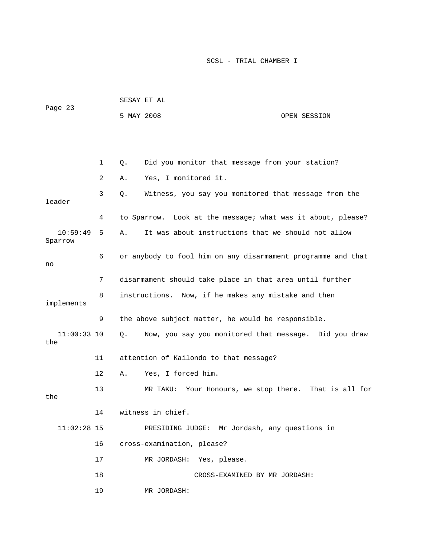|                      |              |            | SESAY ET AL                                                  |                 |
|----------------------|--------------|------------|--------------------------------------------------------------|-----------------|
| Page 23              |              | 5 MAY 2008 |                                                              | OPEN SESSION    |
|                      |              |            |                                                              |                 |
|                      |              |            |                                                              |                 |
|                      | $\mathbf{1}$ | Q.         | Did you monitor that message from your station?              |                 |
|                      | 2            | Α.         | Yes, I monitored it.                                         |                 |
| leader               | 3            | Q.         | Witness, you say you monitored that message from the         |                 |
|                      | 4            |            | to Sparrow. Look at the message; what was it about, please?  |                 |
| 10:59:49<br>Sparrow  | 5            | Α.         | It was about instructions that we should not allow           |                 |
| no                   | 6            |            | or anybody to fool him on any disarmament programme and that |                 |
|                      | 7            |            | disarmament should take place in that area until further     |                 |
| implements           | 8            |            | instructions. Now, if he makes any mistake and then          |                 |
|                      | 9            |            | the above subject matter, he would be responsible.           |                 |
| $11:00:33$ 10<br>the |              | Q.         | Now, you say you monitored that message. Did you draw        |                 |
|                      | 11           |            | attention of Kailondo to that message?                       |                 |
|                      | 12           | Α.         | Yes, I forced him.                                           |                 |
| the                  | 13           |            | Your Honours, we stop there.<br>MR TAKU:                     | That is all for |
|                      | 14           |            | witness in chief.                                            |                 |
| $11:02:28$ 15        |              |            | PRESIDING JUDGE: Mr Jordash, any questions in                |                 |
|                      | 16           |            | cross-examination, please?                                   |                 |
|                      | 17           |            | MR JORDASH: Yes, please.                                     |                 |
|                      | 18           |            | CROSS-EXAMINED BY MR JORDASH:                                |                 |
|                      | 19           |            | MR JORDASH:                                                  |                 |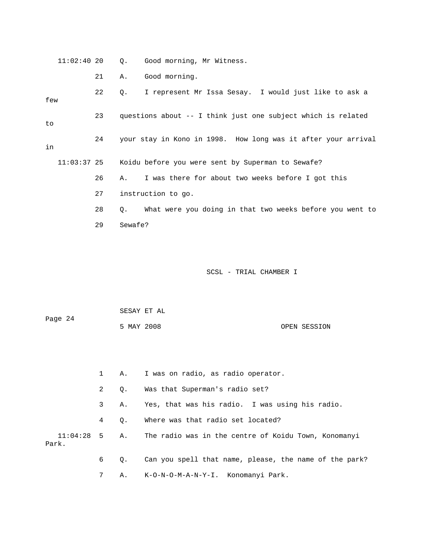| $11:02:40$ 20 |    | $\circ$ .   | Good morning, Mr Witness.                                     |
|---------------|----|-------------|---------------------------------------------------------------|
|               | 21 | Α.          | Good morning.                                                 |
| few           | 22 | $Q_{\star}$ | I represent Mr Issa Sesay. I would just like to ask a         |
| to            | 23 |             | questions about -- I think just one subject which is related  |
| in            | 24 |             | your stay in Kono in 1998. How long was it after your arrival |
| $11:03:37$ 25 |    |             | Koidu before you were sent by Superman to Sewafe?             |
|               | 26 | Α.          | I was there for about two weeks before I got this             |
|               | 27 |             | instruction to go.                                            |
|               | 28 | 0.          | What were you doing in that two weeks before you went to      |
|               | 29 | Sewafe?     |                                                               |
|               |    |             |                                                               |
|               |    |             |                                                               |
|               |    |             | SCSL - TRIAL CHAMBER I                                        |

| Page 24 |            | SESAY ET AL |              |
|---------|------------|-------------|--------------|
|         | 5 MAY 2008 |             | OPEN SESSION |

|       |                 |           | A. I was on radio, as radio operator.                              |
|-------|-----------------|-----------|--------------------------------------------------------------------|
|       | $2^{\circ}$     | 0.        | Was that Superman's radio set?                                     |
|       | $\mathbf{3}$    | А.        | Yes, that was his radio. I was using his radio.                    |
|       | 4               | $\circ$ . | Where was that radio set located?                                  |
| Park. |                 |           | 11:04:28 5 A. The radio was in the centre of Koidu Town, Konomanyi |
|       | 6               | $\circ$ . | Can you spell that name, please, the name of the park?             |
|       | $7\overline{ }$ |           | A. K-O-N-O-M-A-N-Y-I. Konomanyi Park.                              |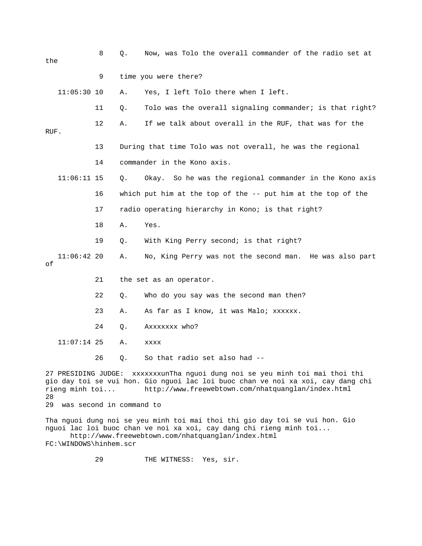| the                                                                                                                                                                                     |                                | 8  | Q. | Now, was Tolo the overall commander of the radio set at         |
|-----------------------------------------------------------------------------------------------------------------------------------------------------------------------------------------|--------------------------------|----|----|-----------------------------------------------------------------|
|                                                                                                                                                                                         |                                | 9  |    | time you were there?                                            |
|                                                                                                                                                                                         | $11:05:30$ 10                  |    | Α. | Yes, I left Tolo there when I left.                             |
|                                                                                                                                                                                         |                                | 11 | Q. | Tolo was the overall signaling commander; is that right?        |
| RUF.                                                                                                                                                                                    |                                | 12 | Α. | If we talk about overall in the RUF, that was for the           |
|                                                                                                                                                                                         |                                | 13 |    | During that time Tolo was not overall, he was the regional      |
|                                                                                                                                                                                         |                                | 14 |    | commander in the Kono axis.                                     |
|                                                                                                                                                                                         | $11:06:11$ 15                  |    | Q. | Okay. So he was the regional commander in the Kono axis         |
|                                                                                                                                                                                         |                                | 16 |    | which put him at the top of the $-$ - put him at the top of the |
|                                                                                                                                                                                         |                                | 17 |    | radio operating hierarchy in Kono; is that right?               |
|                                                                                                                                                                                         |                                | 18 | Α. | Yes.                                                            |
|                                                                                                                                                                                         |                                | 19 | Q. | With King Perry second; is that right?                          |
| οf                                                                                                                                                                                      | $11:06:42$ 20                  |    | Α. | No, King Perry was not the second man. He was also part         |
|                                                                                                                                                                                         |                                | 21 |    | the set as an operator.                                         |
|                                                                                                                                                                                         |                                | 22 | Q. | Who do you say was the second man then?                         |
|                                                                                                                                                                                         |                                | 23 | Α. | As far as I know, it was Malo; xxxxxx.                          |
|                                                                                                                                                                                         |                                | 24 | Q. | AXXXXXX who?                                                    |
|                                                                                                                                                                                         | $11:07:14$ 25                  |    | Α. | XXXX                                                            |
|                                                                                                                                                                                         |                                | 26 | Q. | So that radio set also had --                                   |
| 27 PRESIDING JUDGE: xxxxxxxunTha nguoi dung noi se yeu minh toi mai thoi thi<br>gio day toi se vui hon. Gio nguoi lac loi buoc chan ve noi xa xoi, cay dang chi<br>rieng minh toi<br>28 |                                |    |    | http://www.freewebtown.com/nhatquanglan/index.html              |
|                                                                                                                                                                                         | 29<br>was second in command to |    |    |                                                                 |

Tha nguoi dung noi se yeu minh toi mai thoi thi gio day toi se vui hon. Gio nguoi lac loi buoc chan ve noi xa xoi, cay dang chi rieng minh toi... http://www.freewebtown.com/nhatquanglan/index.html FC:\WINDOWS\hinhem.scr

29 THE WITNESS: Yes, sir.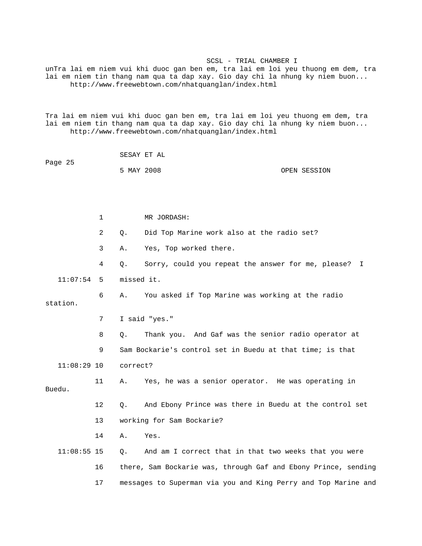unTra lai em niem vui khi duoc gan ben em, tra lai em loi yeu thuong em dem, tra lai em niem tin thang nam qua ta dap xay. Gio day chi la nhung ky niem buon... http://www.freewebtown.com/nhatquanglan/index.html

Tra lai em niem vui khi duoc gan ben em, tra lai em loi yeu thuong em dem, tra lai em niem tin thang nam qua ta dap xay. Gio day chi la nhung ky niem buon... http://www.freewebtown.com/nhatquanglan/index.html

| Page 25 | SESAY ET AL |  |              |
|---------|-------------|--|--------------|
|         | 5 MAY 2008  |  | OPEN SESSION |

|               | $\mathbf{1}$ |            | MR JORDASH:                                                    |
|---------------|--------------|------------|----------------------------------------------------------------|
|               | 2            | $\circ$ .  | Did Top Marine work also at the radio set?                     |
|               | 3            | Α.         | Yes, Top worked there.                                         |
|               | 4            | Q.         | Sorry, could you repeat the answer for me, please? I           |
| 11:07:54      | -5           | missed it. |                                                                |
| station.      | 6            | Α.         | You asked if Top Marine was working at the radio               |
|               | 7            |            | I said "yes."                                                  |
|               | 8            | Q.         | Thank you. And Gaf was the senior radio operator at            |
|               | 9            |            | Sam Bockarie's control set in Buedu at that time; is that      |
| $11:08:29$ 10 |              | correct?   |                                                                |
| Buedu.        | 11           | Α.         | Yes, he was a senior operator. He was operating in             |
|               | 12           | Q.         | And Ebony Prince was there in Buedu at the control set         |
|               | 13           |            | working for Sam Bockarie?                                      |
|               | 14           | Α.         | Yes.                                                           |
| $11:08:55$ 15 |              | $Q$ .      | And am I correct that in that two weeks that you were          |
|               | 16           |            | there, Sam Bockarie was, through Gaf and Ebony Prince, sending |
|               | 17           |            | messages to Superman via you and King Perry and Top Marine and |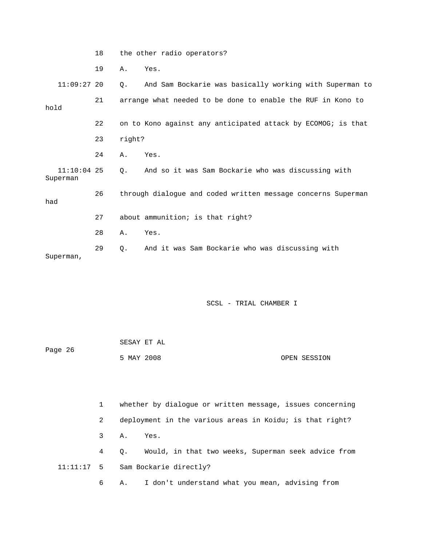|                           | 18 |           | the other radio operators?                                   |
|---------------------------|----|-----------|--------------------------------------------------------------|
|                           | 19 | Α.        | Yes.                                                         |
| $11:09:27$ 20             |    | Q.        | And Sam Bockarie was basically working with Superman to      |
| hold                      | 21 |           | arrange what needed to be done to enable the RUF in Kono to  |
|                           | 22 |           | on to Kono against any anticipated attack by ECOMOG; is that |
|                           | 23 | right?    |                                                              |
|                           | 24 | Α.        | Yes.                                                         |
| $11:10:04$ 25<br>Superman |    | $\circ$ . | And so it was Sam Bockarie who was discussing with           |
| had                       | 26 |           | through dialogue and coded written message concerns Superman |
|                           | 27 |           | about ammunition; is that right?                             |
|                           | 28 | Α.        | Yes.                                                         |
| Superman,                 | 29 | Q.        | And it was Sam Bockarie who was discussing with              |
|                           |    |           |                                                              |
|                           |    |           | SCSL - TRIAL CHAMBER I                                       |

| Page 26 | SESAY ET AL |  |              |
|---------|-------------|--|--------------|
|         | 5 MAY 2008  |  | OPEN SESSION |

|   | whether by dialogue or written message, issues concerning |  |  |  |
|---|-----------------------------------------------------------|--|--|--|
| 2 | deployment in the various areas in Koidu; is that right?  |  |  |  |
|   | 3 A. Yes.                                                 |  |  |  |
|   | 4 Q. Would, in that two weeks, Superman seek advice from  |  |  |  |
|   | $11:11:17$ 5 Sam Bockarie directly?                       |  |  |  |
| 6 | I don't understand what you mean, advising from<br>A.,    |  |  |  |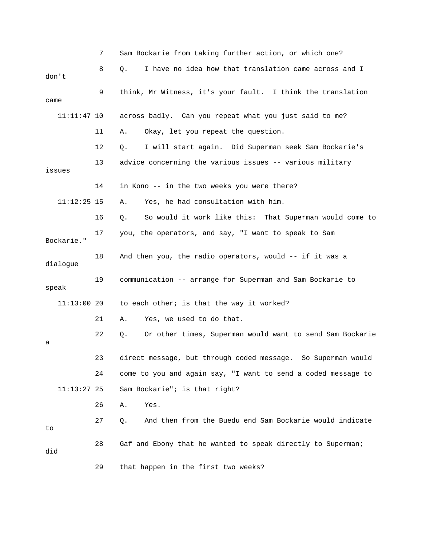|               | 7  | Sam Bockarie from taking further action, or which one?           |
|---------------|----|------------------------------------------------------------------|
| don't         | 8  | I have no idea how that translation came across and I<br>О.      |
| came          | 9  | think, Mr Witness, it's your fault. I think the translation      |
| $11:11:47$ 10 |    | across badly. Can you repeat what you just said to me?           |
|               | 11 | Okay, let you repeat the question.<br>Α.                         |
|               | 12 | I will start again. Did Superman seek Sam Bockarie's<br>Q.       |
| issues        | 13 | advice concerning the various issues -- various military         |
|               | 14 | in Kono -- in the two weeks you were there?                      |
| $11:12:25$ 15 |    | Yes, he had consultation with him.<br>Α.                         |
|               | 16 | So would it work like this: That Superman would come to<br>Q.    |
| Bockarie."    | 17 | you, the operators, and say, "I want to speak to Sam             |
| dialogue      | 18 | And then you, the radio operators, would -- if it was a          |
| speak         | 19 | communication -- arrange for Superman and Sam Bockarie to        |
| $11:13:00$ 20 |    | to each other; is that the way it worked?                        |
|               | 21 | Yes, we used to do that.<br>Α.                                   |
| а             | 22 | Or other times, Superman would want to send Sam Bockarie<br>Q.   |
|               | 23 | direct message, but through coded message.<br>So Superman would  |
|               | 24 | come to you and again say, "I want to send a coded message to    |
| $11:13:27$ 25 |    | Sam Bockarie"; is that right?                                    |
|               | 26 | Yes.<br>Α.                                                       |
| to            | 27 | And then from the Buedu end Sam Bockarie would indicate<br>$Q$ . |
| did           | 28 | Gaf and Ebony that he wanted to speak directly to Superman;      |
|               | 29 | that happen in the first two weeks?                              |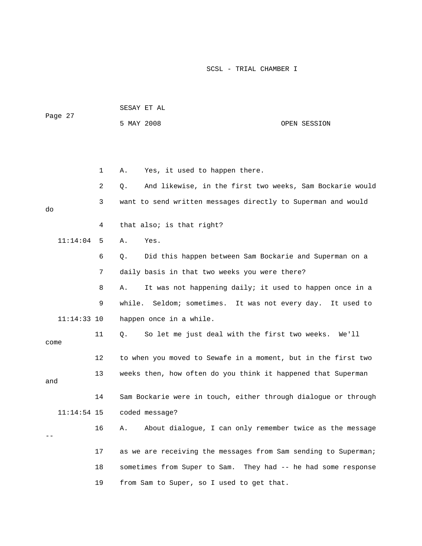| Page 27       |                | SESAY ET AL                                                       |                                  |
|---------------|----------------|-------------------------------------------------------------------|----------------------------------|
|               |                | 5 MAY 2008                                                        | OPEN SESSION                     |
|               |                |                                                                   |                                  |
|               |                |                                                                   |                                  |
|               | $\mathbf{1}$   | Yes, it used to happen there.<br>Α.                               |                                  |
|               | $\overline{2}$ | And likewise, in the first two weeks, Sam Bockarie would<br>$Q$ . |                                  |
| do            | 3              | want to send written messages directly to Superman and would      |                                  |
|               | 4              | that also; is that right?                                         |                                  |
| 11:14:04      | 5              | Yes.<br>Α.                                                        |                                  |
|               | 6              | Did this happen between Sam Bockarie and Superman on a<br>Q.      |                                  |
|               | 7              | daily basis in that two weeks you were there?                     |                                  |
|               | 8              | It was not happening daily; it used to happen once in a<br>Α.     |                                  |
|               | 9              | while.<br>Seldom; sometimes. It was not every day. It used to     |                                  |
| $11:14:33$ 10 |                | happen once in a while.                                           |                                  |
| come          | 11             | So let me just deal with the first two weeks. We'll<br>Q.         |                                  |
|               | 12             | to when you moved to Sewafe in a moment, but in the first two     |                                  |
| and           | 13             | weeks then, how often do you think it happened that Superman      |                                  |
|               | 14             | Sam Bockarie were in touch, either through dialogue or through    |                                  |
| $11:14:54$ 15 |                | coded message?                                                    |                                  |
|               | 16             | About dialogue, I can only remember twice as the message<br>Α.    |                                  |
|               | 17             | as we are receiving the messages from Sam sending to Superman;    |                                  |
|               | 18             | sometimes from Super to Sam.                                      | They had -- he had some response |
|               | 19             | from Sam to Super, so I used to get that.                         |                                  |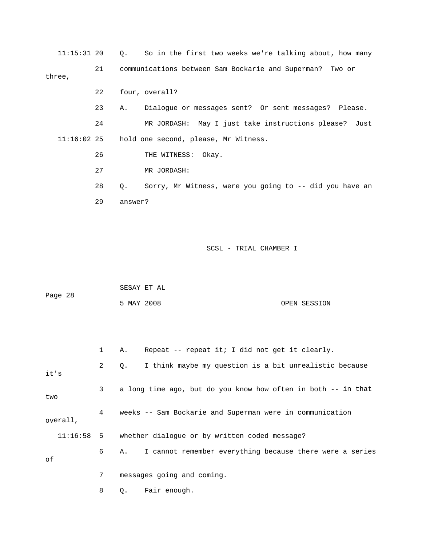11:15:31 20 Q. So in the first two weeks we're talking about, how many ions please? Just 24 MR JORDASH: May I just take instruct 27 MR JORDASH: 28 Q. Sorry, Mr Witness, were you going to -- did you have an 21 communications between Sam Bockarie and Superman? Two or three, 22 four, overall? 23 A. Dialogue or messages sent? Or sent messages? Please. 11:16:02 25 hold one second, please, Mr Witness. 26 THE WITNESS: Okay. 29 answer?

| Page 28 | SESAY ET AL |  |              |
|---------|-------------|--|--------------|
|         | 5 MAY 2008  |  | OPEN SESSION |

|      |          |                | Repeat -- repeat it; I did not get it clearly.<br>Α.            |
|------|----------|----------------|-----------------------------------------------------------------|
| it's |          | $\overline{a}$ | I think maybe my question is a bit unrealistic because<br>$Q$ . |
| two  |          | 3 <sup>7</sup> | a long time ago, but do you know how often in both -- in that   |
|      | overall, | $4\degree$     | weeks -- Sam Bockarie and Superman were in communication        |
|      |          |                | 11:16:58 5 whether dialogue or by written coded message?        |
| оf   |          | 6              | I cannot remember everything because there were a series<br>A., |
|      |          | 7              | messages going and coming.                                      |
|      |          | 8              | Fair enough.<br>Q.                                              |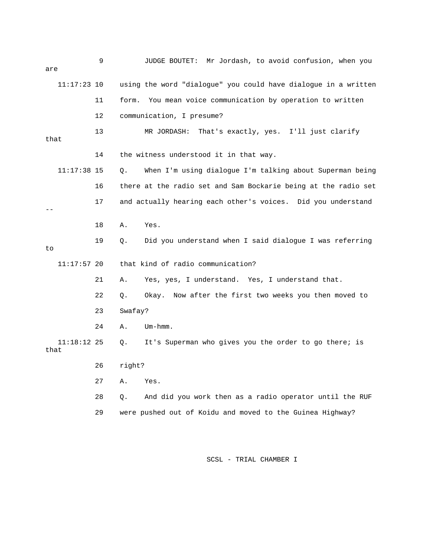| are  |               | 9  |         | Mr Jordash, to avoid confusion, when you<br>JUDGE BOUTET:      |
|------|---------------|----|---------|----------------------------------------------------------------|
|      | $11:17:23$ 10 |    |         | using the word "dialogue" you could have dialogue in a written |
|      |               | 11 | form.   | You mean voice communication by operation to written           |
|      |               | 12 |         | communication, I presume?                                      |
| that |               | 13 |         | That's exactly, yes. I'll just clarify<br>MR JORDASH:          |
|      |               | 14 |         | the witness understood it in that way.                         |
|      | $11:17:38$ 15 |    | Q.      | When I'm using dialogue I'm talking about Superman being       |
|      |               | 16 |         | there at the radio set and Sam Bockarie being at the radio set |
|      |               | 17 |         | and actually hearing each other's voices. Did you understand   |
|      |               | 18 | Α.      | Yes.                                                           |
| to   |               | 19 | О.      | Did you understand when I said dialogue I was referring        |
|      | $11:17:57$ 20 |    |         | that kind of radio communication?                              |
|      |               | 21 | Α.      | Yes, yes, I understand. Yes, I understand that.                |
|      |               | 22 | Q.      | Now after the first two weeks you then moved to<br>Okay.       |
|      |               | 23 | Swafay? |                                                                |
|      |               | 24 | Α.      | $Um - hmm.$                                                    |
| that | $11:18:12$ 25 |    | О.      | It's Superman who gives you the order to go there; is          |
|      |               | 26 | right?  |                                                                |
|      |               | 27 | Α.      | Yes.                                                           |
|      |               | 28 | Q.      | And did you work then as a radio operator until the RUF        |

29 were pushed out of Koidu and moved to the Guinea Highway?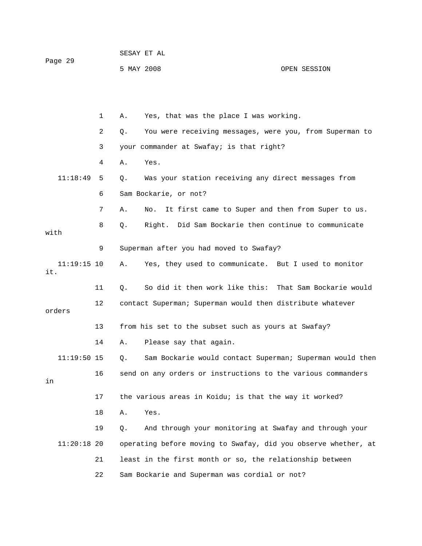| Page 29 | SESAY ET AL |  |              |
|---------|-------------|--|--------------|
|         | 5 MAY 2008  |  | OPEN SESSION |

|      |               | 1  | Α.    | Yes, that was the place I was working.                         |
|------|---------------|----|-------|----------------------------------------------------------------|
|      |               | 2  | Q.    | You were receiving messages, were you, from Superman to        |
|      |               | 3  |       | your commander at Swafay; is that right?                       |
|      |               | 4  | Α.    | Yes.                                                           |
|      | 11:18:49      | 5  | Q.    | Was your station receiving any direct messages from            |
|      |               | 6  |       | Sam Bockarie, or not?                                          |
|      |               | 7  | Α.    | It first came to Super and then from Super to us.<br>No.       |
| with |               | 8  | Q.    | Right. Did Sam Bockarie then continue to communicate           |
|      |               | 9  |       | Superman after you had moved to Swafay?                        |
| it.  | $11:19:15$ 10 |    | Α.    | Yes, they used to communicate. But I used to monitor           |
|      |               | 11 | Q.    | So did it then work like this: That Sam Bockarie would         |
|      | orders        | 12 |       | contact Superman; Superman would then distribute whatever      |
|      |               | 13 |       | from his set to the subset such as yours at Swafay?            |
|      |               | 14 |       |                                                                |
|      |               |    | Α.    | Please say that again.                                         |
|      | $11:19:50$ 15 |    | $Q$ . | Sam Bockarie would contact Superman; Superman would then       |
| in   |               | 16 |       | send on any orders or instructions to the various commanders   |
|      |               | 17 |       | the various areas in Koidu; is that the way it worked?         |
|      |               | 18 | Α.    | Yes.                                                           |
|      |               | 19 | Q.    | And through your monitoring at Swafay and through your         |
|      | $11:20:18$ 20 |    |       | operating before moving to Swafay, did you observe whether, at |
|      |               | 21 |       | least in the first month or so, the relationship between       |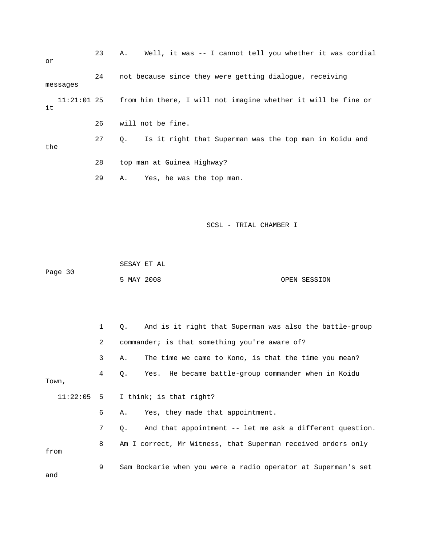| or                  | 23 | Well, it was -- I cannot tell you whether it was cordial<br>Α.      |
|---------------------|----|---------------------------------------------------------------------|
| messages            | 24 | not because since they were getting dialogue, receiving             |
| $11:21:01$ 25<br>it |    | from him there, I will not imagine whether it will be fine or       |
|                     | 26 | will not be fine.                                                   |
| the                 | 27 | Is it right that Superman was the top man in Koidu and<br>$\circ$ . |
|                     | 28 | top man at Guinea Highway?                                          |
|                     | 29 | Yes, he was the top man.<br>Α.                                      |

 SESAY ET AL Page 30

5 MAY 2008 OPEN SESSION

 1 Q. And is it right that Superman was also the battle-group 3 A. The time we came to Kono, is that the time you mean? 4 Q. Yes. He became battle-group commander when in Koidu Town, 11:22:05 5 I think; is that right? 7 Q. And that appointment -- let me ask a different question. 8 Am I correct, Mr Witness, that Superman received orders only 9 Sam Bockarie when you were a radio operator at Superman's set 2 commander; is that something you're aware of? 6 A. Yes, they made that appointment. from and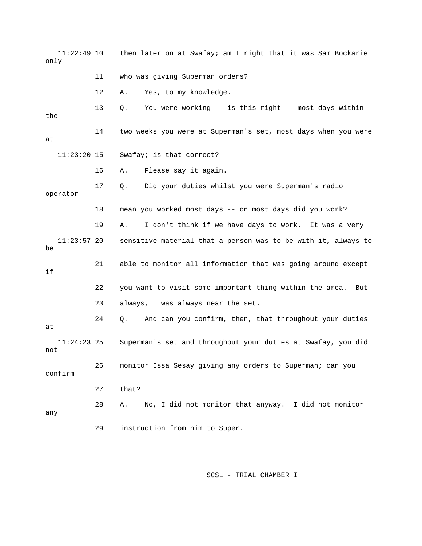11:22:49 10 then later on at Swafay; am I right that it was Sam Bockarie 12 A. Yes, to my knowledge. 13 Q. You were working -- is this right -- most days within the 14 two weeks you were at Superman's set, most days when you were 16 A. Please say it again. 17 Q. Did your duties whilst you were Superman's radio operator 18 mean you worked most days -- on most days did you work? 19 A. I don't think if we have days to work. It was a very  $11:23:57$  20 sensitive material that a person was to be with it, always to 21 able to monitor all information that was going around except 22 you want to visit some important thing within the area. But 23 always, I was always near the set. not 28 A. No, I did not monitor that anyway. I did not monitor 29 instruction from him to Super. only 11 who was giving Superman orders? at 11:23:20 15 Swafay; is that correct? be if 24 Q. And can you confirm, then, that throughout your duties at 11:24:23 25 Superman's set and throughout your duties at Swafay, you did 26 monitor Issa Sesay giving any orders to Superman; can you confirm 27 that? any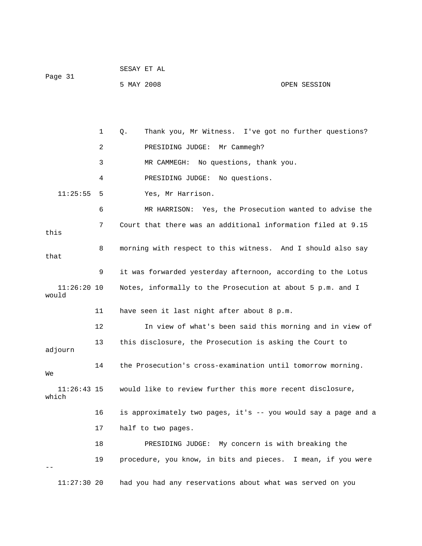|         | SESAY ET AL |              |
|---------|-------------|--------------|
| Page 31 |             |              |
|         | 5 MAY 2008  | OPEN SESSION |

 2 PRESIDING JUDGE: Mr Cammegh? 3 MR CAMMEGH: No questions, thank you. 4 PRESIDING JUDGE: No questions. 11:25:55 5 Yes, Mr Harrison. 6 MR HARRISON: Yes, the Prosecution wanted to advise the 7 Court that there was an additional information filed at 9.15 8 morning with respect to this witness. And I should also say that 9 it was forwarded yesterday afternoon, according to the Lotus 11:26:20 10 Notes, informally to the Prosecution at about 5 p.m. and I 11 have seen it last night after about 8 p.m. 12 In view of what's been said this morning and in view of adjourn  $11:26:43$  15 would like to review further this more recent disclosure, 16 is approximately two pages, it's -- you would say a page and a 17 half to two pages. 18 PRESIDING JUDGE: My concern is with breaking the 19 procedure, you know, in bits and pieces. I mean, if you were 1 Q. Thank you, Mr Witness. I've got no further questions? this would 13 this disclosure, the Prosecution is asking the Court to 14 the Prosecution's cross-examination until tomorrow morning. We which -- 11:27:30 20 had you had any reservations about what was served on you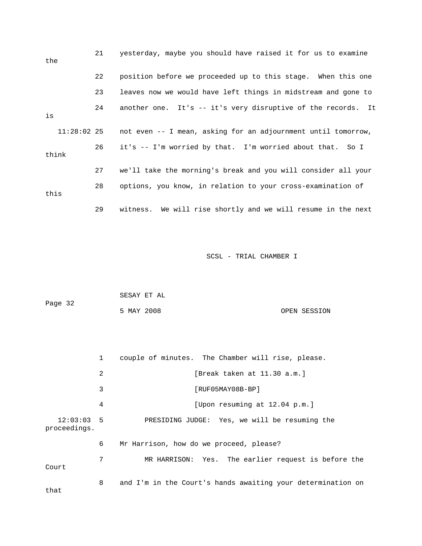| the   |               | 21 | yesterday, maybe you should have raised it for us to examine  |
|-------|---------------|----|---------------------------------------------------------------|
|       |               | 22 | position before we proceeded up to this stage. When this one  |
|       |               | 23 | leaves now we would have left things in midstream and gone to |
| is    |               | 24 | another one. It's -- it's very disruptive of the records. It  |
|       | $11:28:02$ 25 |    | not even -- I mean, asking for an adjournment until tomorrow, |
| think |               | 26 | it's -- I'm worried by that. I'm worried about that. So I     |
|       |               | 27 | we'll take the morning's break and you will consider all your |
| this  |               | 28 | options, you know, in relation to your cross-examination of   |
|       |               | 29 | witness. We will rise shortly and we will resume in the next  |

|         | SESAY ET AL |  |              |
|---------|-------------|--|--------------|
| Page 32 |             |  |              |
|         | 5 MAY 2008  |  | OPEN SESSION |

|                           | $\mathbf{1}$ | couple of minutes. The Chamber will rise, please.           |
|---------------------------|--------------|-------------------------------------------------------------|
|                           | 2            | [Break taken at 11.30 a.m.]                                 |
|                           | 3            | [RUF05MAY08B-BP]                                            |
|                           | 4            | [Upon resuming at 12.04 p.m.]                               |
| 12:03:035<br>proceedings. |              | PRESIDING JUDGE: Yes, we will be resuming the               |
|                           | 6            | Mr Harrison, how do we proceed, please?                     |
| Court                     | 7            | MR HARRISON: Yes. The earlier request is before the         |
| that                      | 8            | and I'm in the Court's hands awaiting your determination on |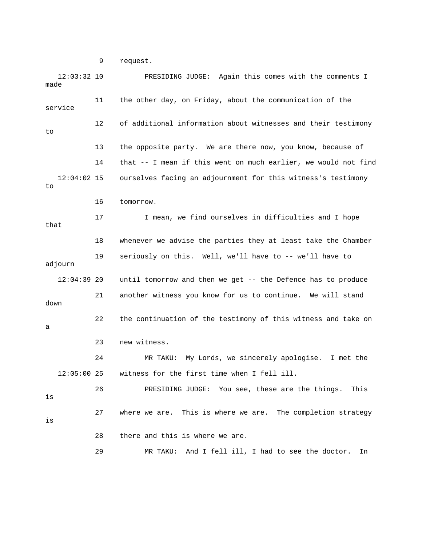9 request.

12:03:32 10 PRESIDING JUDGE: Again this comes with the comments I 11 the other day, on Friday, about the communication of the 12 of additional information about witnesses and their testimony 13 the opposite party. We are there now, you know, because of 14 that -- I mean if this went on much earlier, we would not find 12:04:02 15 ourselves facing an adjournment for this witness's testimony 17 I mean, we find ourselves in difficulties and I hope adjourn  $12:04:39$  20 until tomorrow and then we get -- the Defence has to produce 24 MR TAKU: My Lords, we sincerely apologise. I met the 12:05:00 25 witness for the first time when I fell ill. 28 there and this is where we are. 29 MR TAKU: And I fell ill, I had to see the doctor. In made service to to 16 tomorrow. that 18 whenever we advise the parties they at least take the Chamber 19 seriously on this. Well, we'll have to -- we'll have to 21 another witness you know for us to continue. We will stand down 22 the continuation of the testimony of this witness and take on a 23 new witness. 26 PRESIDING JUDGE: You see, these are the things. This is 27 where we are. This is where we are. The completion strategy is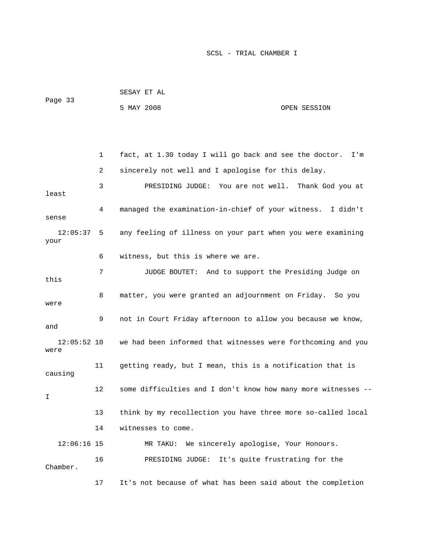|                       |    | ununi ni ni                                                   |                                |
|-----------------------|----|---------------------------------------------------------------|--------------------------------|
| Page 33               |    | 5 MAY 2008                                                    | OPEN SESSION                   |
|                       |    |                                                               |                                |
|                       | 1  | fact, at 1.30 today I will go back and see the doctor.        | I'm                            |
|                       | 2  | sincerely not well and I apologise for this delay.            |                                |
| least                 | 3  | PRESIDING JUDGE: You are not well. Thank God you at           |                                |
| sense                 | 4  | managed the examination-in-chief of your witness. I didn't    |                                |
| 12:05:37<br>your      | 5  | any feeling of illness on your part when you were examining   |                                |
|                       | 6  | witness, but this is where we are.                            |                                |
| this                  | 7  | JUDGE BOUTET: And to support the Presiding Judge on           |                                |
| were                  | 8  | matter, you were granted an adjournment on Friday. So you     |                                |
| and                   | 9  | not in Court Friday afternoon to allow you because we know,   |                                |
| $12:05:52$ 10<br>were |    | we had been informed that witnesses were forthcoming and you  |                                |
| causing               | 11 | getting ready, but I mean, this is a notification that is     |                                |
| Ι                     | 12 | some difficulties and I don't know how many more witnesses -- |                                |
|                       | 13 | think by my recollection you have three more so-called local  |                                |
|                       | 14 | witnesses to come.                                            |                                |
| $12:06:16$ 15         |    | We sincerely apologise, Your Honours.<br>MR TAKU:             |                                |
| Chamber.              | 16 | PRESIDING JUDGE:                                              | It's quite frustrating for the |

SESAY ET AL

17 It's not because of what has been said about the completion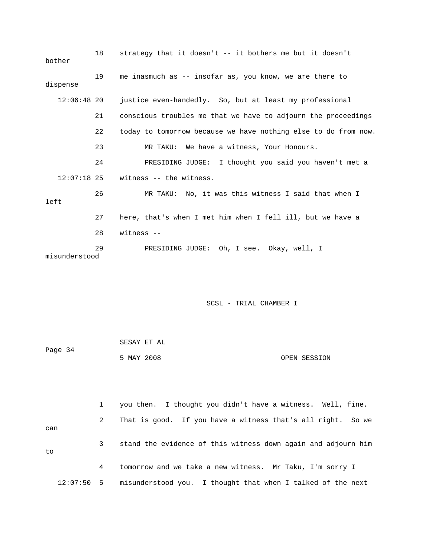| bother        | 18 | strategy that it doesn't -- it bothers me but it doesn't       |
|---------------|----|----------------------------------------------------------------|
| dispense      | 19 | me inasmuch as -- insofar as, you know, we are there to        |
| $12:06:48$ 20 |    | justice even-handedly. So, but at least my professional        |
|               | 21 | conscious troubles me that we have to adjourn the proceedings  |
|               | 22 | today to tomorrow because we have nothing else to do from now. |
|               | 23 | MR TAKU: We have a witness, Your Honours.                      |
|               | 24 | PRESIDING JUDGE: I thought you said you haven't met a          |
| $12:07:18$ 25 |    | witness -- the witness.                                        |
| left          | 26 | MR TAKU: No, it was this witness I said that when I            |
|               | 27 | here, that's when I met him when I fell ill, but we have a     |
|               | 28 | witness $-$                                                    |
| misunderstood | 29 | PRESIDING JUDGE: Oh, I see. Okay, well, I                      |

| Page 34 | SESAY ET AL |              |
|---------|-------------|--------------|
|         | 5 MAY 2008  | OPEN SESSION |

 1 you then. I thought you didn't have a witness. Well, fine. 2 That is good. If you have a witness that's all right. So we 3 stand the evidence of this witness down again and adjourn him 4 tomorrow and we take a new witness. Mr Taku, I'm sorry I can to

12:07:50 5 misunderstood you. I thought that when I talked of the next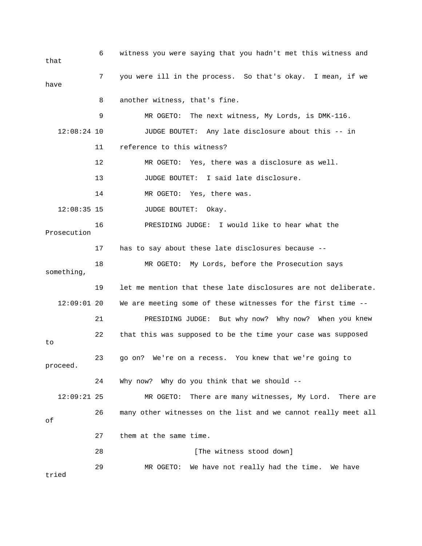6 witness you were saying that you hadn't met this witness and 7 you were ill in the process. So that's okay. I mean, if we 8 another witness, that's fine. 9 MR OGETO: The next witness, My Lords, is DMK-116. 11 reference to this witness? 13 JUDGE BOUTET: I said late disclosure. 14 MR OGETO: Yes, there was. 12:08:35 15 JUDGE BOUTET: Okay. 16 PRESIDING JUDGE: I would like to hear what the 18 MR OGETO: My Lords, before the Prosecution says 19 let me mention that these late disclosures are not deliberate. 12:09:01 20 We are meeting some of these witnesses for the first time - ou knew 21 PRESIDING JUDGE: But why now? Why now? When y 22 that this was supposed to be the time your case was supposed 23 go on? We're on a recess. You knew that we're going to 24 Why now? Why do you think that we should -- 12:09:21 25 MR OGETO: There are many witnesses, My Lord. There are 27 them at the same time. 28 [The witness stood down] 29 MR OGETO: We have not really had the time. We have tried that have 12:08:24 10 JUDGE BOUTET: Any late disclosure about this -- in 12 MR OGETO: Yes, there was a disclosure as well. Prosecution 17 has to say about these late disclosures because - something, to proceed. 26 many other witnesses on the list and we cannot really meet all of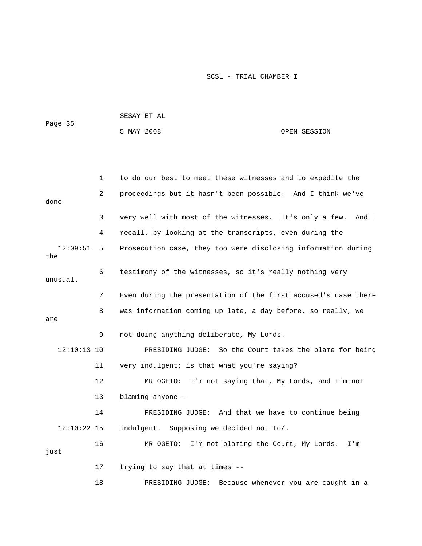| Page 35 | SESAY ET AL |  |              |
|---------|-------------|--|--------------|
|         | 5 MAY 2008  |  | OPEN SESSION |

|                 | 1              | to do our best to meet these witnesses and to expedite the      |
|-----------------|----------------|-----------------------------------------------------------------|
| done            | $\overline{2}$ | proceedings but it hasn't been possible. And I think we've      |
|                 | 3              | very well with most of the witnesses. It's only a few.<br>And I |
|                 | 4              | recall, by looking at the transcripts, even during the          |
| 12:09:51<br>the | 5              | Prosecution case, they too were disclosing information during   |
| unusual.        | 6              | testimony of the witnesses, so it's really nothing very         |
|                 | 7              | Even during the presentation of the first accused's case there  |
| are             | 8              | was information coming up late, a day before, so really, we     |
|                 | 9              | not doing anything deliberate, My Lords.                        |
| $12:10:13$ 10   |                | PRESIDING JUDGE: So the Court takes the blame for being         |
|                 | 11             | very indulgent; is that what you're saying?                     |
|                 | 12             | MR OGETO: I'm not saying that, My Lords, and I'm not            |
|                 | 13             | blaming anyone --                                               |
|                 | 14             | PRESIDING JUDGE: And that we have to continue being             |
| $12:10:22$ 15   |                | indulgent. Supposing we decided not to/.                        |
| just            | 16             | MR OGETO: I'm not blaming the Court, My Lords.<br>I'm           |
|                 | 17             | trying to say that at times --                                  |
|                 | 18             | Because whenever you are caught in a<br>PRESIDING JUDGE:        |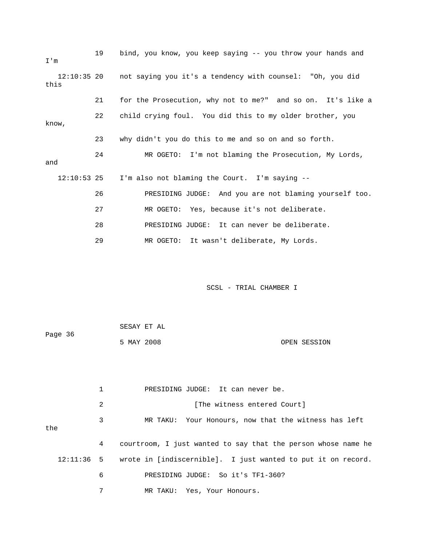| I'm           | 19 | bind, you know, you keep saying -- you throw your hands and           |
|---------------|----|-----------------------------------------------------------------------|
| this          |    | 12:10:35 20 not saying you it's a tendency with counsel: "Oh, you did |
|               | 21 | for the Prosecution, why not to me?" and so on. It's like a           |
| know,         | 22 | child crying foul. You did this to my older brother, you              |
|               | 23 | why didn't you do this to me and so on and so forth.                  |
| and           | 24 | MR OGETO: I'm not blaming the Prosecution, My Lords,                  |
| $12:10:53$ 25 |    | I'm also not blaming the Court. I'm saying --                         |
|               | 26 | PRESIDING JUDGE: And you are not blaming yourself too.                |
|               | 27 | MR OGETO: Yes, because it's not deliberate.                           |
|               | 28 | PRESIDING JUDGE: It can never be deliberate.                          |
|               | 29 | MR OGETO: It wasn't deliberate, My Lords.                             |

|         | SESAY ET AL |              |
|---------|-------------|--------------|
| Page 36 |             |              |
|         | 5 MAY 2008  | OPEN SESSION |

|     |                                                           | PRESIDING JUDGE: It can never be.                                       |
|-----|-----------------------------------------------------------|-------------------------------------------------------------------------|
|     | 2                                                         | [The witness entered Court]                                             |
| the | 3<br>MR TAKU: Your Honours, now that the witness has left |                                                                         |
|     | 4                                                         | courtroom, I just wanted to say that the person whose name he           |
|     |                                                           | 12:11:36 5 wrote in [indiscernible]. I just wanted to put it on record. |
|     | 6                                                         | PRESIDING JUDGE: So it's TF1-360?                                       |
|     | 7                                                         | MR TAKU: Yes, Your Honours.                                             |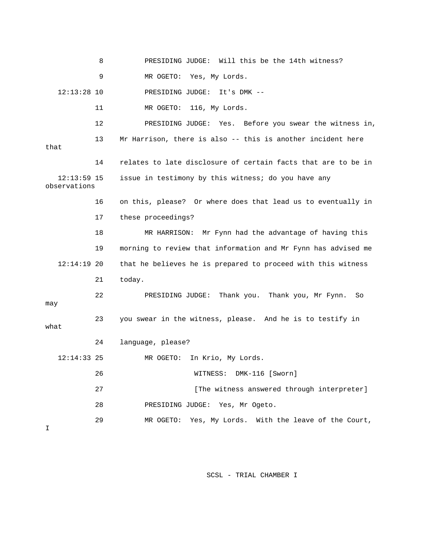|                               | 8  | PRESIDING JUDGE: Will this be the 14th witness?               |
|-------------------------------|----|---------------------------------------------------------------|
|                               | 9  | MR OGETO: Yes, My Lords.                                      |
| $12:13:28$ 10                 |    | PRESIDING JUDGE:<br>It's $DMK$ --                             |
|                               | 11 | 116, My Lords.<br>MR OGETO:                                   |
|                               | 12 | PRESIDING JUDGE: Yes. Before you swear the witness in,        |
| that                          | 13 | Mr Harrison, there is also -- this is another incident here   |
|                               | 14 | relates to late disclosure of certain facts that are to be in |
| $12:13:59$ 15<br>observations |    | issue in testimony by this witness; do you have any           |
|                               | 16 | on this, please? Or where does that lead us to eventually in  |
|                               | 17 | these proceedings?                                            |
|                               | 18 | MR HARRISON:<br>Mr Fynn had the advantage of having this      |
|                               | 19 | morning to review that information and Mr Fynn has advised me |
| $12:14:19$ 20                 |    | that he believes he is prepared to proceed with this witness  |
|                               | 21 | today.                                                        |
| may                           | 22 | PRESIDING JUDGE: Thank you. Thank you, Mr Fynn.<br>So         |
| what                          | 23 | you swear in the witness, please. And he is to testify in     |
|                               | 24 | language, please?                                             |
| $12:14:33$ 25                 |    | MR OGETO:<br>In Krio, My Lords.                               |
|                               | 26 | WITNESS: DMK-116 [Sworn]                                      |
|                               | 27 | [The witness answered through interpreter]                    |
|                               | 28 | PRESIDING JUDGE: Yes, Mr Ogeto.                               |
| I                             | 29 | MR OGETO: Yes, My Lords. With the leave of the Court,         |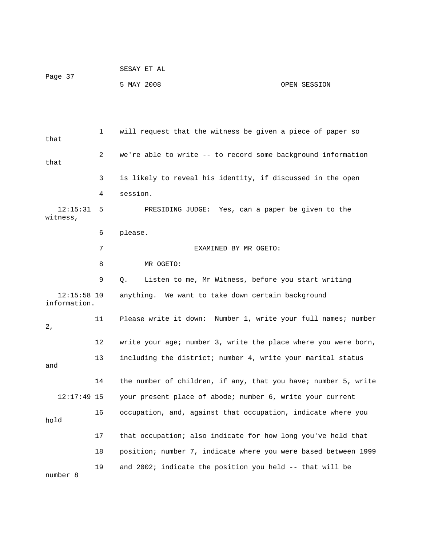|         | SESAY ET AL |              |
|---------|-------------|--------------|
| Page 37 |             |              |
|         | 5 MAY 2008  | OPEN SESSION |

 1 will request that the witness be given a piece of paper so that 3 is likely to reveal his identity, if discussed in the open 4 session. 12:15:31 5 PRESIDING JUDGE: Yes, can a paper be given to the 6 please. 7 EXAMINED BY MR OGETO: 9 Q. Listen to me, Mr Witness, before you start writing information. 11 Please write it down: Number 1, write your full names; number 12 write your age; number 3, write the place where you were born, 13 including the district; number 4, write your marital status 14 the number of children, if any, that you have; number 5, write 12:17:49 15 your present place of abode; number 6, write your current hold 18 position; number 7, indicate where you were based between 1999 number 8 2 we're able to write -- to record some background information that witness, 8 MR OGETO: 12:15:58 10 anything. We want to take down certain background 2, and 16 occupation, and, against that occupation, indicate where you 17 that occupation; also indicate for how long you've held that 19 and 2002; indicate the position you held -- that will be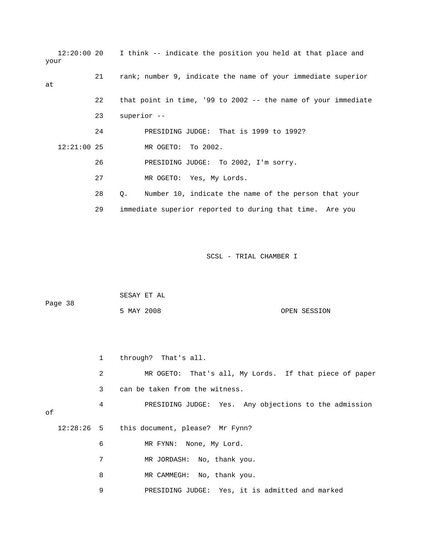|      |               |    | 12:20:00 20 I think -- indicate the position you held at that place and |
|------|---------------|----|-------------------------------------------------------------------------|
| your |               |    |                                                                         |
| at   |               | 21 | rank; number 9, indicate the name of your immediate superior            |
|      |               |    |                                                                         |
|      |               | 22 | that point in time, '99 to 2002 -- the name of your immediate           |
|      |               | 23 | superior --                                                             |
|      |               | 24 | PRESIDING JUDGE: That is 1999 to 1992?                                  |
|      | $12:21:00$ 25 |    | MR OGETO: To 2002.                                                      |
|      |               | 26 | PRESIDING JUDGE: To 2002, I'm sorry.                                    |
|      |               | 27 | MR OGETO: Yes, My Lords.                                                |
|      |               | 28 | Number 10, indicate the name of the person that your<br>Q.              |
|      |               | 29 | immediate superior reported to during that time. Are you                |

| Page 38 | SESAY ET AL |  |              |
|---------|-------------|--|--------------|
|         | 5 MAY 2008  |  | OPEN SESSION |

|    | $\mathbf{1}$ | through? That's all.                                   |
|----|--------------|--------------------------------------------------------|
|    | 2            | MR OGETO: That's all, My Lords. If that piece of paper |
|    | 3            | can be taken from the witness.                         |
| оf | 4            | PRESIDING JUDGE: Yes. Any objections to the admission  |
|    |              | 12:28:26 5 this document, please? Mr Fynn?             |
|    | 6            | MR FYNN: None, My Lord.                                |
|    | 7            | MR JORDASH: No, thank you.                             |
|    | 8            | MR CAMMEGH: No, thank you.                             |
|    | 9            | PRESIDING JUDGE: Yes, it is admitted and marked        |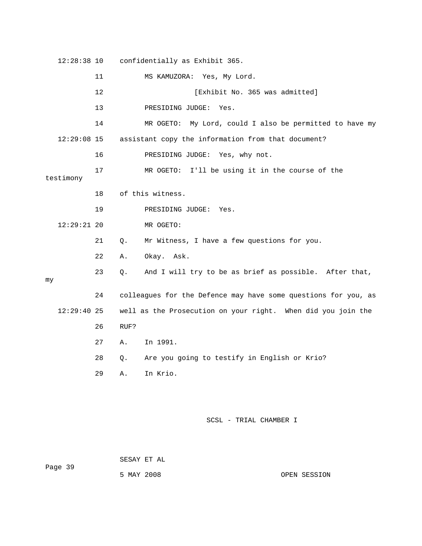12:28:38 10 confidentially as Exhibit 365. 11 MS KAMUZORA: Yes, My Lord. 12 **12 12 Exhibit No. 365** was admitted] 14 MR OGETO: My Lord, could I also be permitted to have my 12:29:08 15 assistant copy the information from that document? 16 PRESIDING JUDGE: Yes, why not. 17 MR OGETO: I'll be using it in the course of the 18 of this witness. 19 PRESIDING JUDGE: Yes. 21 Q. Mr Witness, I have a few questions for you. 22 A. Okay. Ask. 23 Q. And I will try to be as brief as possible. After that, 24 colleagues for the Defence may have some questions for you, as 12:29:40 25 well as the Prosecution on your right. When did you join the 26 RUF? 28 Q. Are you going to testify in English or Krio? 13 PRESIDING JUDGE: Yes. testimony 12:29:21 20 MR OGETO: my 27 A. In 1991. 29 A. In Krio.

SCSL - TRIAL CHAMBER I

Page 39 SESAY ET AL

5 MAY 2008 OPEN SESSION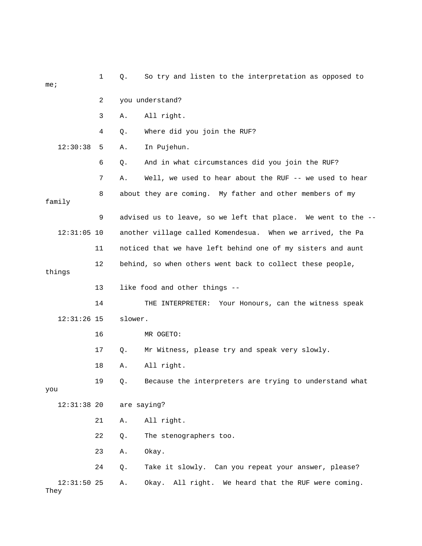| me <sub>i</sub>       | $\mathbf 1$ | So try and listen to the interpretation as opposed to<br>Q.   |
|-----------------------|-------------|---------------------------------------------------------------|
|                       | 2           | you understand?                                               |
|                       | 3           | All right.<br>Α.                                              |
|                       | 4           | Where did you join the RUF?<br>Q.                             |
| 12:30:38              | 5           | In Pujehun.<br>Α.                                             |
|                       | 6           | And in what circumstances did you join the RUF?<br>Q.         |
|                       | 7           | Well, we used to hear about the RUF -- we used to hear<br>Α.  |
| family                | 8           | about they are coming. My father and other members of my      |
|                       | 9           | advised us to leave, so we left that place. We went to the -- |
| $12:31:05$ 10         |             | another village called Komendesua. When we arrived, the Pa    |
|                       | 11          | noticed that we have left behind one of my sisters and aunt   |
| things                | 12          | behind, so when others went back to collect these people,     |
|                       | 13          | like food and other things --                                 |
|                       | 14          | THE INTERPRETER: Your Honours, can the witness speak          |
| $12:31:26$ 15         |             | slower.                                                       |
|                       | 16          | MR OGETO:                                                     |
|                       | 17          | Mr Witness, please try and speak very slowly.<br>Q.           |
|                       | 18          | All right.<br>Α.                                              |
| you                   | 19          | Because the interpreters are trying to understand what<br>Q.  |
| $12:31:38$ 20         |             | are saying?                                                   |
|                       | 21          | All right.<br>Α.                                              |
|                       | 22          | The stenographers too.<br>Q.                                  |
|                       | 23          | Okay.<br>Α.                                                   |
|                       | 24          | Take it slowly. Can you repeat your answer, please?<br>Q.     |
| $12:31:50$ 25<br>They |             | Okay. All right. We heard that the RUF were coming.<br>Α.     |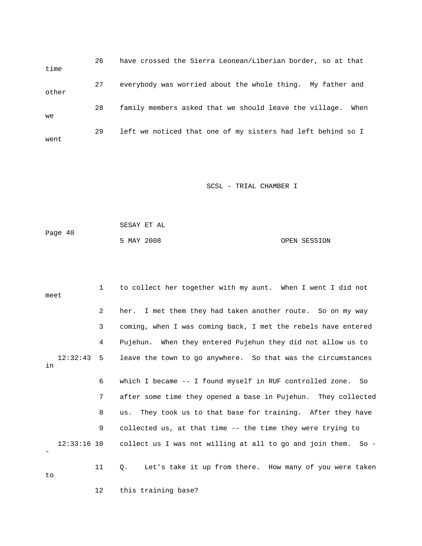26 have crossed the Sierra Leonean/Liberian border, so at that time 27 everybody was worried about the whole thing. My father and 29 left we noticed that one of my sisters had left behind so I went other 28 family members asked that we should leave the village. When we

| Page 40 | SESAY ET AL |  |              |
|---------|-------------|--|--------------|
|         | 5 MAY 2008  |  | OPEN SESSION |

| meet |          | $1 \quad$      | to collect her together with my aunt. When I went I did not               |
|------|----------|----------------|---------------------------------------------------------------------------|
|      |          | $\overline{2}$ | her. I met them they had taken another route. So on my way                |
|      |          | 3              | coming, when I was coming back, I met the rebels have entered             |
|      |          | 4              | Pujehun. When they entered Pujehun they did not allow us to               |
| in   | 12:32:43 | 5              | leave the town to go anywhere. So that was the circumstances              |
|      |          | 6              | which I became -- I found myself in RUF controlled zone. So               |
|      |          | 7              | after some time they opened a base in Pujehun. They collected             |
|      |          | 8              | They took us to that base for training. After they have<br>us.            |
|      |          | 9              | collected us, at that time -- the time they were trying to                |
|      |          |                | 12:33:16 10 collect us I was not willing at all to go and join them. So - |
| to   |          | 11             | Let's take it up from there. How many of you were taken<br>$\circ$ .      |
|      |          | 12             | this training base?                                                       |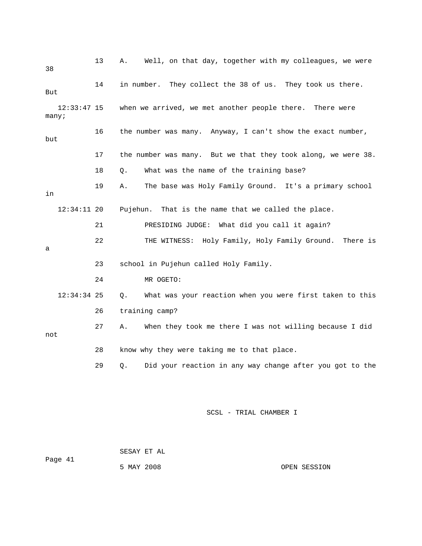| 38    |               | 13 | Α.         | Well, on that day, together with my colleagues, we were       |
|-------|---------------|----|------------|---------------------------------------------------------------|
| But   |               | 14 | in number. | They collect the 38 of us. They took us there.                |
| many; | $12:33:47$ 15 |    |            | when we arrived, we met another people there. There were      |
| but   |               | 16 |            | the number was many. Anyway, I can't show the exact number,   |
|       |               | 17 |            | the number was many. But we that they took along, we were 38. |
|       |               | 18 | Ο.         | What was the name of the training base?                       |
| in    |               | 19 | Α.         | The base was Holy Family Ground. It's a primary school        |
|       | $12:34:11$ 20 |    | Pujehun.   | That is the name that we called the place.                    |
|       |               | 21 |            | What did you call it again?<br>PRESIDING JUDGE:               |
| a     |               | 22 |            | THE WITNESS: Holy Family, Holy Family Ground. There is        |
|       |               | 23 |            | school in Pujehun called Holy Family.                         |
|       |               | 24 |            | MR OGETO:                                                     |
|       | $12:34:34$ 25 |    | Q.         | What was your reaction when you were first taken to this      |
|       |               | 26 |            | training camp?                                                |
| not   |               | 27 | Α.         | When they took me there I was not willing because I did       |
|       |               | 28 |            | know why they were taking me to that place.                   |
|       |               | 29 | Q.         | Did your reaction in any way change after you got to the      |
|       |               |    |            |                                                               |

 SESAY ET AL 5 MAY 2008 OPEN SESSION Page 41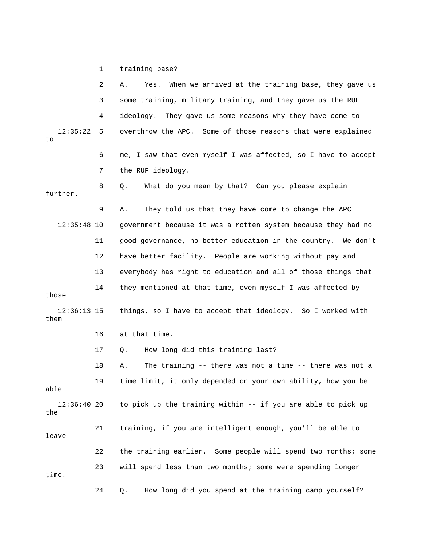1 training base?

|                       | 2  | When we arrived at the training base, they gave us<br>Yes.<br>Α. |
|-----------------------|----|------------------------------------------------------------------|
|                       | 3  | some training, military training, and they gave us the RUF       |
|                       | 4  | ideology.<br>They gave us some reasons why they have come to     |
| 12:35:22<br>to        | 5  | overthrow the APC. Some of those reasons that were explained     |
|                       | 6  | me, I saw that even myself I was affected, so I have to accept   |
|                       | 7  | the RUF ideology.                                                |
| further.              | 8  | What do you mean by that? Can you please explain<br>Q.           |
|                       | 9  | They told us that they have come to change the APC<br>Α.         |
| $12:35:48$ 10         |    | government because it was a rotten system because they had no    |
|                       | 11 | good governance, no better education in the country. We don't    |
|                       | 12 | have better facility. People are working without pay and         |
|                       | 13 | everybody has right to education and all of those things that    |
| those                 | 14 | they mentioned at that time, even myself I was affected by       |
| $12:36:13$ 15<br>them |    | things, so I have to accept that ideology. So I worked with      |
|                       | 16 | at that time.                                                    |
|                       | 17 | How long did this training last?<br>Q.                           |
|                       | 18 | The training -- there was not a time -- there was not a<br>Α.    |
| able                  | 19 | time limit, it only depended on your own ability, how you be     |
| 12:36:4020<br>the     |    | to pick up the training within -- if you are able to pick up     |
| leave                 | 21 | training, if you are intelligent enough, you'll be able to       |
|                       | 22 | the training earlier. Some people will spend two months; some    |
| time.                 | 23 | will spend less than two months; some were spending longer       |
|                       | 24 | How long did you spend at the training camp yourself?<br>Q.      |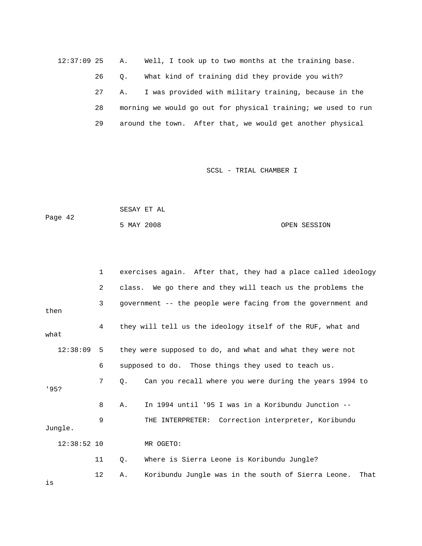12:37:09 25 A. Well, I took up to two months at the training base. 26 Q. What kind of training did they provide you with? 27 A. I was provided with military training, because in the 28 morning we would go out for physical training; we used to run 29 around the town. After that, we would get another physical

SCSL - TRIAL CHAMBER I

| Page 42 | SESAY ET AL |              |
|---------|-------------|--------------|
|         | 5 MAY 2008  | OPEN SESSION |

|      |               | 1   |    | exercises again. After that, they had a place called ideology |
|------|---------------|-----|----|---------------------------------------------------------------|
|      |               | 2   |    | class. We go there and they will teach us the problems the    |
| then |               | 3   |    | government -- the people were facing from the government and  |
| what |               | 4   |    | they will tell us the ideology itself of the RUF, what and    |
|      | 12:38:09      | - 5 |    | they were supposed to do, and what and what they were not     |
|      |               | 6   |    | supposed to do. Those things they used to teach us.           |
| 195? |               | 7   | 0. | Can you recall where you were during the years 1994 to        |
|      |               | 8   | Α. | In 1994 until '95 I was in a Koribundu Junction --            |
|      | Jungle.       | 9   |    | THE INTERPRETER: Correction interpreter, Koribundu            |
|      | $12:38:52$ 10 |     |    | MR OGETO:                                                     |
|      |               | 11  | Q. | Where is Sierra Leone is Koribundu Jungle?                    |
|      |               | 12  | Α. | Koribundu Jungle was in the south of Sierra Leone.<br>That    |

is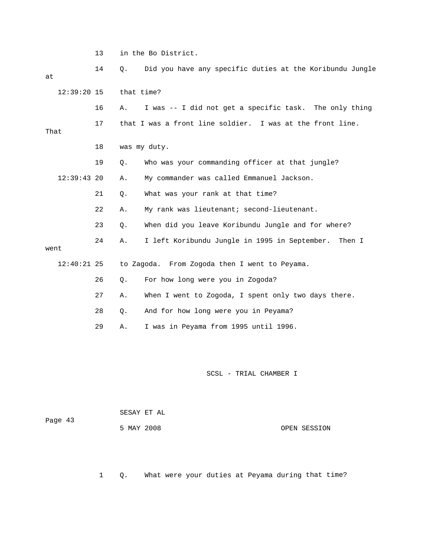13 in the Bo District.

| at   |               | 14 | Q.         | Did you have any specific duties at the Koribundu Jungle  |
|------|---------------|----|------------|-----------------------------------------------------------|
|      | $12:39:20$ 15 |    | that time? |                                                           |
|      |               | 16 | Α.         | I was -- I did not get a specific task. The only thing    |
| That |               | 17 |            | that I was a front line soldier. I was at the front line. |
|      |               | 18 |            | was my duty.                                              |
|      |               | 19 | $Q$ .      | Who was your commanding officer at that jungle?           |
|      | $12:39:43$ 20 |    | Α.         | My commander was called Emmanuel Jackson.                 |
|      |               | 21 | Q.         | What was your rank at that time?                          |
|      |               | 22 | Α.         | My rank was lieutenant; second-lieutenant.                |
|      |               | 23 | $\circ$ .  | When did you leave Koribundu Jungle and for where?        |
| went |               | 24 | Α.         | I left Koribundu Jungle in 1995 in September.<br>Then I   |
|      | $12:40:21$ 25 |    |            | to Zagoda. From Zogoda then I went to Peyama.             |
|      |               | 26 | $Q$ .      | For how long were you in Zogoda?                          |
|      |               | 27 | Α.         | When I went to Zogoda, I spent only two days there.       |
|      |               | 28 | Q.         | And for how long were you in Peyama?                      |
|      |               | 29 | Α.         | I was in Peyama from 1995 until 1996.                     |
|      |               |    |            |                                                           |

SCSL - TRIAL CHAMBER I

| Page 43 |            | SESAY ET AL |              |
|---------|------------|-------------|--------------|
|         | 5 MAY 2008 |             | OPEN SESSION |

1 Q. What were your duties at Peyama during that time?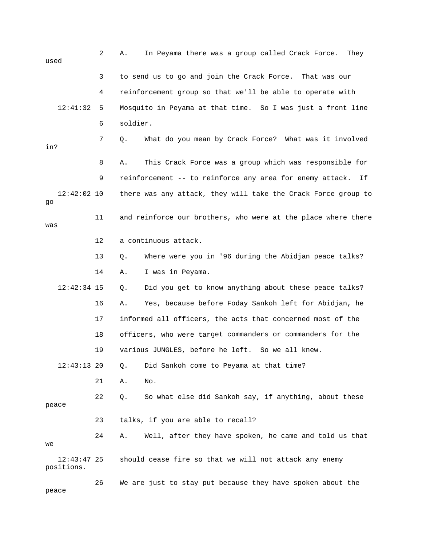| used                        | 2  | In Peyama there was a group called Crack Force.<br>They<br>Α.  |
|-----------------------------|----|----------------------------------------------------------------|
|                             | 3  | to send us to go and join the Crack Force. That was our        |
|                             | 4  | reinforcement group so that we'll be able to operate with      |
| 12:41:32                    | 5  | Mosquito in Peyama at that time. So I was just a front line    |
|                             | 6  | soldier.                                                       |
| in?                         | 7  | What do you mean by Crack Force? What was it involved<br>Q.    |
|                             | 8  | This Crack Force was a group which was responsible for<br>Α.   |
|                             | 9  | reinforcement -- to reinforce any area for enemy attack.<br>Ιf |
| $12:42:02$ 10<br>go         |    | there was any attack, they will take the Crack Force group to  |
| was                         | 11 | and reinforce our brothers, who were at the place where there  |
|                             | 12 | a continuous attack.                                           |
|                             | 13 | Where were you in '96 during the Abidjan peace talks?<br>Q.    |
|                             | 14 | I was in Peyama.<br>Α.                                         |
| $12:42:34$ 15               |    | Did you get to know anything about these peace talks?<br>Q.    |
|                             | 16 | Yes, because before Foday Sankoh left for Abidjan, he<br>Α.    |
|                             | 17 | informed all officers, the acts that concerned most of the     |
|                             | 18 | officers, who were target commanders or commanders for the     |
|                             | 19 | various JUNGLES, before he left. So we all knew.               |
| $12:43:13$ 20               |    | Did Sankoh come to Peyama at that time?<br>Q.                  |
|                             | 21 | No.<br>Α.                                                      |
| peace                       | 22 | So what else did Sankoh say, if anything, about these<br>Q.    |
|                             | 23 | talks, if you are able to recall?                              |
| we                          | 24 | Well, after they have spoken, he came and told us that<br>Α.   |
| $12:43:47$ 25<br>positions. |    | should cease fire so that we will not attack any enemy         |
| peace                       | 26 | We are just to stay put because they have spoken about the     |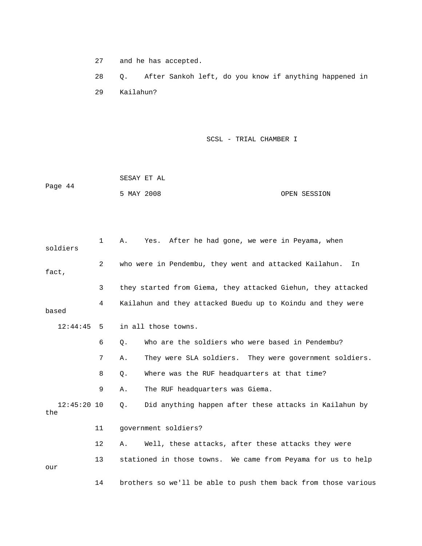27 and he has accepted.

28 Q. After Sankoh left, do you know if anything happened in 29 Kailahun?

SCSL - TRIAL CHAMBER I

Page 44 OPEN SESSION SESAY ET AL 5 MAY 2008

1 A. Yes. After he had gone, we were in Peyama, when soldiers 2 who were in Pendembu, they went and attacked Kailahun. In fact, 3 they started from Giema, they attacked Giehun, they attacked 4 Kailahun and they attacked Buedu up to Koindu and they were based 12:44:45 5 in all those towns. 7 A. They were SLA soldiers. They were government soldiers. 8 Q. Where was the RUF headquarters at that time? 14 brothers so we'll be able to push them back from those various 6 Q. Who are the soldiers who were based in Pendembu? 9 A. The RUF headquarters was Giema. 12:45:20 10 Q. Did anything happen after these attacks in Kailahun by the 11 government soldiers? 12 A. Well, these attacks, after these attacks they were 13 stationed in those towns. We came from Peyama for us to help our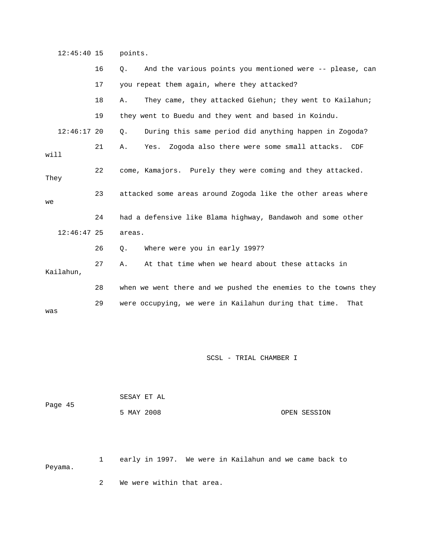12:45:40 15 points.

|               | 16 | And the various points you mentioned were -- please, can<br>О.  |
|---------------|----|-----------------------------------------------------------------|
|               | 17 | you repeat them again, where they attacked?                     |
|               | 18 | They came, they attacked Giehun; they went to Kailahun;<br>Α.   |
|               | 19 | they went to Buedu and they went and based in Koindu.           |
| $12:46:17$ 20 |    | During this same period did anything happen in Zogoda?<br>Q.    |
| will          | 21 | Zogoda also there were some small attacks.<br>Yes.<br>Α.<br>CDF |
| They          | 22 | come, Kamajors. Purely they were coming and they attacked.      |
| we            | 23 | attacked some areas around Zogoda like the other areas where    |
|               | 24 | had a defensive like Blama highway, Bandawoh and some other     |
| $12:46:47$ 25 |    | areas.                                                          |
|               | 26 | Where were you in early 1997?<br>Q.                             |
| Kailahun,     | 27 | At that time when we heard about these attacks in<br>Α.         |
|               |    |                                                                 |
|               | 28 | when we went there and we pushed the enemies to the towns they  |
| was           | 29 | were occupying, we were in Kailahun during that time.<br>That   |

SCSL - TRIAL CHAMBER I

| Page 45 |            | SESAY ET AL |              |
|---------|------------|-------------|--------------|
|         | 5 MAY 2008 |             | OPEN SESSION |

1 early in 1997. We were in Kailahun and we came back to Peyama.

2 We were within that area.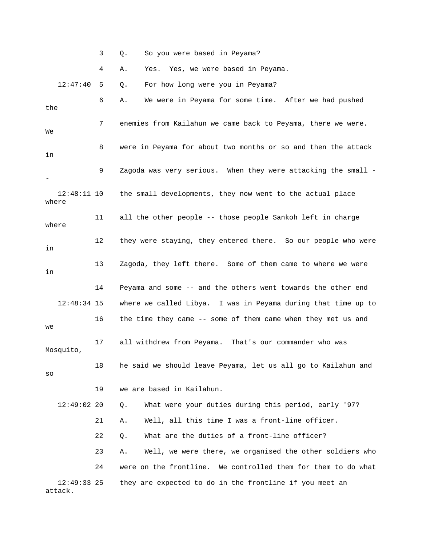3 Q. So you were based in Peyama?

4 A. Yes. Yes, we were based in Peyama.

 12:47:40 5 Q. For how long were you in Peyama? 6 A. We were in Peyama for some time. After we had pushed 7 enemies from Kailahun we came back to Peyama, there we were. 8 were in Peyama for about two months or so and then the attack 9 Zagoda was very serious. When they were attacking the small - 12:48:11 10 the small developments, they now went to the actual place 11 all the other people -- those people Sankoh left in charge 12 they were staying, they entered there. So our people who were 13 Zagoda, they left there. Some of them came to where we were 14 Peyama and some -- and the others went towards the other end where we called Libya. I was in Peyama during that time up to Mosquito, 22 0. What are the duties of a front-line officer? 23 A. Well, we were there, we organised the other soldiers who 12:49:33 25 they are expected to do in the frontline if you meet an the We in where where in in 12:48:34 15 16 the time they came -- some of them came when they met us and we 17 all withdrew from Peyama. That's our commander who was 18 he said we should leave Peyama, let us all go to Kailahun and so 19 we are based in Kailahun. 12:49:02 20 Q. What were your duties during this period, early '97? 21 A. Well, all this time I was a front-line officer. 24 were on the frontline. We controlled them for them to do what attack.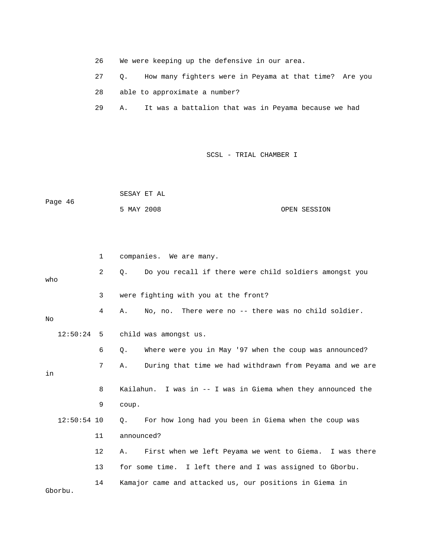26 We were keeping up the defensive in our area. 27 Q. How many fighters were in Peyama at that time? Are you 28 able to approximate a number? 29 A. It was a battalion that was in Peyama because we had

SCSL - TRIAL CHAMBER I

 SESAY ET AL Page 46 5 MAY 2008 OPEN SESSION

 2 Q. Do you recall if there were child soldiers amongst you o wh 4 A. No, no. There were no -- there was no child soldier. 12:50:24 5 child was amongst us. 6 Q. Where were you in May '97 when the coup was announced? 7 A. During that time we had withdrawn from Peyama and we are 8 Kailahun. I was in -- I was in Giema when they announced the 9 coup. Q. For how long had you been in Giema when the coup was 14 Kamajor came and attacked us, our positions in Giema in 1 companies. We are many. 3 were fighting with you at the front? No in  $12:50:54$  10 11 announced? 12 A. First when we left Peyama we went to Giema. I was there 13 for some time. I left there and I was assigned to Gborbu. Gborbu.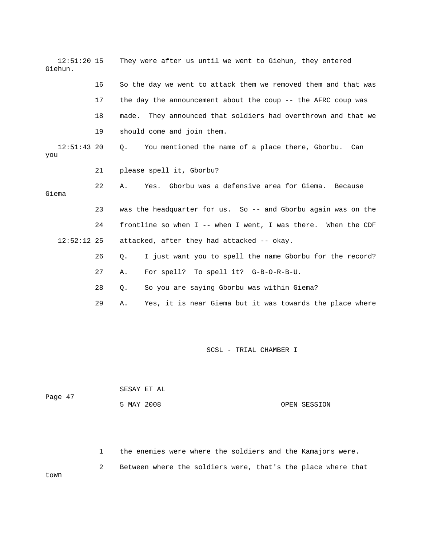| $12:51:20$ 15<br>Giehun. |    | They were after us until we went to Giehun, they entered        |  |  |  |
|--------------------------|----|-----------------------------------------------------------------|--|--|--|
|                          | 16 | So the day we went to attack them we removed them and that was  |  |  |  |
|                          | 17 | the day the announcement about the coup -- the AFRC coup was    |  |  |  |
|                          | 18 | made. They announced that soldiers had overthrown and that we   |  |  |  |
|                          | 19 | should come and join them.                                      |  |  |  |
| $12:51:43$ 20<br>you     |    | Q.<br>You mentioned the name of a place there, Gborbu. Can      |  |  |  |
|                          | 21 | please spell it, Gborbu?                                        |  |  |  |
| Giema                    | 22 | Yes. Gborbu was a defensive area for Giema. Because<br>Α.       |  |  |  |
|                          | 23 | was the headquarter for us. So -- and Gborbu again was on the   |  |  |  |
|                          | 24 | frontline so when $I$ -- when I went, I was there. When the CDF |  |  |  |
| $12:52:12$ 25            |    | attacked, after they had attacked -- okay.                      |  |  |  |
|                          | 26 | I just want you to spell the name Gborbu for the record?<br>Q.  |  |  |  |
|                          | 27 | For spell? To spell it? G-B-O-R-B-U.<br>Α.                      |  |  |  |
|                          | 28 | So you are saying Gborbu was within Giema?<br>Q.                |  |  |  |
|                          | 29 | Yes, it is near Giema but it was towards the place where<br>Α.  |  |  |  |

| Page 47 | SESAY ET AL |              |
|---------|-------------|--------------|
|         | 5 MAY 2008  | OPEN SESSION |

1 the enemies were where the soldiers and the Kamajors were.

 2 Between where the soldiers were, that's the place where that town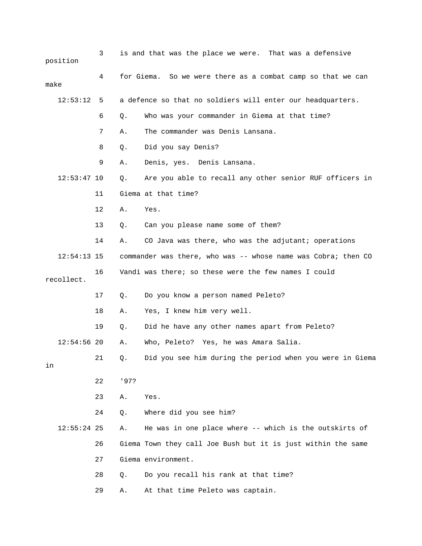|               | position      | 3  |      | is and that was the place we were. That was a defensive       |
|---------------|---------------|----|------|---------------------------------------------------------------|
| make          |               | 4  |      | for Giema. So we were there as a combat camp so that we can   |
| 12:53:12<br>5 |               |    |      | a defence so that no soldiers will enter our headquarters.    |
|               |               | 6  | Q.   | Who was your commander in Giema at that time?                 |
|               |               | 7  | Α.   | The commander was Denis Lansana.                              |
|               |               | 8  | Q.   | Did you say Denis?                                            |
|               |               | 9  | Α.   | Denis, yes. Denis Lansana.                                    |
|               | $12:53:47$ 10 |    | Q.   | Are you able to recall any other senior RUF officers in       |
|               |               | 11 |      | Giema at that time?                                           |
|               |               | 12 | Α.   | Yes.                                                          |
|               |               | 13 | Q.   | Can you please name some of them?                             |
|               |               | 14 | Α.   | CO Java was there, who was the adjutant; operations           |
|               | $12:54:13$ 15 |    |      | commander was there, who was -- whose name was Cobra; then CO |
|               | recollect.    | 16 |      | Vandi was there; so these were the few names I could          |
|               |               | 17 | Q.   | Do you know a person named Peleto?                            |
|               |               | 18 | Α.   | Yes, I knew him very well.                                    |
|               |               | 19 | Q.   | Did he have any other names apart from Peleto?                |
|               | $12:54:56$ 20 |    | Α.   | Who, Peleto? Yes, he was Amara Salia.                         |
| in            |               | 21 | Q.   | Did you see him during the period when you were in Giema      |
|               |               | 22 | '97? |                                                               |
|               |               | 23 | Α.   | Yes.                                                          |
|               |               | 24 | Q.   | Where did you see him?                                        |
|               | $12:55:24$ 25 |    | Α.   | He was in one place where -- which is the outskirts of        |
|               |               | 26 |      | Giema Town they call Joe Bush but it is just within the same  |
|               |               | 27 |      | Giema environment.                                            |
|               |               | 28 | Q.   | Do you recall his rank at that time?                          |
|               |               | 29 | Α.   | At that time Peleto was captain.                              |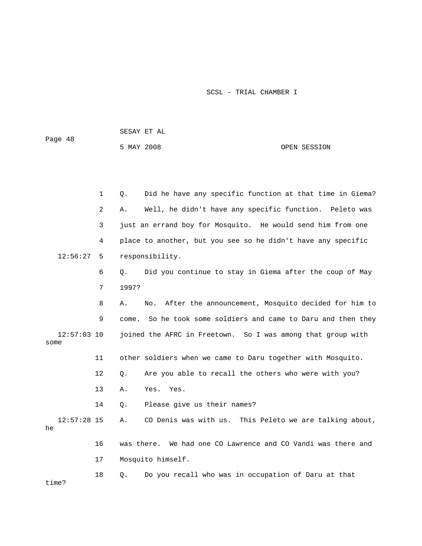SESAY ET AL

Page 48

5 MAY 2008

## OPEN SESSION

|                         |               | $\mathbf 1$ | Did he have any specific function at that time in Giema?<br>Q.   |  |
|-------------------------|---------------|-------------|------------------------------------------------------------------|--|
|                         |               | 2           | Well, he didn't have any specific function. Peleto was<br>Α.     |  |
|                         |               | 3           | just an errand boy for Mosquito. He would send him from one      |  |
|                         |               | 4           | place to another, but you see so he didn't have any specific     |  |
|                         | 12:56:27      | 5           | responsibility.                                                  |  |
|                         |               | 6           | Did you continue to stay in Giema after the coup of May<br>О.    |  |
|                         |               | 7           | 1997?                                                            |  |
|                         |               | 8           | After the announcement, Mosquito decided for him to<br>Α.<br>No. |  |
|                         |               | 9           | So he took some soldiers and came to Daru and then they<br>come. |  |
| some                    | $12:57:03$ 10 |             | joined the AFRC in Freetown. So I was among that group with      |  |
|                         |               | 11          | other soldiers when we came to Daru together with Mosquito.      |  |
|                         |               | 12          | Are you able to recall the others who were with you?<br>$Q$ .    |  |
|                         |               | 13          | Yes. Yes.<br>Α.                                                  |  |
|                         |               | 14          | Please give us their names?<br>Q.                                |  |
| he                      | $12:57:28$ 15 |             | CO Denis was with us. This Peleto we are talking about,<br>Α.    |  |
|                         |               | 16          | was there. We had one CO Lawrence and CO Vandi was there and     |  |
| Mosquito himself.<br>17 |               |             |                                                                  |  |
|                         |               | 18          | Do you recall who was in occupation of Daru at that<br>Q.        |  |

time?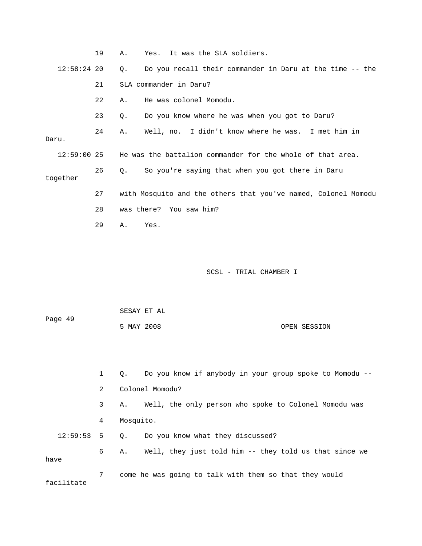|       |               | 19 | Α. |                         | Yes. It was the SLA soldiers. |                                                                |  |
|-------|---------------|----|----|-------------------------|-------------------------------|----------------------------------------------------------------|--|
|       | $12:58:24$ 20 |    | Q. |                         |                               | Do you recall their commander in Daru at the time -- the       |  |
|       |               | 21 |    | SLA commander in Daru?  |                               |                                                                |  |
|       |               | 22 | Α. | He was colonel Momodu.  |                               |                                                                |  |
|       |               | 23 | Q. |                         |                               | Do you know where he was when you got to Daru?                 |  |
| Daru. |               | 24 | Α. |                         |                               | Well, no. I didn't know where he was. I met him in             |  |
|       | $12:59:00$ 25 |    |    |                         |                               | He was the battalion commander for the whole of that area.     |  |
|       | together      | 26 | О. |                         |                               | So you're saying that when you got there in Daru               |  |
|       |               | 27 |    |                         |                               | with Mosquito and the others that you've named, Colonel Momodu |  |
|       |               | 28 |    | was there? You saw him? |                               |                                                                |  |
|       |               | 29 | Α. | Yes.                    |                               |                                                                |  |
|       |               |    |    |                         |                               |                                                                |  |
|       |               |    |    |                         |                               |                                                                |  |

| Page 49      |              | SESAY ET AL     |                                                          |  |  |
|--------------|--------------|-----------------|----------------------------------------------------------|--|--|
|              |              | 5 MAY 2008      | OPEN SESSION                                             |  |  |
|              |              |                 |                                                          |  |  |
|              |              |                 |                                                          |  |  |
|              | $\mathbf{1}$ | Q.              | Do you know if anybody in your group spoke to Momodu --  |  |  |
| 2            |              | Colonel Momodu? |                                                          |  |  |
|              | 3            |                 | A. Well, the only person who spoke to Colonel Momodu was |  |  |
|              | 4            | Mosquito.       |                                                          |  |  |
| $12:59:53$ 5 |              |                 | Q. Do you know what they discussed?                      |  |  |
| have         | 6            | Α.              | Well, they just told him -- they told us that since we   |  |  |
| facilitate   | 7            |                 | come he was going to talk with them so that they would   |  |  |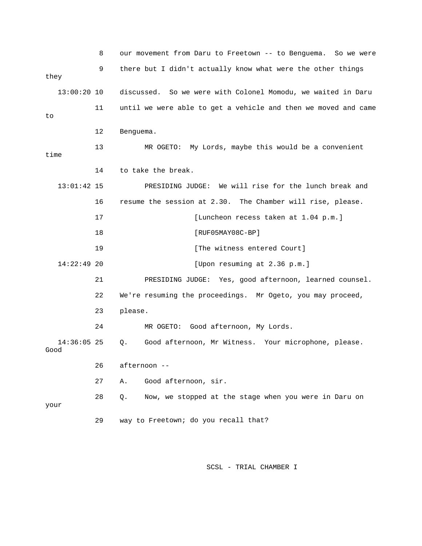|                       | 8  | our movement from Daru to Freetown -- to Benguema. So we were  |  |  |  |
|-----------------------|----|----------------------------------------------------------------|--|--|--|
|                       | 9  | there but I didn't actually know what were the other things    |  |  |  |
| they                  |    |                                                                |  |  |  |
| $13:00:20$ 10         |    | discussed. So we were with Colonel Momodu, we waited in Daru   |  |  |  |
| to                    | 11 | until we were able to get a vehicle and then we moved and came |  |  |  |
|                       |    |                                                                |  |  |  |
|                       | 12 | Benguema.                                                      |  |  |  |
| time                  | 13 | My Lords, maybe this would be a convenient<br>MR OGETO:        |  |  |  |
|                       |    |                                                                |  |  |  |
|                       | 14 | to take the break.                                             |  |  |  |
| $13:01:42$ 15         |    | PRESIDING JUDGE: We will rise for the lunch break and          |  |  |  |
|                       | 16 | resume the session at 2.30. The Chamber will rise, please.     |  |  |  |
|                       | 17 | [Luncheon recess taken at 1.04 p.m.]                           |  |  |  |
|                       | 18 | $[RUF05MAY08C-BP]$                                             |  |  |  |
|                       | 19 | [The witness entered Court]                                    |  |  |  |
| $14:22:49$ 20         |    | [Upon resuming at 2.36 p.m.]                                   |  |  |  |
|                       | 21 | PRESIDING JUDGE: Yes, good afternoon, learned counsel.         |  |  |  |
|                       | 22 | We're resuming the proceedings. Mr Ogeto, you may proceed,     |  |  |  |
|                       | 23 | please.                                                        |  |  |  |
|                       | 24 | Good afternoon, My Lords.<br>MR OGETO:                         |  |  |  |
| $14:36:05$ 25<br>Good |    | Good afternoon, Mr Witness. Your microphone, please.<br>Q.     |  |  |  |
|                       | 26 | afternoon --                                                   |  |  |  |
|                       | 27 | Good afternoon, sir.<br>Α.                                     |  |  |  |
| your                  | 28 | Now, we stopped at the stage when you were in Daru on<br>$Q$ . |  |  |  |
|                       | 29 | way to Freetown; do you recall that?                           |  |  |  |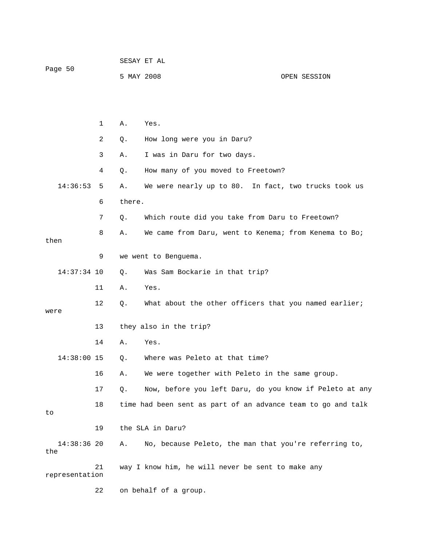| Page 50              |              | SESAY ET AL            |                                                              |              |  |
|----------------------|--------------|------------------------|--------------------------------------------------------------|--------------|--|
|                      |              | 5 MAY 2008             |                                                              | OPEN SESSION |  |
|                      |              |                        |                                                              |              |  |
|                      |              |                        |                                                              |              |  |
|                      | $\mathbf{1}$ | Α.                     | Yes.                                                         |              |  |
|                      | 2            | Q.                     | How long were you in Daru?                                   |              |  |
|                      | 3            | Α.                     | I was in Daru for two days.                                  |              |  |
|                      | 4            | Q.                     | How many of you moved to Freetown?                           |              |  |
| 14:36:53             | 5            | Α.                     | We were nearly up to 80. In fact, two trucks took us         |              |  |
|                      | 6            | there.                 |                                                              |              |  |
|                      | 7            | Q.                     | Which route did you take from Daru to Freetown?              |              |  |
|                      | 8            | Α.                     | We came from Daru, went to Kenema; from Kenema to Bo;        |              |  |
| then                 |              |                        |                                                              |              |  |
|                      | 9            |                        | we went to Benguema.                                         |              |  |
| $14:37:34$ 10        |              | $Q$ .                  | Was Sam Bockarie in that trip?                               |              |  |
|                      | 11           | Α.                     | Yes.                                                         |              |  |
| were                 | 12           | Q.                     | What about the other officers that you named earlier;        |              |  |
| 13                   |              | they also in the trip? |                                                              |              |  |
|                      | 14           | Α.                     | Yes.                                                         |              |  |
| 14:38:00 15          |              | Q.                     | Where was Peleto at that time?                               |              |  |
|                      | 16           | Α.                     | We were together with Peleto in the same group.              |              |  |
|                      |              |                        |                                                              |              |  |
|                      | 17           | Q.                     | Now, before you left Daru, do you know if Peleto at any      |              |  |
| to                   | 18           |                        | time had been sent as part of an advance team to go and talk |              |  |
|                      | 19           |                        | the SLA in Daru?                                             |              |  |
| $14:38:36$ 20<br>the |              | Α.                     | No, because Peleto, the man that you're referring to,        |              |  |
| representation       | 21           |                        | way I know him, he will never be sent to make any            |              |  |
|                      | 22           |                        | on behalf of a group.                                        |              |  |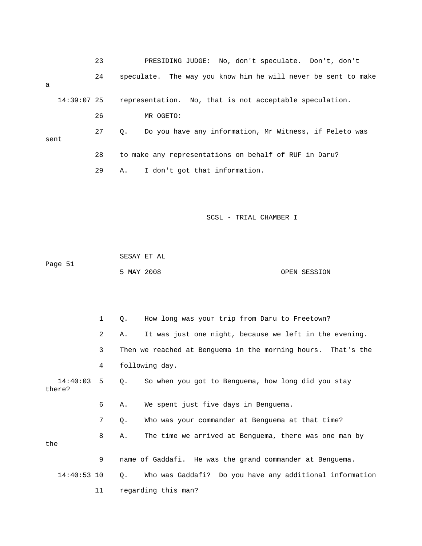|               | 23 | PRESIDING JUDGE: No, don't speculate. Don't, don't            |
|---------------|----|---------------------------------------------------------------|
| a             | 24 | speculate. The way you know him he will never be sent to make |
| $14:39:07$ 25 |    | representation. No, that is not acceptable speculation.       |
|               | 26 | MR OGETO:                                                     |
| sent          | 27 | Do you have any information, Mr Witness, if Peleto was<br>О.  |
|               | 28 | to make any representations on behalf of RUF in Daru?         |
|               | 29 | I don't got that information.<br>Α.                           |

 SESAY ET AL Page 51 5 MAY 2008 OPEN SESSION

 1 Q. How long was your trip from Daru to Freetown? 2 A. It was just one night, because we left in the evening. 3 Then we reached at Benguema in the morning hours. That's the 14:40:03 5 Q. So when you got to Benguema, how long did you stay 6 A. We spent just five days in Benguema. 7 Q. Who was your commander at Benguema at that time? 8 A. The time we arrived at Benguema, there was one man by Who was Gaddafi? Do you have any additional information 11 regarding this man? 4 following day. there? the 9 name of Gaddafi. He was the grand commander at Benguema.  $14:40:53$  10 Q.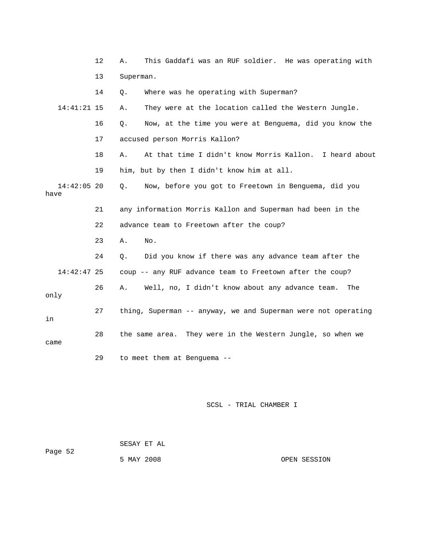|                       | 12 | This Gaddafi was an RUF soldier. He was operating with<br>Α.  |
|-----------------------|----|---------------------------------------------------------------|
|                       | 13 | Superman.                                                     |
|                       | 14 | Where was he operating with Superman?<br>Q.                   |
| 14:41:21 15           |    | They were at the location called the Western Jungle.<br>Α.    |
|                       | 16 | Now, at the time you were at Benguema, did you know the<br>О. |
|                       | 17 | accused person Morris Kallon?                                 |
|                       | 18 | At that time I didn't know Morris Kallon. I heard about<br>Α. |
|                       | 19 | him, but by then I didn't know him at all.                    |
| $14:42:05$ 20<br>have |    | Now, before you got to Freetown in Benguema, did you<br>Q.    |
|                       | 21 | any information Morris Kallon and Superman had been in the    |
|                       | 22 | advance team to Freetown after the coup?                      |
|                       | 23 | Α.<br>No.                                                     |
|                       | 24 | Did you know if there was any advance team after the<br>Q.    |
| $14:42:47$ 25         |    | coup -- any RUF advance team to Freetown after the coup?      |
| only                  | 26 | Well, no, I didn't know about any advance team.<br>Α.<br>The  |
| in                    | 27 | thing, Superman -- anyway, we and Superman were not operating |
| came                  | 28 | the same area. They were in the Western Jungle, so when we    |
|                       | 29 | to meet them at Benguema --                                   |

| Page 52 |            | SESAY ET AL |              |
|---------|------------|-------------|--------------|
|         | 5 MAY 2008 |             | OPEN SESSION |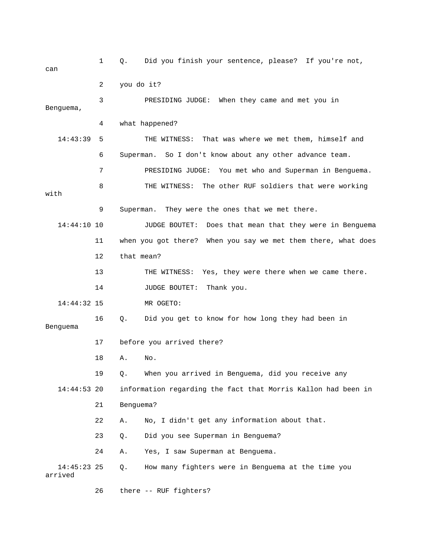1 Q. Did you finish your sentence, please? If you're not, can 2 you do it? 3 PRESIDING JUDGE: When they came and met you in 4 what happened? 14:43:39 5 THE WITNESS: That was where we met them, himself and 6 Superman. So I don't know about any other advance team. 7 PRESIDING JUDGE: You met who and Superman in Benguema. 8 THE WITNESS: The other RUF soldiers that were working with 9 Superman. They were the ones that we met there. 10 JUDGE BOUTET: Does that mean that they were in Benguema 11 when you got there? When you say we met them there, what does 13 THE WITNESS: Yes, they were there when we came there. 16 Q. Did you get to know for how long they had been in ou arrived in Benguema, did you receive any 19 Q. When y 22 A. No, I didn't get any information about that. 24 A. Yes, I saw Superman at Benguema. many fighters were in Benguema at the time you Benguema, 14:44:10 12 that mean? 14 JUDGE BOUTET: Thank you. 14:44:32 15 MR OGETO: Benguema 17 before you arrived there? 18 A. No. 14:44:53 20 information regarding the fact that Morris Kallon had been in 21 Benguema? 23 Q. Did you see Superman in Benguema? 14:45:23 25 Q. arrived

26 there -- RUF fighters?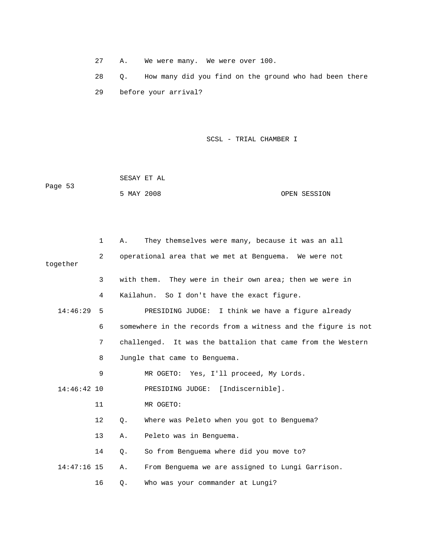27 A. We were many. We were over 100.

 28 Q. How many did you find on the ground who had been there 29 before your arrival?

|         | SESAY ET AL |              |
|---------|-------------|--------------|
| Page 53 |             |              |
|         | 5 MAY 2008  | OPEN SESSION |

|               | 1                 | Α.        | They themselves were many, because it was an all              |
|---------------|-------------------|-----------|---------------------------------------------------------------|
| together      | 2                 |           | operational area that we met at Benguema. We were not         |
|               | 3                 |           | with them. They were in their own area; then we were in       |
|               | 4                 |           | Kailahun. So I don't have the exact figure.                   |
| 14:46:29      | - 5               |           | PRESIDING JUDGE: I think we have a figure already             |
|               | 6                 |           | somewhere in the records from a witness and the figure is not |
|               | 7                 |           | challenged. It was the battalion that came from the Western   |
|               | 8                 |           | Jungle that came to Benguema.                                 |
|               | 9                 |           | MR OGETO: Yes, I'll proceed, My Lords.                        |
| $14:46:42$ 10 |                   |           | PRESIDING JUDGE: [Indiscernible].                             |
|               | 11                |           | MR OGETO:                                                     |
|               | $12 \overline{ }$ | $\circ$ . | Where was Peleto when you got to Benguema?                    |
|               | 13                | Α.        | Peleto was in Benquema.                                       |
|               | 14                | $Q$ .     | So from Benguema where did you move to?                       |
| $14:47:16$ 15 |                   | Α.        | From Benguema we are assigned to Lungi Garrison.              |
|               | 16                | Q.        | Who was your commander at Lungi?                              |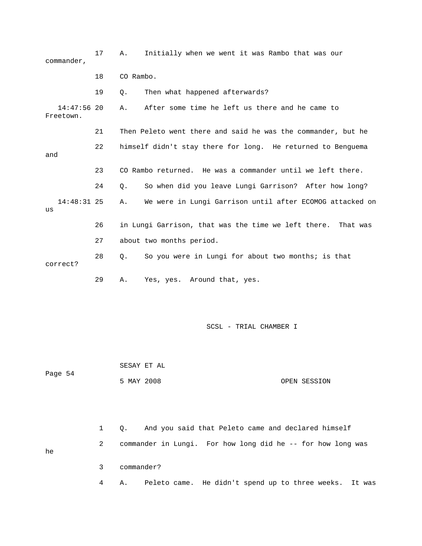| commander,                 | 17 | Α.         | Initially when we went it was Rambo that was our             |              |
|----------------------------|----|------------|--------------------------------------------------------------|--------------|
|                            | 18 | CO Rambo.  |                                                              |              |
|                            | 19 | Q.         | Then what happened afterwards?                               |              |
| $14:47:56$ 20<br>Freetown. |    | Α.         | After some time he left us there and he came to              |              |
|                            | 21 |            | Then Peleto went there and said he was the commander, but he |              |
| and                        | 22 |            | himself didn't stay there for long. He returned to Benguema  |              |
|                            | 23 |            | CO Rambo returned. He was a commander until we left there.   |              |
|                            | 24 | Q.         | So when did you leave Lungi Garrison? After how long?        |              |
| $14:48:31$ 25<br>us        |    | Α.         | We were in Lungi Garrison until after ECOMOG attacked on     |              |
|                            | 26 |            | in Lungi Garrison, that was the time we left there.          | That was     |
|                            | 27 |            | about two months period.                                     |              |
| correct?                   | 28 | Q.         | So you were in Lungi for about two months; is that           |              |
|                            | 29 | Α.         | Yes, yes. Around that, yes.                                  |              |
|                            |    |            | SCSL - TRIAL CHAMBER I                                       |              |
|                            |    |            | SESAY ET AL                                                  |              |
| Page 54                    |    | 5 MAY 2008 |                                                              | OPEN SESSION |
|                            |    |            |                                                              |              |

 1 Q. And you said that Peleto came and declared himself 2 commander in Lungi. For how long did he -- for how long was 3 commander? he

4 A. Peleto came. He didn't spend up to three weeks. It was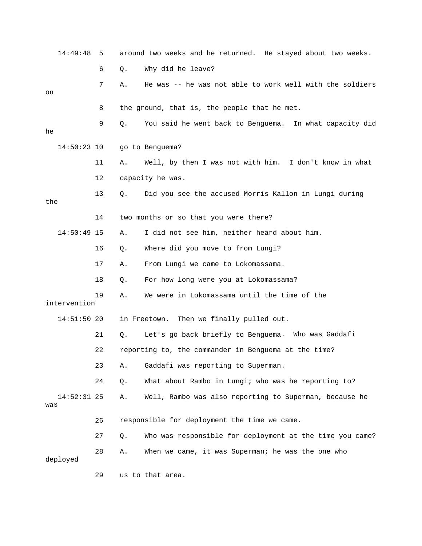| 14:49:48             | 5  |    | around two weeks and he returned. He stayed about two weeks. |
|----------------------|----|----|--------------------------------------------------------------|
|                      | 6  | Q. | Why did he leave?                                            |
| on                   | 7  | Α. | He was -- he was not able to work well with the soldiers     |
|                      | 8  |    | the ground, that is, the people that he met.                 |
| he                   | 9  | Q. | You said he went back to Benguema. In what capacity did      |
| $14:50:23$ 10        |    |    | go to Benguema?                                              |
|                      | 11 | Α. | Well, by then I was not with him. I don't know in what       |
|                      | 12 |    | capacity he was.                                             |
| the                  | 13 | Q. | Did you see the accused Morris Kallon in Lungi during        |
|                      | 14 |    | two months or so that you were there?                        |
| $14:50:49$ 15        |    | Α. | I did not see him, neither heard about him.                  |
|                      | 16 | Q. | Where did you move to from Lungi?                            |
|                      | 17 | Α. | From Lungi we came to Lokomassama.                           |
|                      | 18 | Q. | For how long were you at Lokomassama?                        |
| intervention         | 19 | Α. | We were in Lokomassama until the time of the                 |
| $14:51:50$ 20        |    |    | Then we finally pulled out.<br>in Freetown.                  |
|                      | 21 | Q. | Let's go back briefly to Benguema. Who was Gaddafi           |
|                      | 22 |    | reporting to, the commander in Benguema at the time?         |
|                      | 23 | Α. | Gaddafi was reporting to Superman.                           |
|                      | 24 | Q. | What about Rambo in Lungi; who was he reporting to?          |
| $14:52:31$ 25<br>was |    | Α. | Well, Rambo was also reporting to Superman, because he       |
|                      | 26 |    | responsible for deployment the time we came.                 |
|                      | 27 | Q. | Who was responsible for deployment at the time you came?     |
| deployed             | 28 | Α. | When we came, it was Superman; he was the one who            |
|                      | 29 |    | us to that area.                                             |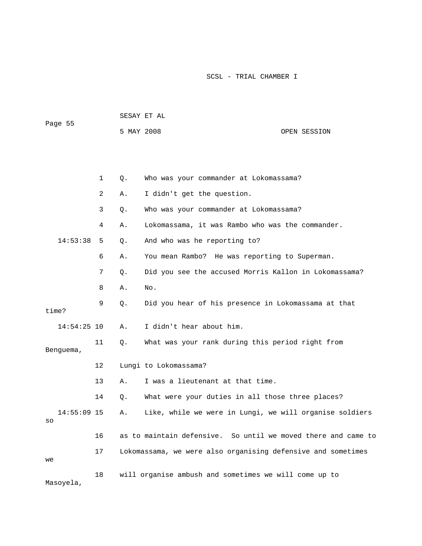|         |            | SESAY ET AL |              |
|---------|------------|-------------|--------------|
| Page 55 |            |             |              |
|         | 5 MAY 2008 |             | OPEN SESSION |

|                     | $\mathbf 1$    | Q. | Who was your commander at Lokomassama?                        |
|---------------------|----------------|----|---------------------------------------------------------------|
|                     | $\overline{2}$ | Α. | I didn't get the question.                                    |
|                     | 3              | Q. | Who was your commander at Lokomassama?                        |
|                     | 4              | Α. | Lokomassama, it was Rambo who was the commander.              |
| 14:53:38            | 5              | Q. | And who was he reporting to?                                  |
|                     | 6              | Α. | You mean Rambo? He was reporting to Superman.                 |
|                     | 7              | Q. | Did you see the accused Morris Kallon in Lokomassama?         |
|                     | 8              | Α. | No.                                                           |
| time?               | 9              | Q. | Did you hear of his presence in Lokomassama at that           |
| $14:54:25$ 10       |                | Α. | I didn't hear about him.                                      |
| Benquema,           | 11             | Q. | What was your rank during this period right from              |
|                     | 12             |    | Lungi to Lokomassama?                                         |
|                     | 13             | Α. | I was a lieutenant at that time.                              |
|                     | 14             | Q. | What were your duties in all those three places?              |
| $14:55:09$ 15<br>SO |                | Α. | Like, while we were in Lungi, we will organise soldiers       |
|                     | 16             |    | as to maintain defensive. So until we moved there and came to |
| we                  | 17             |    | Lokomassama, we were also organising defensive and sometimes  |
| Masoyela,           | 18             |    | will organise ambush and sometimes we will come up to         |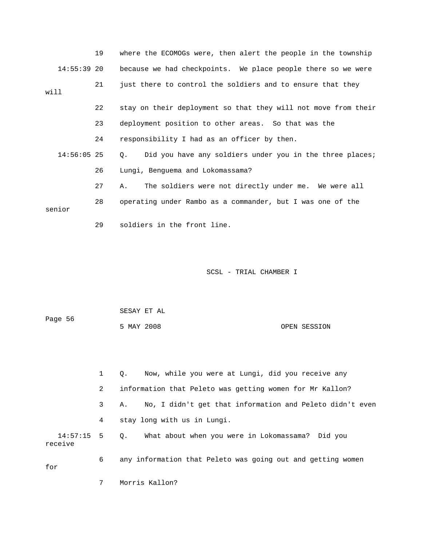|      |               | 19 | where the ECOMOGs were, then alert the people in the township           |
|------|---------------|----|-------------------------------------------------------------------------|
|      | $14:55:39$ 20 |    | because we had checkpoints. We place people there so we were            |
| will |               | 21 | just there to control the soldiers and to ensure that they              |
|      |               | 22 | stay on their deployment so that they will not move from their          |
|      |               | 23 | deployment position to other areas. So that was the                     |
|      |               | 24 | responsibility I had as an officer by then.                             |
|      | $14:56:05$ 25 |    | Did you have any soldiers under you in the three places;<br>$Q_{\star}$ |
|      |               | 26 | Lungi, Benguema and Lokomassama?                                        |
|      |               | 27 | The soldiers were not directly under me. We were all<br>Α.              |
|      | senior        | 28 | operating under Rambo as a commander, but I was one of the              |
|      |               | 29 | soldiers in the front line.                                             |

| Page 56 | SESAY ET AL |  |              |
|---------|-------------|--|--------------|
|         | 5 MAY 2008  |  | OPEN SESSION |

|         |   | Now, while you were at Lungi, did you receive any<br>$\circ$ . |
|---------|---|----------------------------------------------------------------|
|         | 2 | information that Peleto was getting women for Mr Kallon?       |
|         | 3 | No, I didn't get that information and Peleto didn't even<br>Α. |
|         | 4 | stay long with us in Lungi.                                    |
| receive |   | 14:57:15 5 Q. What about when you were in Lokomassama? Did you |
| for     | 6 | any information that Peleto was going out and getting women    |

7 Morris Kallon?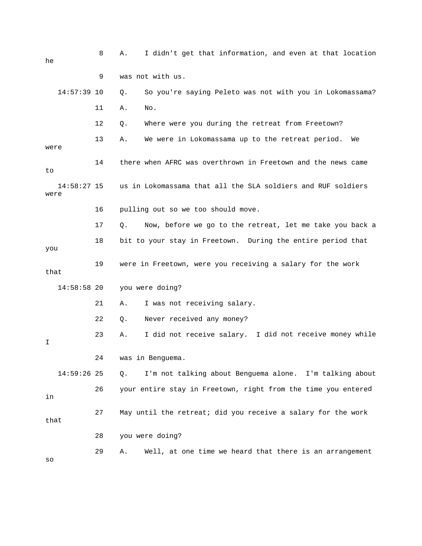| he                    | 8  | I didn't get that information, and even at that location<br>Α. |
|-----------------------|----|----------------------------------------------------------------|
|                       | 9  | was not with us.                                               |
| $14:57:39$ 10         |    | So you're saying Peleto was not with you in Lokomassama?<br>Q. |
|                       | 11 | Α.<br>No.                                                      |
|                       | 12 | Where were you during the retreat from Freetown?<br>Q.         |
| were                  | 13 | We were in Lokomassama up to the retreat period.<br>Α.<br>We   |
| to                    | 14 | there when AFRC was overthrown in Freetown and the news came   |
| $14:58:27$ 15<br>were |    | us in Lokomassama that all the SLA soldiers and RUF soldiers   |
|                       | 16 | pulling out so we too should move.                             |
|                       | 17 | Now, before we go to the retreat, let me take you back a<br>Q. |
| you                   | 18 | bit to your stay in Freetown. During the entire period that    |
| that                  | 19 | were in Freetown, were you receiving a salary for the work     |
| 14:58:58 20           |    | you were doing?                                                |
|                       | 21 | I was not receiving salary.<br>Α.                              |
|                       | 22 | Never received any money?<br>Q.                                |
| I                     | 23 | I did not receive salary. I did not receive money while<br>Α.  |
|                       | 24 | was in Benguema.                                               |
| 14:59:26 25           |    | I'm not talking about Benguema alone. I'm talking about<br>Q.  |
| in                    | 26 | your entire stay in Freetown, right from the time you entered  |
| that                  | 27 | May until the retreat; did you receive a salary for the work   |
|                       | 28 | you were doing?                                                |
| SO                    | 29 | Well, at one time we heard that there is an arrangement<br>Α.  |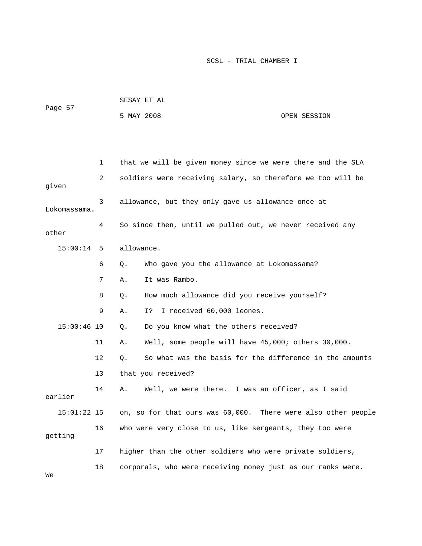| Page 57 |              | SESAY ET AL |                                                             |
|---------|--------------|-------------|-------------------------------------------------------------|
|         |              | 5 MAY 2008  | OPEN SESSION                                                |
|         |              |             |                                                             |
|         | $\mathbf{1}$ |             | that we will be given money since we were there and the SLA |
| given   | 2            |             | soldiers were receiving salary, so therefore we too will be |

 3 allowance, but they only gave us allowance once at Lokomassama. 4 So since then, until we pulled out, we never received any other

15:00:14 5 allowance.

- 6 Q. Who gave you the allowance at Lokomassama?
- 7 A. It was Rambo.
- 8 Q. How much allowance did you receive yourself?
- 9 A. I? I received 60,000 leones.
- 15:00:46 10 Q. Do you know what the others received?
- 1 A. Well, some people will have 45,000; others 30,000. 1

12 0. So what was the basis for the difference in the amounts

13 that you received?

14 A. Well, we were there. I was an officer, as I said earlier  $15:01:22$  15  $\,$  on, so for that ours was  $60,000$ . There were also other people 16 who were very close to us, like sergeants, they too were getting

- 17 higher than the other soldiers who were private soldiers,
- . 18 corporals, who were receiving money just as our ranks were

We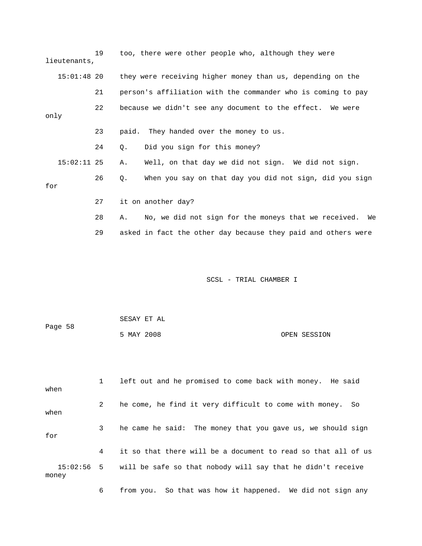| 19 | too, there were other people who, although they were             |
|----|------------------------------------------------------------------|
|    | they were receiving higher money than us, depending on the       |
| 21 | person's affiliation with the commander who is coming to pay     |
| 22 | because we didn't see any document to the effect. We were        |
| 23 | paid. They handed over the money to us.                          |
| 24 | Did you sign for this money?<br>Q.                               |
|    | Well, on that day we did not sign. We did not sign.<br>Α.        |
| 26 | When you say on that day you did not sign, did you sign<br>Q.    |
| 27 | it on another day?                                               |
| 28 | No, we did not sign for the moneys that we received.<br>We<br>Α. |
|    | lieutenants,<br>$15:01:48$ 20<br>$15:02:11$ 25                   |

29 asked in fact the other day because they paid and others were

SCSL - TRIAL CHAMBER I

|         | SESAY ET AL |  |              |
|---------|-------------|--|--------------|
| Page 58 |             |  |              |
|         | 5 MAY 2008  |  | OPEN SESSION |

 1 left out and he promised to come back with money. He said when 2 he come, he find it very difficult to come with money. So when 3 he came he said: The money that you gave us, we should sign 4 it so that there will be a document to read so that all of us 15:02:56 5 will be safe so that nobody will say that he didn't receive money for

6 from you. So that was how it happened. We did not sign any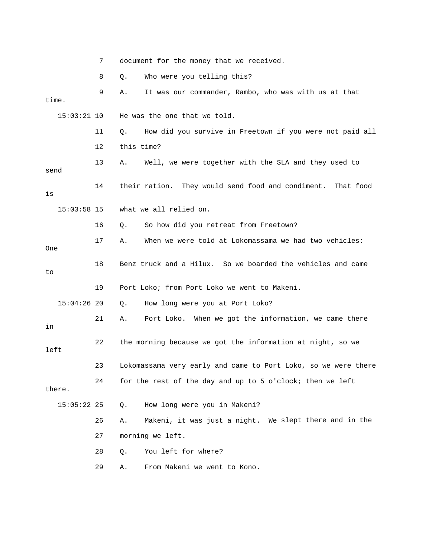|               | 7   | document for the money that we received.                       |  |  |  |
|---------------|-----|----------------------------------------------------------------|--|--|--|
|               | 8   | Who were you telling this?<br>Q.                               |  |  |  |
| time.         | 9   | It was our commander, Rambo, who was with us at that<br>Α.     |  |  |  |
| $15:03:21$ 10 |     | He was the one that we told.                                   |  |  |  |
|               | 11  | How did you survive in Freetown if you were not paid all<br>Q. |  |  |  |
|               | 12  | this time?                                                     |  |  |  |
| send          | 13  | Well, we were together with the SLA and they used to<br>Α.     |  |  |  |
| is            | 14  | their ration. They would send food and condiment. That food    |  |  |  |
| $15:03:58$ 15 |     | what we all relied on.                                         |  |  |  |
|               | 16  | So how did you retreat from Freetown?<br>Q.                    |  |  |  |
| One           | 17  | When we were told at Lokomassama we had two vehicles:<br>Α.    |  |  |  |
| to            | 18  | Benz truck and a Hilux. So we boarded the vehicles and came    |  |  |  |
|               | 19  | Port Loko; from Port Loko we went to Makeni.                   |  |  |  |
| $15:04:26$ 20 |     | How long were you at Port Loko?<br>Q.                          |  |  |  |
| in            | 21  | Port Loko. When we got the information, we came there<br>Α.    |  |  |  |
| left          | 22  | the morning because we got the information at night, so we     |  |  |  |
|               | 23. | Lokomassama very early and came to Port Loko, so we were there |  |  |  |
| there.        | 24  | for the rest of the day and up to 5 o'clock; then we left      |  |  |  |
| $15:05:22$ 25 |     | How long were you in Makeni?<br>Q.                             |  |  |  |
|               | 26  | Makeni, it was just a night. We slept there and in the<br>Α.   |  |  |  |
|               | 27  | morning we left.                                               |  |  |  |
|               | 28  | You left for where?<br>Q.                                      |  |  |  |
|               | 29  | From Makeni we went to Kono.<br>Α.                             |  |  |  |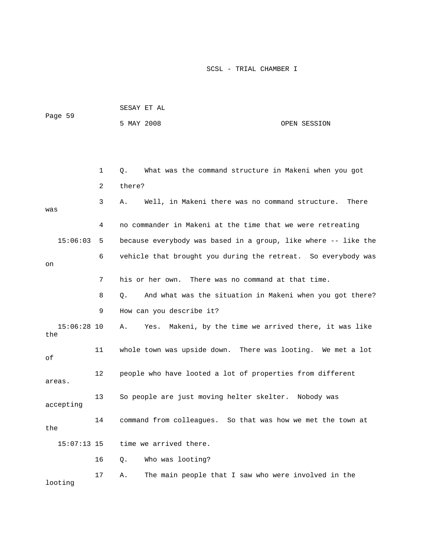| Page 59              |              | SESAY ET AL                                                     |       |  |  |  |  |
|----------------------|--------------|-----------------------------------------------------------------|-------|--|--|--|--|
|                      |              | 5 MAY 2008<br>OPEN SESSION                                      |       |  |  |  |  |
|                      |              |                                                                 |       |  |  |  |  |
|                      |              |                                                                 |       |  |  |  |  |
|                      | $\mathbf{1}$ | What was the command structure in Makeni when you got<br>Q.     |       |  |  |  |  |
|                      | 2            | there?                                                          |       |  |  |  |  |
| was                  | 3            | Well, in Makeni there was no command structure.<br>Α.           | There |  |  |  |  |
|                      | 4            | no commander in Makeni at the time that we were retreating      |       |  |  |  |  |
| 15:06:03             | 5            | because everybody was based in a group, like where -- like the  |       |  |  |  |  |
|                      | 6            | vehicle that brought you during the retreat. So everybody was   |       |  |  |  |  |
| on                   |              |                                                                 |       |  |  |  |  |
|                      | 7            | his or her own. There was no command at that time.              |       |  |  |  |  |
|                      | 8            | Q.<br>And what was the situation in Makeni when you got there?  |       |  |  |  |  |
|                      | 9            | How can you describe it?                                        |       |  |  |  |  |
| $15:06:28$ 10<br>the |              | Makeni, by the time we arrived there, it was like<br>Yes.<br>Α. |       |  |  |  |  |
| οf                   | 11           | whole town was upside down. There was looting. We met a lot     |       |  |  |  |  |
| areas.               | 12           | people who have looted a lot of properties from different       |       |  |  |  |  |
| accepting            | 13           | So people are just moving helter skelter. Nobody was            |       |  |  |  |  |
| the                  | 14           | command from colleagues. So that was how we met the town at     |       |  |  |  |  |
| $15:07:13$ 15        |              | time we arrived there.                                          |       |  |  |  |  |
|                      | 16           | Who was looting?<br>Q.                                          |       |  |  |  |  |
| looting              | 17           | The main people that I saw who were involved in the<br>Α.       |       |  |  |  |  |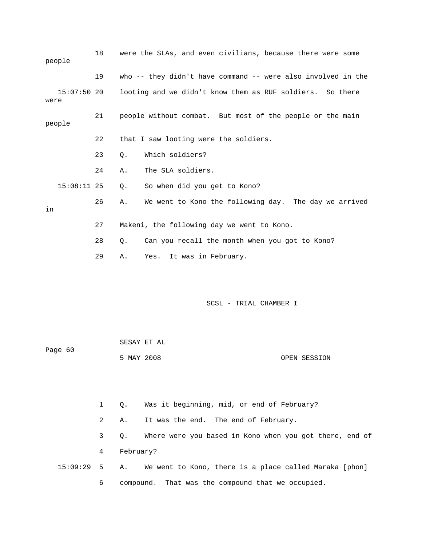| 18            | were the SLAs, and even civilians, because there were some   |
|---------------|--------------------------------------------------------------|
| 19            | who -- they didn't have command -- were also involved in the |
| $15:07:50$ 20 | looting and we didn't know them as RUF soldiers. So there    |
| 21            | people without combat. But most of the people or the main    |
| 22            | that I saw looting were the soldiers.                        |
| 23            | Which soldiers?<br>$Q$ .                                     |
| 24            | The SLA soldiers.<br>Α.                                      |
| $15:08:11$ 25 | So when did you get to Kono?<br>0.                           |
| 26            | We went to Kono the following day. The day we arrived<br>Α.  |
| 27            | Makeni, the following day we went to Kono.                   |
| 28            | Can you recall the month when you got to Kono?<br>0.         |
| 29            | Yes. It was in February.<br>Α.                               |
|               |                                                              |

| Page 60 | SESAY ET AL |  |              |
|---------|-------------|--|--------------|
|         | 5 MAY 2008  |  | OPEN SESSION |

 1 Q. Was it beginning, mid, or end of February? 2 A. It was the end. The end of February. 3 Q. Where were you based in Kono when you got there, end of 4 February? 15:09:29 5 A. We went to Kono, there is a place called Maraka [phon] 6 compound. That was the compound that we occupied.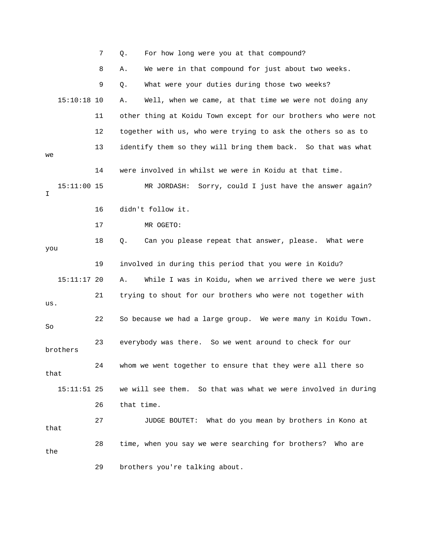|      |               | 7  | For how long were you at that compound?<br>Q.                  |
|------|---------------|----|----------------------------------------------------------------|
|      |               | 8  | We were in that compound for just about two weeks.<br>Α.       |
|      |               | 9  | What were your duties during those two weeks?<br>Q.            |
|      | $15:10:18$ 10 |    | Well, when we came, at that time we were not doing any<br>Α.   |
|      |               | 11 | other thing at Koidu Town except for our brothers who were not |
|      |               | 12 | together with us, who were trying to ask the others so as to   |
| we   |               | 13 | identify them so they will bring them back. So that was what   |
|      |               | 14 | were involved in whilst we were in Koidu at that time.         |
| I.   | 15:11:00 15   |    | MR JORDASH:<br>Sorry, could I just have the answer again?      |
|      |               | 16 | didn't follow it.                                              |
|      |               | 17 | MR OGETO:                                                      |
| you  |               | 18 | $Q$ .<br>Can you please repeat that answer, please. What were  |
|      |               | 19 | involved in during this period that you were in Koidu?         |
|      | $15:11:17$ 20 |    | While I was in Koidu, when we arrived there we were just<br>Α. |
| us.  |               | 21 | trying to shout for our brothers who were not together with    |
| So   |               | 22 | So because we had a large group. We were many in Koidu Town.   |
|      | brothers      | 23 | everybody was there. So we went around to check for our        |
| that |               | 24 | whom we went together to ensure that they were all there so    |
|      | $15:11:51$ 25 |    | we will see them. So that was what we were involved in during  |
|      |               | 26 | that time.                                                     |
| that |               | 27 | JUDGE BOUTET: What do you mean by brothers in Kono at          |
| the  |               | 28 | time, when you say we were searching for brothers? Who are     |
|      |               | 29 | brothers you're talking about.                                 |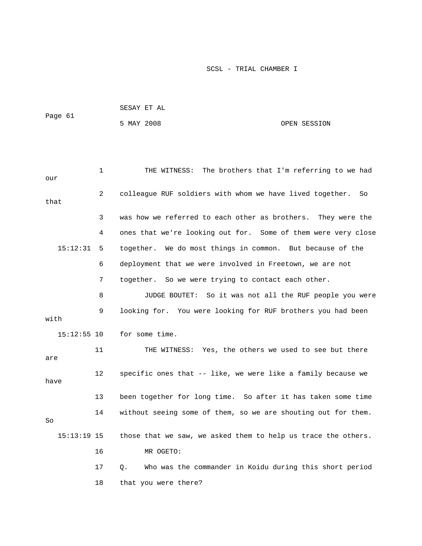|               |    | SESAY ET AL                                                      |              |  |  |  |
|---------------|----|------------------------------------------------------------------|--------------|--|--|--|
| Page 61       |    | 5 MAY 2008                                                       | OPEN SESSION |  |  |  |
|               |    |                                                                  |              |  |  |  |
|               |    |                                                                  |              |  |  |  |
| our           | 1  | THE WITNESS: The brothers that I'm referring to we had           |              |  |  |  |
| that          | 2  | colleague RUF soldiers with whom we have lived together.         | So           |  |  |  |
|               | 3  | was how we referred to each other as brothers. They were the     |              |  |  |  |
|               | 4  | ones that we're looking out for. Some of them were very close    |              |  |  |  |
| 15:12:31      | 5  | together. We do most things in common. But because of the        |              |  |  |  |
|               | 6  | deployment that we were involved in Freetown, we are not         |              |  |  |  |
|               | 7  | together. So we were trying to contact each other.               |              |  |  |  |
|               | 8  | JUDGE BOUTET: So it was not all the RUF people you were          |              |  |  |  |
| with          | 9  | looking for. You were looking for RUF brothers you had been      |              |  |  |  |
| $15:12:55$ 10 |    | for some time.                                                   |              |  |  |  |
| are           | 11 | THE WITNESS: Yes, the others we used to see but there            |              |  |  |  |
| have          | 12 | specific ones that -- like, we were like a family because we     |              |  |  |  |
|               | 13 | been together for long time. So after it has taken some time     |              |  |  |  |
| So            | 14 | without seeing some of them, so we are shouting out for them.    |              |  |  |  |
| $15:13:19$ 15 |    | those that we saw, we asked them to help us trace the others.    |              |  |  |  |
|               | 16 | MR OGETO:                                                        |              |  |  |  |
|               | 17 | Who was the commander in Koidu during this short period<br>$Q$ . |              |  |  |  |
|               | 18 | that you were there?                                             |              |  |  |  |
|               |    |                                                                  |              |  |  |  |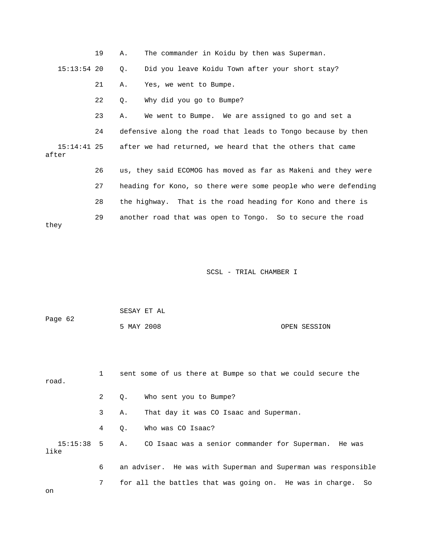|                        | 19 | Α. | The commander in Koidu by then was Superman.                   |
|------------------------|----|----|----------------------------------------------------------------|
| $15:13:54$ 20          |    | Q. | Did you leave Koidu Town after your short stay?                |
|                        | 21 | Α. | Yes, we went to Bumpe.                                         |
|                        | 22 | Q. | Why did you go to Bumpe?                                       |
|                        | 23 | Α. | We went to Bumpe. We are assigned to go and set a              |
|                        | 24 |    | defensive along the road that leads to Tongo because by then   |
| $15:14:41$ 25<br>after |    |    | after we had returned, we heard that the others that came      |
|                        | 26 |    | us, they said ECOMOG has moved as far as Makeni and they were  |
|                        | 27 |    | heading for Kono, so there were some people who were defending |
|                        | 28 |    | the highway. That is the road heading for Kono and there is    |
| they                   | 29 |    | another road that was open to Tongo. So to secure the road     |
|                        |    |    |                                                                |

| Page 62 | SESAY ET AL |  |              |
|---------|-------------|--|--------------|
|         | 5 MAY 2008  |  | OPEN SESSION |

| road. |             | sent some of us there at Bumpe so that we could secure the         |
|-------|-------------|--------------------------------------------------------------------|
|       | $2^{\circ}$ | Who sent you to Bumpe?<br>$\circ$ .                                |
|       | 3           | That day it was CO Isaac and Superman.<br>Α.                       |
|       | 4           | Who was CO Isaac?<br>$\circ$ .                                     |
| like  |             | 15:15:38 5 A. CO Isaac was a senior commander for Superman. He was |
|       | 6           | an adviser. He was with Superman and Superman was responsible      |
| on    | 7           | for all the battles that was going on. He was in charge.<br>So     |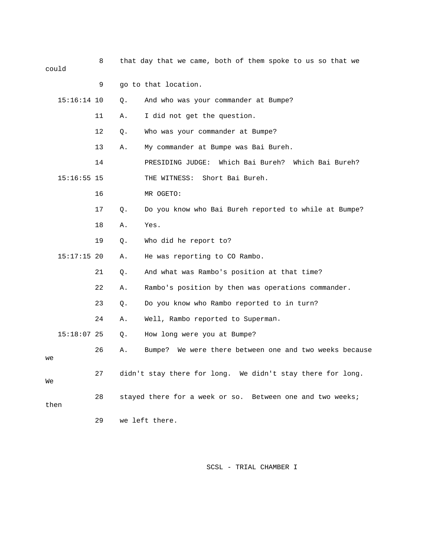| could |               | 8  |    | that day that we came, both of them spoke to us so that we |
|-------|---------------|----|----|------------------------------------------------------------|
|       |               | 9  |    | go to that location.                                       |
|       | $15:16:14$ 10 |    | Q. | And who was your commander at Bumpe?                       |
|       |               | 11 | Α. | I did not get the question.                                |
|       |               | 12 | Q. | Who was your commander at Bumpe?                           |
|       |               | 13 | Α. | My commander at Bumpe was Bai Bureh.                       |
|       |               |    |    |                                                            |
|       |               | 14 |    | PRESIDING JUDGE: Which Bai Bureh? Which Bai Bureh?         |
|       | $15:16:55$ 15 |    |    | Short Bai Bureh.<br>THE WITNESS:                           |
|       |               | 16 |    | MR OGETO:                                                  |
|       |               | 17 | Q. | Do you know who Bai Bureh reported to while at Bumpe?      |
|       |               | 18 | Α. | Yes.                                                       |
|       |               | 19 | Q. | Who did he report to?                                      |
|       | $15:17:15$ 20 |    | Α. | He was reporting to CO Rambo.                              |
|       |               | 21 | Q. | And what was Rambo's position at that time?                |
|       |               | 22 | Α. | Rambo's position by then was operations commander.         |
|       |               | 23 | Q. | Do you know who Rambo reported to in turn?                 |
|       |               | 24 | Α. | Well, Rambo reported to Superman.                          |
|       | $15:18:07$ 25 |    | Q. | How long were you at Bumpe?                                |
| we    |               | 26 | Α. | We were there between one and two weeks because<br>Bumpe?  |
| We    |               | 27 |    | didn't stay there for long. We didn't stay there for long. |
| then  |               | 28 |    | stayed there for a week or so. Between one and two weeks;  |
|       |               | 29 |    | we left there.                                             |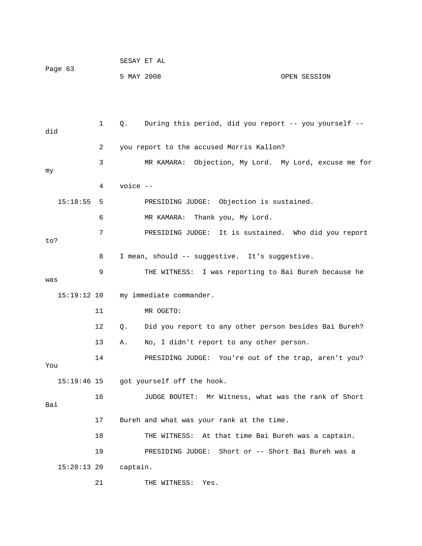|         |            | SESAY ET AL |              |
|---------|------------|-------------|--------------|
| Page 63 |            |             |              |
|         | 5 MAY 2008 |             | OPEN SESSION |

 1 Q. During this period, did you report -- you yourself - did 2 you report to the accused Morris Kallon? 3 MR KAMARA: Objection, My Lord. My Lord, excuse me for 4 voice -- 7 PRESIDING JUDGE: It is sustained. Who did you report ? to 8 I mean, should -- suggestive. It's suggestive. was 11 MR OGETO: 12 Q. Did you report to any other person besides Bai Bureh? 14 PRESIDING JUDGE: You're out of the trap, aren't you? got yourself off the hook. 16 JUDGE BOUTET: Mr Witness, what was the rank of Short Bai 17 Bureh and what was your rank at the time. 18 THE WITNESS: At that time Bai Bureh was a captain. UDGE: Short or -- Short Bai Bureh was a 19 PRESIDING J my 15:18:55 5 PRESIDING JUDGE: Objection is sustained. 6 MR KAMARA: Thank you, My Lord. 9 THE WITNESS: I was reporting to Bai Bureh because he 15:19:12 10 my immediate commander. 13 A. No, I didn't report to any other person. You  $15:19:46$  15 15:20:13 20 captain. 21 THE WITNESS: Yes.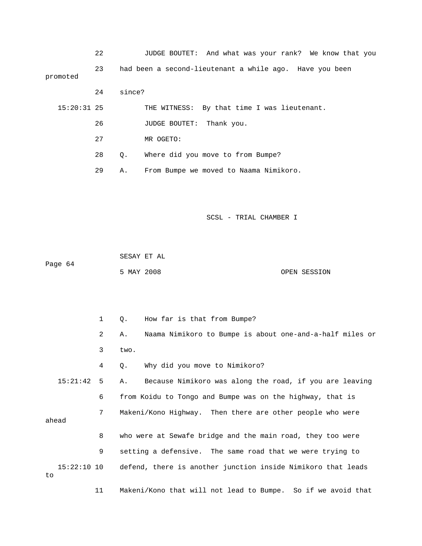|               | 22 |           | JUDGE BOUTET: And what was your rank? We know that you  |
|---------------|----|-----------|---------------------------------------------------------|
| promoted      | 23 |           | had been a second-lieutenant a while ago. Have you been |
|               | 24 | since?    |                                                         |
| $15:20:31$ 25 |    |           | THE WITNESS: By that time I was lieutenant.             |
|               | 26 |           | <b>JUDGE BOUTET:</b><br>Thank you.                      |
|               | 27 |           | MR OGETO:                                               |
|               | 28 | $\circ$ . | Where did you move to from Bumpe?                       |
|               | 29 | Α.        | From Bumpe we moved to Naama Nimikoro.                  |

Page 64 OPEN SESSION SESAY ET AL 5 MAY 2008

 2 A. Naama Nimikoro to Bumpe is about one-and-a-half miles or 3 two. 15:21:42 5 A. Because Nimikoro was along the road, if you are leaving 6 from Koidu to Tongo and Bumpe was on the highway, that is 8 who were at Sewafe bridge and the main road, they too were 9 setting a defensive. The same road that we were trying to 15:22:10 10 defend, there is another junction inside Nimikoro that leads 11 Makeni/Kono that will not lead to Bumpe. So if we avoid that 1 Q. How far is that from Bumpe? 4 Q. Why did you move to Nimikoro? 7 Makeni/Kono Highway. Then there are other people who were ahead to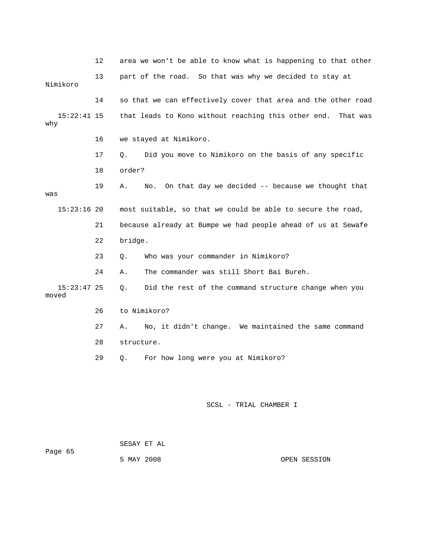|                        | 12 | area we won't be able to know what is happening to that other   |
|------------------------|----|-----------------------------------------------------------------|
| Nimikoro               | 13 | part of the road. So that was why we decided to stay at         |
|                        | 14 | so that we can effectively cover that area and the other road   |
| $15:22:41$ 15<br>why   |    | that leads to Kono without reaching this other end.<br>That was |
|                        | 16 | we stayed at Nimikoro.                                          |
|                        | 17 | Did you move to Nimikoro on the basis of any specific<br>О.     |
|                        | 18 | order?                                                          |
| was                    | 19 | On that day we decided -- because we thought that<br>Α.<br>No.  |
| $15:23:16$ 20          |    | most suitable, so that we could be able to secure the road,     |
|                        | 21 | because already at Bumpe we had people ahead of us at Sewafe    |
|                        | 22 | bridge.                                                         |
|                        | 23 | Who was your commander in Nimikoro?<br>Q.                       |
|                        | 24 | The commander was still Short Bai Bureh.<br>Α.                  |
| $15:23:47$ 25<br>moved |    | Did the rest of the command structure change when you<br>Ο.     |
|                        | 26 | to Nimikoro?                                                    |
|                        | 27 | No, it didn't change. We maintained the same command<br>Α.      |
|                        | 28 | structure.                                                      |
|                        | 29 | For how long were you at Nimikoro?<br>Q.                        |
|                        |    |                                                                 |
|                        |    |                                                                 |

|         | SESAY ET AL |  |
|---------|-------------|--|
| Page 65 |             |  |
|         | 5 MAY 2008  |  |

OPEN SESSION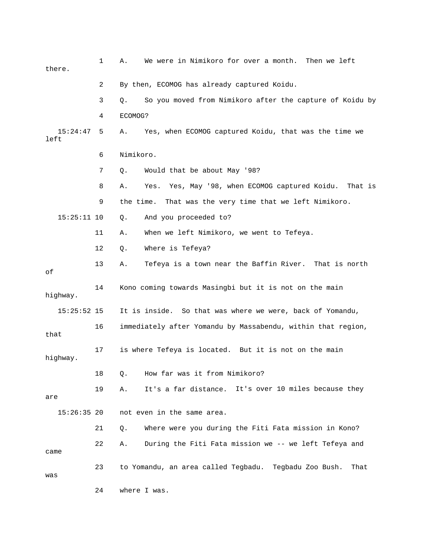| there.           | 1  | We were in Nimikoro for over a month. Then we left<br>Α.        |
|------------------|----|-----------------------------------------------------------------|
|                  | 2  | By then, ECOMOG has already captured Koidu.                     |
|                  | 3  | So you moved from Nimikoro after the capture of Koidu by<br>Q.  |
|                  | 4  | ECOMOG?                                                         |
| 15:24:47<br>left | 5  | Yes, when ECOMOG captured Koidu, that was the time we<br>Α.     |
|                  | 6  | Nimikoro.                                                       |
|                  | 7  | Would that be about May '98?<br>Q.                              |
|                  | 8  | Yes, May '98, when ECOMOG captured Koidu. That is<br>Α.<br>Yes. |
|                  | 9  | the time.<br>That was the very time that we left Nimikoro.      |
| $15:25:11$ 10    |    | And you proceeded to?<br>Q.                                     |
|                  | 11 | When we left Nimikoro, we went to Tefeya.<br>Α.                 |
|                  | 12 | Where is Tefeya?<br>Q.                                          |
| οf               | 13 | Tefeya is a town near the Baffin River. That is north<br>Α.     |
| highway.         | 14 | Kono coming towards Masingbi but it is not on the main          |
| $15:25:52$ 15    |    | It is inside. So that was where we were, back of Yomandu,       |
| that             | 16 | immediately after Yomandu by Massabendu, within that region,    |
| highway.         | 17 | is where Tefeya is located. But it is not on the main           |
|                  | 18 | How far was it from Nimikoro?<br>Q.                             |
| are              | 19 | It's a far distance. It's over 10 miles because they<br>Α.      |
| $15:26:35$ 20    |    | not even in the same area.                                      |
|                  | 21 | Where were you during the Fiti Fata mission in Kono?<br>Q.      |
| came             | 22 | During the Fiti Fata mission we -- we left Tefeya and<br>Α.     |
| was              | 23 | to Yomandu, an area called Tegbadu. Tegbadu Zoo Bush.<br>That   |
|                  | 24 | where I was.                                                    |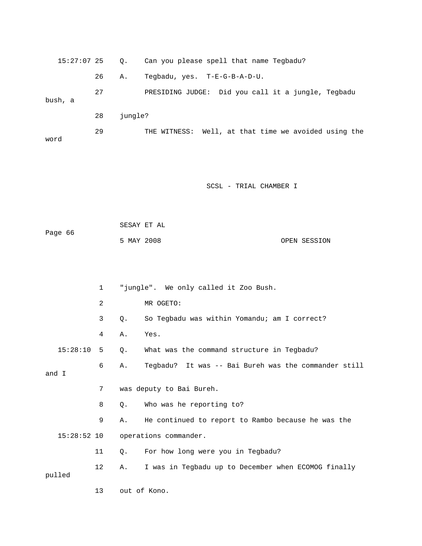| 15:27:07 25 |    | $\circ$ . | Can you please spell that name Tegbadu?              |
|-------------|----|-----------|------------------------------------------------------|
|             | 26 | Α.        | Tegbadu, yes. T-E-G-B-A-D-U.                         |
| bush, a     | 27 |           | PRESIDING JUDGE: Did you call it a jungle, Tegbadu   |
|             | 28 | jungle?   |                                                      |
| word        | 29 |           | THE WITNESS: Well, at that time we avoided using the |

|         | SESAY ET AL |              |
|---------|-------------|--------------|
| Page 66 |             |              |
|         | 5 MAY 2008  | OPEN SESSION |

|        |               | $\mathbf{1}$   |       | "jungle". We only called it Zoo Bush.                |
|--------|---------------|----------------|-------|------------------------------------------------------|
|        |               | $\overline{a}$ |       | MR OGETO:                                            |
|        |               | 3              | Q.    | So Tegbadu was within Yomandu; am I correct?         |
|        |               | 4              | Α.    | Yes.                                                 |
|        | 15:28:10      | 5              | $Q$ . | What was the command structure in Tegbadu?           |
| and I  |               | 6              | Α.    | Tegbadu? It was -- Bai Bureh was the commander still |
|        |               | 7              |       | was deputy to Bai Bureh.                             |
|        |               | 8              | О.    | Who was he reporting to?                             |
|        |               | 9              | Α.    | He continued to report to Rambo because he was the   |
|        | $15:28:52$ 10 |                |       | operations commander.                                |
|        |               | 11             | Q.    | For how long were you in Tegbadu?                    |
| pulled |               | 12             | Α.    | I was in Tegbadu up to December when ECOMOG finally  |
|        |               | 13             |       | out of Kono.                                         |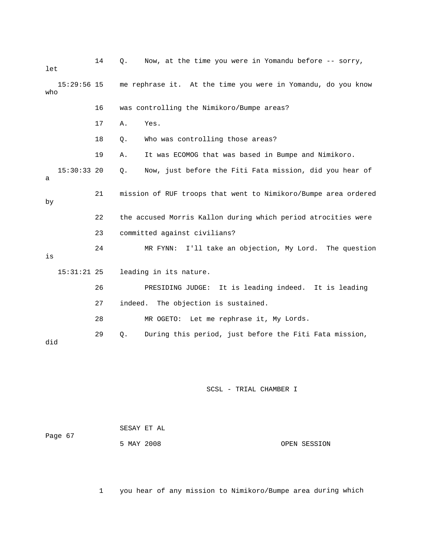| let |               | 14 | Now, at the time you were in Yomandu before -- sorry,<br>Q.     |  |  |
|-----|---------------|----|-----------------------------------------------------------------|--|--|
| who | $15:29:56$ 15 |    | me rephrase it. At the time you were in Yomandu, do you know    |  |  |
|     |               | 16 | was controlling the Nimikoro/Bumpe areas?                       |  |  |
|     |               | 17 | Yes.<br>Α.                                                      |  |  |
|     |               | 18 | Who was controlling those areas?<br>Q.                          |  |  |
|     |               | 19 | It was ECOMOG that was based in Bumpe and Nimikoro.<br>Α.       |  |  |
| a   | $15:30:33$ 20 |    | Now, just before the Fiti Fata mission, did you hear of<br>Ο.   |  |  |
| by  |               | 21 | mission of RUF troops that went to Nimikoro/Bumpe area ordered  |  |  |
|     |               | 22 | the accused Morris Kallon during which period atrocities were   |  |  |
|     |               | 23 | committed against civilians?                                    |  |  |
| is  |               | 24 | I'll take an objection, My Lord. The question<br>MR FYNN:       |  |  |
|     | $15:31:21$ 25 |    | leading in its nature.                                          |  |  |
|     |               | 26 | PRESIDING JUDGE:<br>It is leading indeed. It is leading         |  |  |
|     |               | 27 | indeed.<br>The objection is sustained.                          |  |  |
|     |               | 28 | MR OGETO: Let me rephrase it, My Lords.                         |  |  |
| did |               | 29 | During this period, just before the Fiti Fata mission,<br>$Q$ . |  |  |

| Page 67 | SESAY ET AL |              |
|---------|-------------|--------------|
|         | 5 MAY 2008  | OPEN SESSION |

1 you hear of any mission to Nimikoro/Bumpe area during which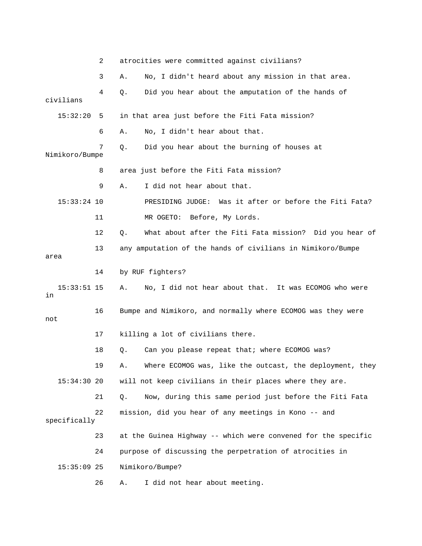|                     | 2  | atrocities were committed against civilians?                   |
|---------------------|----|----------------------------------------------------------------|
|                     | 3  | No, I didn't heard about any mission in that area.<br>Α.       |
| civilians           | 4  | Did you hear about the amputation of the hands of<br>Q.        |
| 15:32:20            | 5  | in that area just before the Fiti Fata mission?                |
|                     | 6  | No, I didn't hear about that.<br>Α.                            |
| Nimikoro/Bumpe      | 7  | Did you hear about the burning of houses at<br>Q.              |
|                     | 8  | area just before the Fiti Fata mission?                        |
|                     | 9  | I did not hear about that.<br>Α.                               |
| $15:33:24$ 10       |    | Was it after or before the Fiti Fata?<br>PRESIDING JUDGE:      |
|                     | 11 | MR OGETO: Before, My Lords.                                    |
|                     | 12 | What about after the Fiti Fata mission? Did you hear of<br>Q.  |
| area                | 13 | any amputation of the hands of civilians in Nimikoro/Bumpe     |
|                     | 14 | by RUF fighters?                                               |
| $15:33:51$ 15<br>in |    | No, I did not hear about that. It was ECOMOG who were<br>Α.    |
| not                 | 16 | Bumpe and Nimikoro, and normally where ECOMOG was they were    |
|                     | 17 | killing a lot of civilians there.                              |
|                     | 18 | Can you please repeat that; where ECOMOG was?<br>Q.            |
|                     | 19 | Where ECOMOG was, like the outcast, the deployment, they<br>Α. |
| 15:34:30 20         |    | will not keep civilians in their places where they are.        |
|                     | 21 | Now, during this same period just before the Fiti Fata<br>Q.   |
| specifically        | 22 | mission, did you hear of any meetings in Kono -- and           |
|                     | 23 | at the Guinea Highway -- which were convened for the specific  |
|                     | 24 | purpose of discussing the perpetration of atrocities in        |
| $15:35:09$ 25       |    | Nimikoro/Bumpe?                                                |
|                     | 26 | I did not hear about meeting.<br>Α.                            |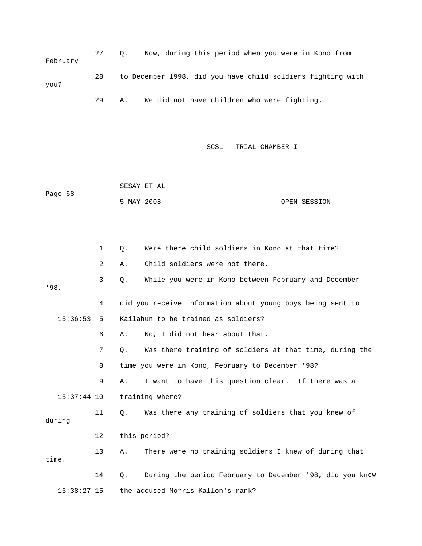27 Q. Now, during this period when you were in Kono from 28 to December 1998, did you have child soldiers fighting with 29 A. We did not have children who were fighting. February you?

SCSL - TRIAL CHAMBER I

 SESAY ET AL OPEN SESSION Page 68 5 MAY 2008

|        |               | 1              | 0.    | Were there child soldiers in Kono at that time?            |
|--------|---------------|----------------|-------|------------------------------------------------------------|
|        |               | $\overline{2}$ | Α.    | Child soldiers were not there.                             |
| '98.   |               | 3              | $Q$ . | While you were in Kono between February and December       |
|        |               | 4              |       | did you receive information about young boys being sent to |
|        | 15:36:53      | 5              |       | Kailahun to be trained as soldiers?                        |
|        |               | 6              | Α.    | No, I did not hear about that.                             |
|        |               | 7              | $Q$ . | Was there training of soldiers at that time, during the    |
|        |               | 8              |       | time you were in Kono, February to December '98?           |
|        |               | 9              | Α.    | I want to have this question clear. If there was a         |
|        | $15:37:44$ 10 |                |       | training where?                                            |
| during |               | 11             | 0.    | Was there any training of soldiers that you knew of        |
|        |               | 12             |       | this period?                                               |
| time.  |               | 13             | Α.    | There were no training soldiers I knew of during that      |
|        |               | 14             | 0.    | During the period February to December '98, did you know   |
|        | $15:38:27$ 15 |                |       | the accused Morris Kallon's rank?                          |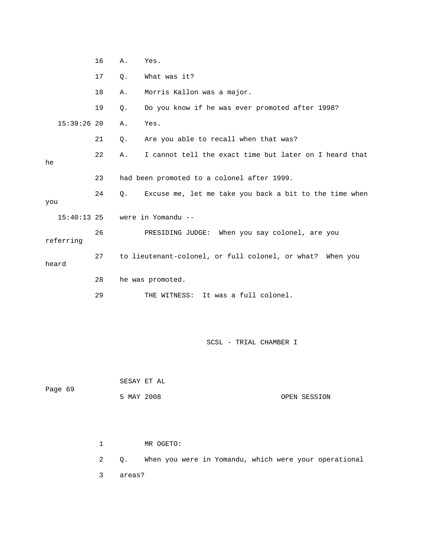|               | 16 | Α.    | Yes.                                                      |
|---------------|----|-------|-----------------------------------------------------------|
|               | 17 | $Q$ . | What was it?                                              |
|               | 18 | Α.    | Morris Kallon was a major.                                |
|               | 19 | Q.    | Do you know if he was ever promoted after 1998?           |
| $15:39:26$ 20 |    | Α.    | Yes.                                                      |
|               | 21 | $Q$ . | Are you able to recall when that was?                     |
| he            | 22 | Α.    | I cannot tell the exact time but later on I heard that    |
|               | 23 |       | had been promoted to a colonel after 1999.                |
| you           | 24 | Q.    | Excuse me, let me take you back a bit to the time when    |
| $15:40:13$ 25 |    |       | were in Yomandu --                                        |
| referring     | 26 |       | PRESIDING JUDGE:<br>When you say colonel, are you         |
| heard         | 27 |       | to lieutenant-colonel, or full colonel, or what? When you |
|               | 28 |       | he was promoted.                                          |
|               | 29 |       | THE WITNESS:<br>It was a full colonel.                    |

|         |            | SESAY ET AL |              |
|---------|------------|-------------|--------------|
| Page 69 |            |             |              |
|         | 5 MAY 2008 |             | OPEN SESSION |

 1 MR OGETO: 2 Q. When you were in Yomandu, which were your operational 3 areas?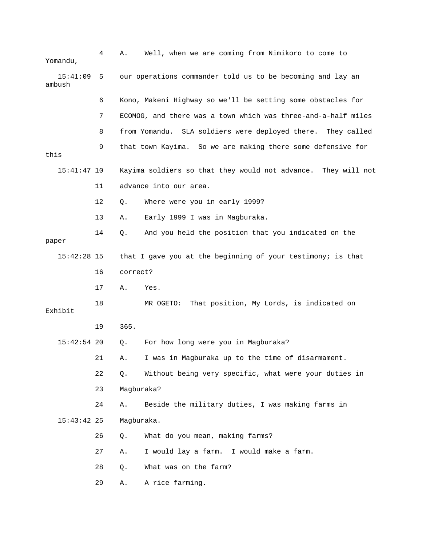| Yomandu,           | 4   | Α.         | Well, when we are coming from Nimikoro to come to                |
|--------------------|-----|------------|------------------------------------------------------------------|
| 15:41:09<br>ambush | - 5 |            | our operations commander told us to be becoming and lay an       |
|                    | 6   |            | Kono, Makeni Highway so we'll be setting some obstacles for      |
|                    | 7   |            | ECOMOG, and there was a town which was three-and-a-half miles    |
|                    | 8   |            | from Yomandu. SLA soldiers were deployed there. They called      |
| this               | 9   |            | that town Kayima. So we are making there some defensive for      |
| $15:41:47$ 10      |     |            | Kayima soldiers so that they would not advance.<br>They will not |
|                    | 11  |            | advance into our area.                                           |
|                    | 12  | Q.         | Where were you in early 1999?                                    |
|                    | 13  | Α.         | Early 1999 I was in Magburaka.                                   |
| paper              | 14  | $Q$ .      | And you held the position that you indicated on the              |
| $15:42:28$ 15      |     |            | that I gave you at the beginning of your testimony; is that      |
|                    | 16  | correct?   |                                                                  |
|                    | 17  | Α.         | Yes.                                                             |
| Exhibit            | 18  |            | MR OGETO:<br>That position, My Lords, is indicated on            |
|                    | 19  | 365.       |                                                                  |
| $15:42:54$ 20      |     | Q.         | For how long were you in Magburaka?                              |
|                    | 21  | Α.         | I was in Magburaka up to the time of disarmament.                |
|                    | 22  | $Q$ .      | Without being very specific, what were your duties in            |
|                    | 23  | Magburaka? |                                                                  |
|                    | 24  | Α.         | Beside the military duties, I was making farms in                |
| $15:43:42$ 25      |     | Magburaka. |                                                                  |
|                    | 26  | Q.         | What do you mean, making farms?                                  |
|                    | 27  | Α.         | I would lay a farm. I would make a farm.                         |
|                    | 28  | Q.         | What was on the farm?                                            |
|                    | 29  | Α.         | A rice farming.                                                  |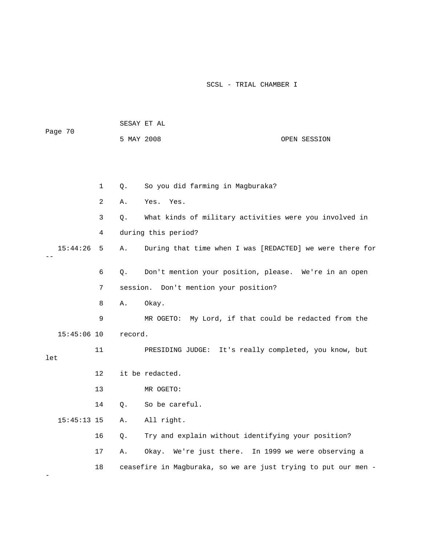| Page 70       |             | 5 MAY 2008 |                                                                | OPEN SESSION |
|---------------|-------------|------------|----------------------------------------------------------------|--------------|
|               |             |            |                                                                |              |
|               | $\mathbf 1$ | Q.         | So you did farming in Magburaka?                               |              |
|               | 2           | Α.         | Yes.<br>Yes.                                                   |              |
|               | 3           | Q.         | What kinds of military activities were you involved in         |              |
|               | 4           |            | during this period?                                            |              |
| 15:44:26      | 5           | Α.         | During that time when I was [REDACTED] we were there for       |              |
|               | 6           | Q.         | Don't mention your position, please. We're in an open          |              |
|               | 7           |            | session. Don't mention your position?                          |              |
|               | 8           | Α.         | Okay.                                                          |              |
|               | 9           |            | MR OGETO: My Lord, if that could be redacted from the          |              |
| $15:45:06$ 10 |             | record.    |                                                                |              |
| let           | 11          |            | PRESIDING JUDGE: It's really completed, you know, but          |              |
|               | $12 \,$     |            | it be redacted.                                                |              |
|               | 13          |            | MR OGETO:                                                      |              |
|               | 14          | О.         | So be careful.                                                 |              |
| $15:45:13$ 15 |             | Α.         | All right.                                                     |              |
|               | 16          | Q.         | Try and explain without identifying your position?             |              |
|               | 17          | Α.         | Okay. We're just there. In 1999 we were observing a            |              |
|               | 18          |            | ceasefire in Magburaka, so we are just trying to put our men - |              |

SESAY ET AL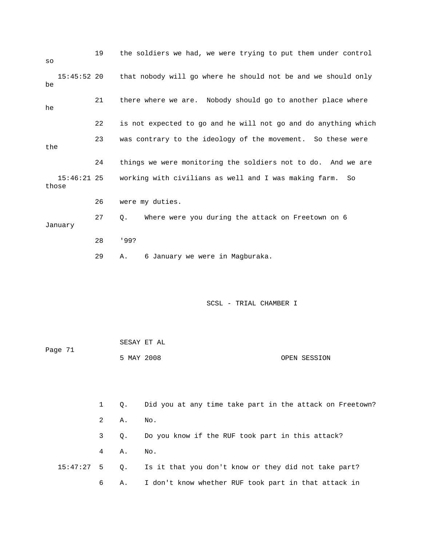19 the soldiers we had, we were trying to put them under control 21 there where we are. Nobody should go to another place where 22 is not expected to go and he will not go and do anything which 23 was contrary to the ideology of the movement. So these were the 24 things we were monitoring the soldiers not to do. And we are 27 Q. Where were you during the attack on Freetown on 6 28 '99? so 15:45:52 20 that nobody will go where he should not be and we should only be he 15:46:21 25 working with civilians as well and I was making farm. So those 26 were my duties. January 29 A. 6 January we were in Magburaka.

| Page 71 | SESAY ET AL |              |
|---------|-------------|--------------|
|         | 5 MAY 2008  | OPEN SESSION |

|             |           | 1 Q. Did you at any time take part in the attack on Freetown?      |
|-------------|-----------|--------------------------------------------------------------------|
|             | 2 A. No.  |                                                                    |
| $3^{\circ}$ | $\circ$ . | Do you know if the RUF took part in this attack?                   |
|             | 4 A. No.  |                                                                    |
|             |           | 15:47:27 5 Q. Is it that you don't know or they did not take part? |
| 6 —         |           | A. I don't know whether RUF took part in that attack in            |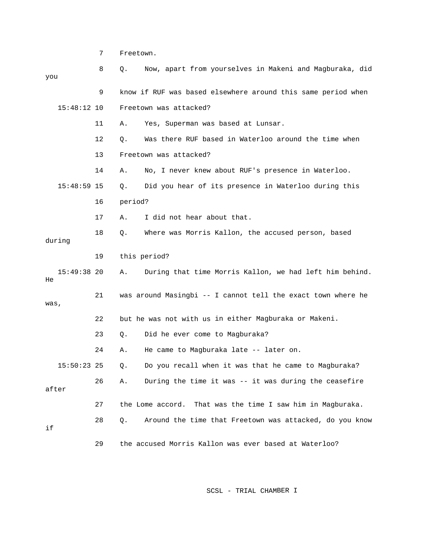7 Freetown. 8 Q. Now, apart from yourselves in Makeni and Magbur aka, did you 9 know if RUF was based elsewhere around this same period when 11 A. Yes, Superman was based at Lunsar. 12 Q. Was there RUF based in Waterloo around the time when 13 Freetown was attacked? 14 A. No, I never knew about RUF's presence in Waterloo. 15:48:59 15 Q. Did you hear of its presence in Waterloo during this 17 A. I did not hear about that. 18 Q. Where was Morris Kallon, the accused person, based during 19 this period? 15:49:38 20 A. During that time Morris Kallon, we had left him behind. was, 22 but he was not with us in either Magburaka or Makeni. 23 Q. Did he ever come to Magburaka? 24 A. He came to Magburaka late -- later on. Do you recall when it was that he came to Magburaka? 26 A. During the time it was -- it was during the ceasefire 27 the Lome accord. That was the time I saw him in Magburaka. 28 Q. Around the time that Freetown was attacked, do you know 29 the accused Morris Kallon was ever based at Waterloo? 15:48:12 10 Freetown was attacked? 16 period? He 21 was around Masingbi -- I cannot tell the exact town where he  $15:50:23$  25 Q. after if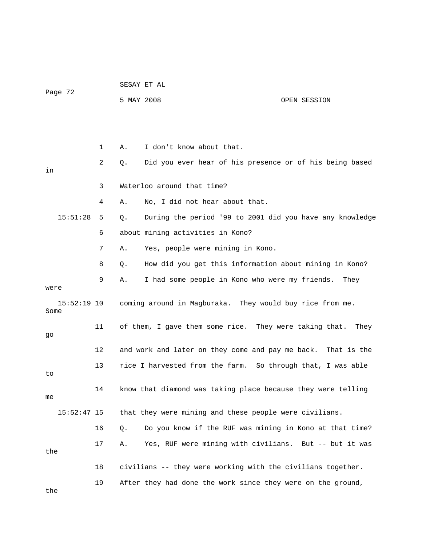|                       |    |    | SESAY ET AL                                            |                                                                |  |  |
|-----------------------|----|----|--------------------------------------------------------|----------------------------------------------------------------|--|--|
| Page 72               |    |    | 5 MAY 2008                                             | OPEN SESSION                                                   |  |  |
|                       |    |    |                                                        |                                                                |  |  |
|                       |    |    |                                                        |                                                                |  |  |
|                       | 1  | Α. | I don't know about that.                               |                                                                |  |  |
| in                    | 2  | Q. |                                                        | Did you ever hear of his presence or of his being based        |  |  |
|                       | 3  |    | Waterloo around that time?                             |                                                                |  |  |
|                       | 4  | Α. | No, I did not hear about that.                         |                                                                |  |  |
| 15:51:28              | 5. | Q. |                                                        | During the period '99 to 2001 did you have any knowledge       |  |  |
|                       | 6  |    | about mining activities in Kono?                       |                                                                |  |  |
|                       | 7  | Α. | Yes, people were mining in Kono.                       |                                                                |  |  |
|                       | 8  | Q. |                                                        | How did you get this information about mining in Kono?         |  |  |
| were                  | 9  | Α. |                                                        | I had some people in Kono who were my friends. They            |  |  |
| $15:52:19$ 10<br>Some |    |    |                                                        | coming around in Magburaka. They would buy rice from me.       |  |  |
| go                    | 11 |    |                                                        | of them, I gave them some rice. They were taking that.<br>They |  |  |
|                       | 12 |    | and work and later on they come and pay me back.       | That is the                                                    |  |  |
| to                    | 13 |    |                                                        | rice I harvested from the farm. So through that, I was able    |  |  |
| me                    | 14 |    |                                                        | know that diamond was taking place because they were telling   |  |  |
| $15:52:47$ 15         |    |    | that they were mining and these people were civilians. |                                                                |  |  |
|                       | 16 | Q. |                                                        | Do you know if the RUF was mining in Kono at that time?        |  |  |
| the                   | 17 | Α. |                                                        | Yes, RUF were mining with civilians. But -- but it was         |  |  |
|                       | 18 |    |                                                        | civilians -- they were working with the civilians together.    |  |  |
| the                   | 19 |    |                                                        | After they had done the work since they were on the ground,    |  |  |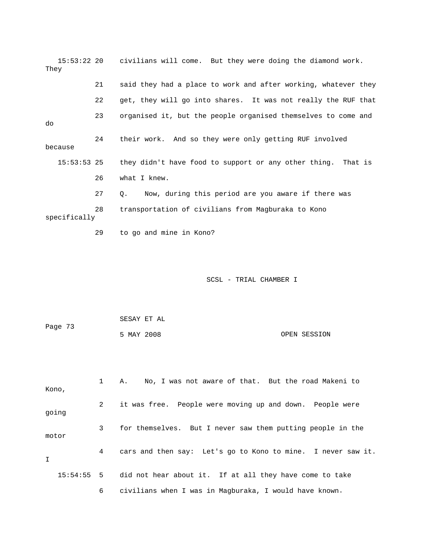15:53:22 20 civilians will come. But they were doing the diamond work. They 21 said they had a place to work and after working, whatever they 23 organised it, but the people organised themselves to come and because they didn't have food to support or any other thing. That is 28 transportation of civilians from Magburaka to Kono 29 to go and mine in Kono? 22 get, they will go into shares. It was not really the RUF that do 24 their work. And so they were only getting RUF involved  $15:53:5325$  26 what I knew. 27 Q. Now, during this period are you aware if there was specifically

| Page 73 | SESAY ET AL |              |
|---------|-------------|--------------|
|         | 5 MAY 2008  | OPEN SESSION |

| Kono,       |              | No, I was not aware of that. But the road Makeni to<br>А.          |
|-------------|--------------|--------------------------------------------------------------------|
| going       | $\mathbf{2}$ | it was free. People were moving up and down. People were           |
| motor       | 3            | for themselves. But I never saw them putting people in the         |
| $\mathbf I$ | 4            | cars and then say: Let's go to Kono to mine. I never saw it.       |
|             |              | 15:54:55 5 did not hear about it. If at all they have come to take |
|             | 6            | civilians when I was in Magburaka, I would have known.             |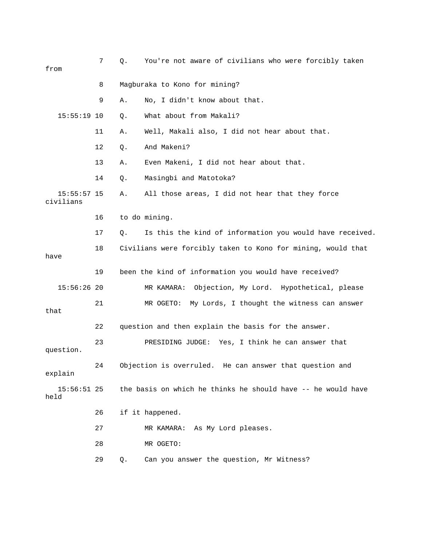| from                       | 7  | Q. | You're not aware of civilians who were forcibly taken        |
|----------------------------|----|----|--------------------------------------------------------------|
|                            | 8  |    | Magburaka to Kono for mining?                                |
|                            | 9  | Α. | No, I didn't know about that.                                |
| $15:55:19$ 10              |    | Q. | What about from Makali?                                      |
|                            | 11 | Α. | Well, Makali also, I did not hear about that.                |
|                            | 12 | Q. | And Makeni?                                                  |
|                            | 13 | Α. | Even Makeni, I did not hear about that.                      |
|                            | 14 | Q. | Masingbi and Matotoka?                                       |
| $15:55:57$ 15<br>civilians |    | Α. | All those areas, I did not hear that they force              |
|                            | 16 |    | to do mining.                                                |
|                            | 17 | Q. | Is this the kind of information you would have received.     |
| have                       | 18 |    | Civilians were forcibly taken to Kono for mining, would that |
|                            | 19 |    | been the kind of information you would have received?        |
| $15:56:26$ 20              |    |    | Objection, My Lord. Hypothetical, please<br>MR KAMARA:       |
| that                       | 21 |    | My Lords, I thought the witness can answer<br>MR OGETO:      |
|                            | 22 |    | question and then explain the basis for the answer.          |
| question.                  | 23 |    | PRESIDING JUDGE: Yes, I think he can answer that             |
| explain                    | 24 |    | Objection is overruled. He can answer that question and      |
| $15:56:51$ 25<br>held      |    |    | the basis on which he thinks he should have -- he would have |
|                            | 26 |    | if it happened.                                              |
|                            | 27 |    | MR KAMARA: As My Lord pleases.                               |
|                            | 28 |    | MR OGETO:                                                    |
|                            | 29 | Q. | Can you answer the question, Mr Witness?                     |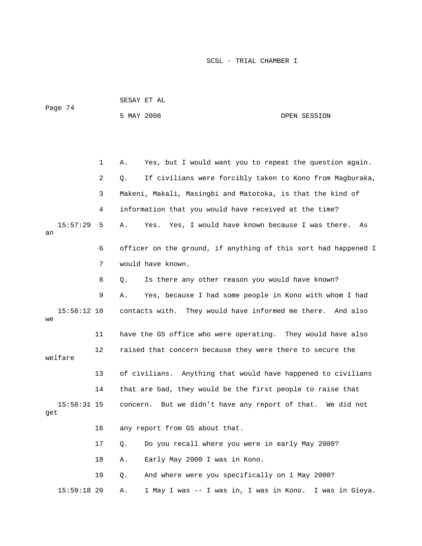|                      |    | SESAY ET AL                                                    |                 |  |
|----------------------|----|----------------------------------------------------------------|-----------------|--|
| Page 74              |    | 5 MAY 2008                                                     | OPEN SESSION    |  |
|                      |    |                                                                |                 |  |
|                      |    |                                                                |                 |  |
|                      | 1  | Yes, but I would want you to repeat the question again.<br>Α.  |                 |  |
|                      | 2  | If civilians were forcibly taken to Kono from Magburaka,<br>Q. |                 |  |
|                      | 3  | Makeni, Makali, Masingbi and Matotoka, is that the kind of     |                 |  |
|                      | 4  | information that you would have received at the time?          |                 |  |
| 15:57:29<br>an       | 5  | Yes, I would have known because I was there.<br>Yes.<br>Α.     | As              |  |
|                      | 6  | officer on the ground, if anything of this sort had happened I |                 |  |
|                      | 7  | would have known.                                              |                 |  |
|                      | 8  | Is there any other reason you would have known?<br>Q.          |                 |  |
|                      | 9  | Yes, because I had some people in Kono with whom I had<br>Α.   |                 |  |
| $15:58:12$ 10<br>we  |    | They would have informed me there. And also<br>contacts with.  |                 |  |
|                      | 11 | have the G5 office who were operating. They would have also    |                 |  |
| welfare              | 12 | raised that concern because they were there to secure the      |                 |  |
|                      | 13 | of civilians. Anything that would have happened to civilians   |                 |  |
|                      | 14 | that are bad, they would be the first people to raise that     |                 |  |
| $15:58:31$ 15<br>get |    | concern. But we didn't have any report of that. We did not     |                 |  |
|                      | 16 | any report from G5 about that.                                 |                 |  |
|                      | 17 | Do you recall where you were in early May 2000?<br>Q.          |                 |  |
|                      | 18 | Early May 2000 I was in Kono.<br>Α.                            |                 |  |
|                      | 19 | And where were you specifically on 1 May 2000?<br>Q.           |                 |  |
| $15:59:18$ 20        |    | 1 May I was -- I was in, I was in Kono.<br>Α.                  | I was in Gieya. |  |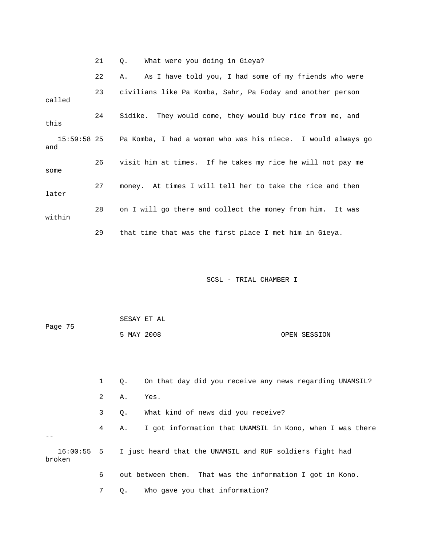21 Q. What were you doing in Gieya?

 22 A. As I have told you, I had some of my friends who were called this Pa Komba, I had a woman who was his niece. I would always go and 26 visit him at times. If he takes my rice he will not pay me 27 money. At times I will tell her to take the rice and then later 28 on I will go there and collect the money from him. It was 29 that time that was the first place I met him in Gieya. 23 civilians like Pa Komba, Sahr, Pa Foday and another person 24 Sidike. They would come, they would buy rice from me, and  $15:59:58$  25 some within

| Page 75 | SESAY ET AL |  |              |
|---------|-------------|--|--------------|
|         | 5 MAY 2008  |  | OPEN SESSION |

|                        |                | $\circ$ . | On that day did you receive any news regarding UNAMSIL?   |
|------------------------|----------------|-----------|-----------------------------------------------------------|
|                        | $\mathbf{2}$   | Α.        | Yes.                                                      |
|                        | 3 <sup>7</sup> | 0.        | What kind of news did you receive?                        |
|                        | 4              | А.        | I got information that UNAMSIL in Kono, when I was there  |
| $16:00:55$ 5<br>broken |                |           | I just heard that the UNAMSIL and RUF soldiers fight had  |
|                        | 6              |           | out between them. That was the information I got in Kono. |
|                        |                | Q.        | Who gave you that information?                            |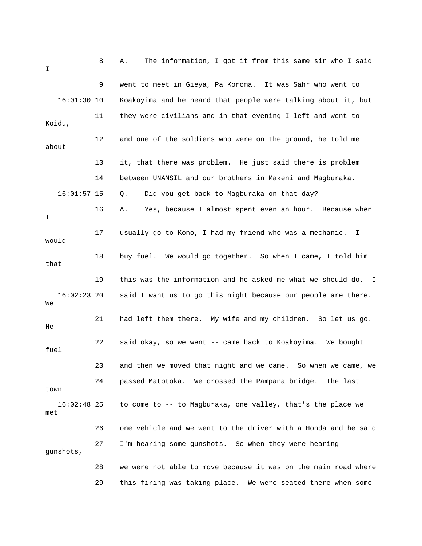| I                    | 8  | The information, I got it from this same sir who I said<br>Α.  |
|----------------------|----|----------------------------------------------------------------|
|                      | 9  | went to meet in Gieya, Pa Koroma. It was Sahr who went to      |
| $16:01:30$ 10        |    | Koakoyima and he heard that people were talking about it, but  |
| Koidu,               | 11 | they were civilians and in that evening I left and went to     |
| about                | 12 | and one of the soldiers who were on the ground, he told me     |
|                      | 13 | it, that there was problem. He just said there is problem      |
|                      | 14 | between UNAMSIL and our brothers in Makeni and Magburaka.      |
| $16:01:57$ 15        |    | Did you get back to Magburaka on that day?<br>Q.               |
| I                    | 16 | Yes, because I almost spent even an hour. Because when<br>Α.   |
| would                | 17 | usually go to Kono, I had my friend who was a mechanic. I      |
| that                 | 18 | buy fuel. We would go together. So when I came, I told him     |
|                      | 19 | this was the information and he asked me what we should do. I  |
| $16:02:23$ 20<br>We  |    | said I want us to go this night because our people are there.  |
| He                   | 21 | had left them there. My wife and my children. So let us go.    |
| fuel                 | 22 | said okay, so we went -- came back to Koakoyima. We bought     |
|                      |    |                                                                |
|                      | 23 | and then we moved that night and we came. So when we came, we  |
| town                 | 24 | passed Matotoka. We crossed the Pampana bridge. The last       |
| $16:02:48$ 25<br>met |    | to come to -- to Magburaka, one valley, that's the place we    |
|                      | 26 | one vehicle and we went to the driver with a Honda and he said |
| qunshots,            | 27 | I'm hearing some gunshots. So when they were hearing           |
|                      | 28 | we were not able to move because it was on the main road where |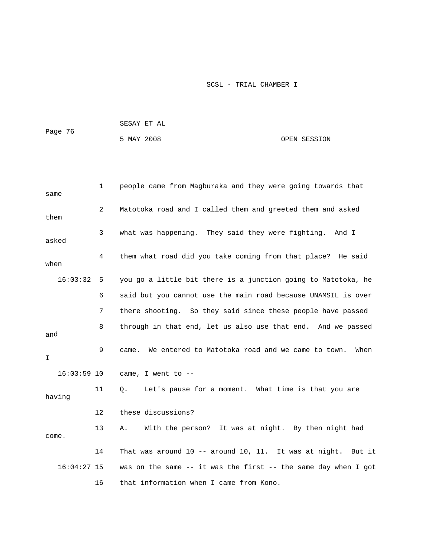| Page 76 | SESAY ET AL |              |
|---------|-------------|--------------|
|         | 5 MAY 2008  | OPEN SESSION |

| same          | $\mathbf 1$ | people came from Magburaka and they were going towards that          |  |  |
|---------------|-------------|----------------------------------------------------------------------|--|--|
| them          | 2           | Matotoka road and I called them and greeted them and asked           |  |  |
| asked         | 3           | what was happening. They said they were fighting. And I              |  |  |
| when          | 4           | them what road did you take coming from that place? He said          |  |  |
| 16:03:32      | 5           | you go a little bit there is a junction going to Matotoka, he        |  |  |
|               | 6           | said but you cannot use the main road because UNAMSIL is over        |  |  |
|               | 7           | there shooting. So they said since these people have passed          |  |  |
| and           | 8           | through in that end, let us also use that end. And we passed         |  |  |
| I.            | 9           | We entered to Matotoka road and we came to town. When<br>came.       |  |  |
| $16:03:59$ 10 |             | came, I went to --                                                   |  |  |
| having        | 11          | Let's pause for a moment. What time is that you are<br>$Q_{\star}$   |  |  |
|               | 12          | these discussions?                                                   |  |  |
| come.         | 13          | With the person? It was at night. By then night had<br>Α.            |  |  |
|               | 14          | That was around 10 -- around 10, 11. It was at night. But it         |  |  |
| $16:04:27$ 15 |             | was on the same $-$ - it was the first $-$ - the same day when I got |  |  |
|               | 16          | that information when I came from Kono.                              |  |  |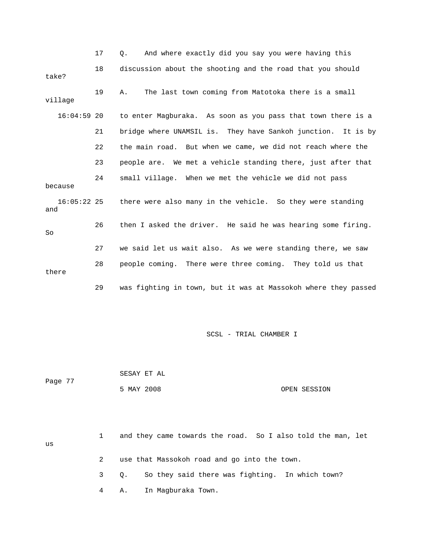|                      | 17 | And where exactly did you say you were having this<br>0.       |
|----------------------|----|----------------------------------------------------------------|
| take?                | 18 | discussion about the shooting and the road that you should     |
| village              | 19 | The last town coming from Matotoka there is a small<br>Α.      |
| $16:04:59$ 20        |    | to enter Magburaka. As soon as you pass that town there is a   |
|                      | 21 | bridge where UNAMSIL is. They have Sankoh junction. It is by   |
|                      | 22 | the main road. But when we came, we did not reach where the    |
|                      | 23 | people are. We met a vehicle standing there, just after that   |
| because              | 24 | small village. When we met the vehicle we did not pass         |
| $16:05:22$ 25<br>and |    | there were also many in the vehicle. So they were standing     |
| So                   | 26 | then I asked the driver. He said he was hearing some firing.   |
|                      | 27 | we said let us wait also. As we were standing there, we saw    |
| there                | 28 | people coming. There were three coming. They told us that      |
|                      | 29 | was fighting in town, but it was at Massokoh where they passed |

| Page 77 | SESAY ET AL |              |
|---------|-------------|--------------|
|         | 5 MAY 2008  | OPEN SESSION |

4 A. In Magburaka Town.

|    |  | and they came towards the road. So I also told the man, let |
|----|--|-------------------------------------------------------------|
| us |  |                                                             |
|    |  | use that Massokoh road and go into the town.                |
|    |  | 3 Q. So they said there was fighting. In which town?        |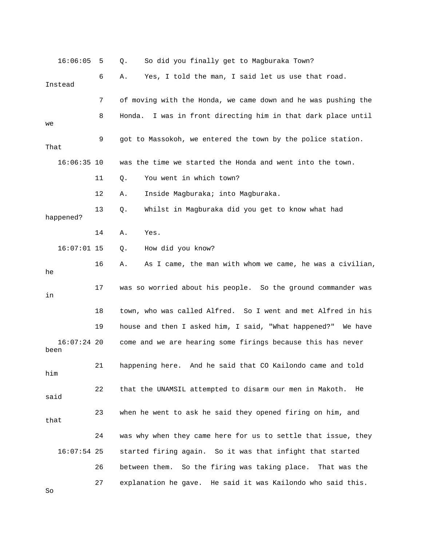| 16:06:05              | 5  | So did you finally get to Magburaka Town?<br>Q.                 |
|-----------------------|----|-----------------------------------------------------------------|
| Instead               | 6  | Yes, I told the man, I said let us use that road.<br>Α.         |
|                       | 7  | of moving with the Honda, we came down and he was pushing the   |
| we                    | 8  | I was in front directing him in that dark place until<br>Honda. |
| That                  | 9  | got to Massokoh, we entered the town by the police station.     |
| $16:06:35$ 10         |    | was the time we started the Honda and went into the town.       |
|                       | 11 | You went in which town?<br>Q.                                   |
|                       | 12 | Inside Magburaka; into Magburaka.<br>Α.                         |
| happened?             | 13 | Whilst in Magburaka did you get to know what had<br>Q.          |
|                       | 14 | Yes.<br>Α.                                                      |
| $16:07:01$ 15         |    | How did you know?<br>Q.                                         |
| he                    | 16 | As I came, the man with whom we came, he was a civilian,<br>Α.  |
| in                    | 17 | was so worried about his people. So the ground commander was    |
|                       | 18 | town, who was called Alfred. So I went and met Alfred in his    |
|                       | 19 | house and then I asked him, I said, "What happened?"<br>We have |
| $16:07:24$ 20<br>been |    | come and we are hearing some firings because this has never     |
| him                   | 21 | happening here. And he said that CO Kailondo came and told      |
| said                  | 22 | that the UNAMSIL attempted to disarm our men in Makoth.<br>He   |
| that                  | 23 | when he went to ask he said they opened firing on him, and      |
|                       | 24 | was why when they came here for us to settle that issue, they   |
| $16:07:54$ 25         |    | started firing again. So it was that infight that started       |
|                       | 26 | between them. So the firing was taking place. That was the      |
| So                    | 27 | explanation he gave. He said it was Kailondo who said this.     |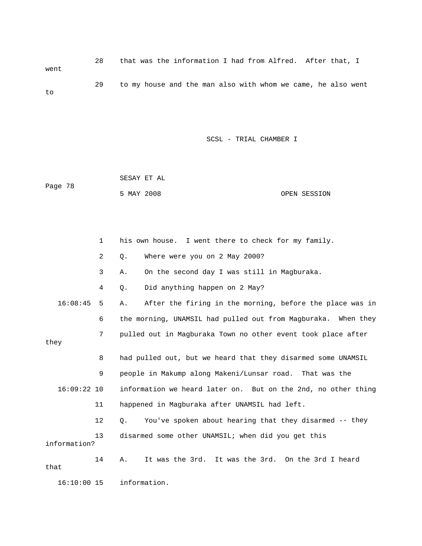28 that was the information I had from Alfred. After that, I went 29 to my house and the man also with whom we came, he also went to

|         |            | SESAY ET AL |              |
|---------|------------|-------------|--------------|
| Page 78 |            |             |              |
|         | 5 MAY 2008 |             | OPEN SESSION |

|               | $\mathbf{1}$ | his own house. I went there to check for my family.            |
|---------------|--------------|----------------------------------------------------------------|
|               | 2            | Where were you on 2 May 2000?<br>Q.                            |
|               | 3            | On the second day I was still in Magburaka.<br>Α.              |
|               | 4            | Did anything happen on 2 May?<br>Q.                            |
| 16:08:45      | 5            | After the firing in the morning, before the place was in<br>Α. |
|               | 6            | the morning, UNAMSIL had pulled out from Magburaka. When they  |
| they          | 7            | pulled out in Magburaka Town no other event took place after   |
|               | 8            | had pulled out, but we heard that they disarmed some UNAMSIL   |
|               | 9            | people in Makump along Makeni/Lunsar road. That was the        |
| $16:09:22$ 10 |              | information we heard later on. But on the 2nd, no other thing  |
|               | 11           | happened in Magburaka after UNAMSIL had left.                  |
|               | 12           | You've spoken about hearing that they disarmed -- they<br>0.   |
| information?  | 13           | disarmed some other UNAMSIL; when did you get this             |
| that          | 14           | It was the 3rd. It was the 3rd. On the 3rd I heard<br>Α.       |
| $16:10:00$ 15 |              | information.                                                   |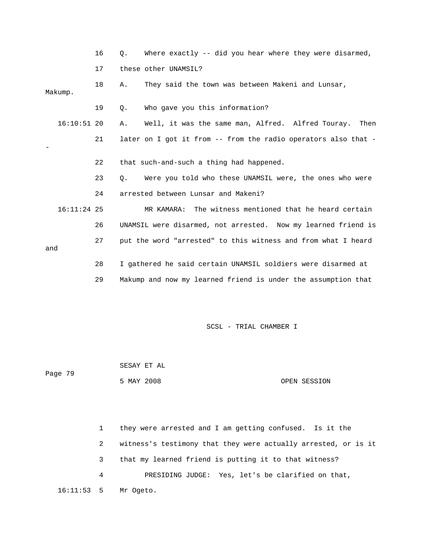|               | 16 | О. | Where exactly -- did you hear where they were disarmed,        |
|---------------|----|----|----------------------------------------------------------------|
|               | 17 |    | these other UNAMSIL?                                           |
| Makump.       | 18 | Α. | They said the town was between Makeni and Lunsar,              |
|               | 19 | Q. | Who gave you this information?                                 |
| $16:10:51$ 20 |    | Α. | Well, it was the same man, Alfred. Alfred Touray.<br>Then      |
|               | 21 |    | later on I got it from -- from the radio operators also that - |
|               | 22 |    | that such-and-such a thing had happened.                       |
|               | 23 | 0. | Were you told who these UNAMSIL were, the ones who were        |
|               | 24 |    | arrested between Lunsar and Makeni?                            |
| $16:11:24$ 25 |    |    | MR KAMARA: The witness mentioned that he heard certain         |
|               | 26 |    | UNAMSIL were disarmed, not arrested. Now my learned friend is  |
| and           | 27 |    | put the word "arrested" to this witness and from what I heard  |
|               | 28 |    | I gathered he said certain UNAMSIL soldiers were disarmed at   |
|               | 29 |    | Makump and now my learned friend is under the assumption that  |

 5 MAY 2008 OPEN SESSION SESAY ET AL Page 79

 1 they were arrested and I am getting confused. Is it the 4 PRESIDING JUDGE: Yes, let's be clarified on that, 16:11:53 5 Mr Ogeto. 2 witness's testimony that they were actually arrested, or is it 3 that my learned friend is putting it to that witness?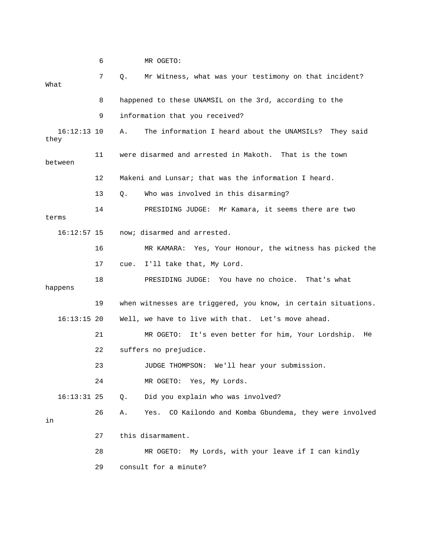|                       | 6  |      | MR OGETO:                                                      |
|-----------------------|----|------|----------------------------------------------------------------|
| What                  | 7  | Q.   | Mr Witness, what was your testimony on that incident?          |
|                       | 8  |      | happened to these UNAMSIL on the 3rd, according to the         |
|                       | 9  |      | information that you received?                                 |
| $16:12:13$ 10<br>they |    | Α.   | The information I heard about the UNAMSILs?<br>They said       |
| between               | 11 |      | were disarmed and arrested in Makoth. That is the town         |
|                       | 12 |      | Makeni and Lunsar; that was the information I heard.           |
|                       | 13 | О.   | Who was involved in this disarming?                            |
| terms                 | 14 |      | PRESIDING JUDGE: Mr Kamara, it seems there are two             |
| $16:12:57$ 15         |    |      | now; disarmed and arrested.                                    |
|                       | 16 |      | MR KAMARA: Yes, Your Honour, the witness has picked the        |
|                       | 17 | cue. | I'll take that, My Lord.                                       |
| happens               | 18 |      | PRESIDING JUDGE: You have no choice. That's what               |
|                       | 19 |      | when witnesses are triggered, you know, in certain situations. |
| $16:13:15$ 20         |    |      | Well, we have to live with that. Let's move ahead.             |
|                       | 21 |      | MR OGETO:<br>It's even better for him, Your Lordship.<br>He    |
|                       | 22 |      | suffers no prejudice.                                          |
|                       | 23 |      | JUDGE THOMPSON: We'll hear your submission.                    |
|                       | 24 |      | MR OGETO: Yes, My Lords.                                       |
| $16:13:31$ 25         |    | Q.   | Did you explain who was involved?                              |
| in                    | 26 | Α.   | CO Kailondo and Komba Gbundema, they were involved<br>Yes.     |
|                       | 27 |      | this disarmament.                                              |
|                       | 28 |      | MR OGETO: My Lords, with your leave if I can kindly            |
|                       | 29 |      | consult for a minute?                                          |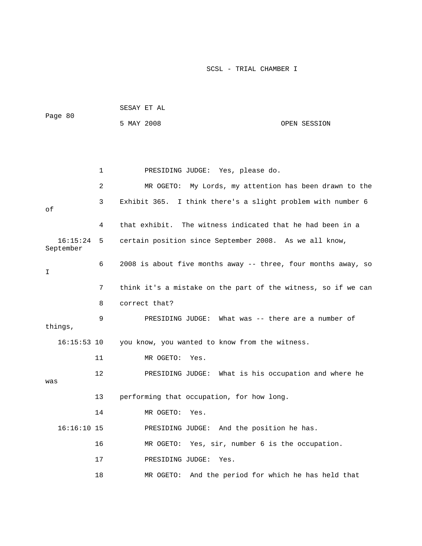| Page 80               |    | SESAY ET AL                                                    |              |  |  |  |
|-----------------------|----|----------------------------------------------------------------|--------------|--|--|--|
|                       |    | 5 MAY 2008                                                     | OPEN SESSION |  |  |  |
|                       |    |                                                                |              |  |  |  |
|                       |    |                                                                |              |  |  |  |
|                       | 1  | PRESIDING JUDGE: Yes, please do.                               |              |  |  |  |
|                       | 2  | MR OGETO: My Lords, my attention has been drawn to the         |              |  |  |  |
| оf                    | 3  | Exhibit 365.<br>I think there's a slight problem with number 6 |              |  |  |  |
|                       | 4  | that exhibit. The witness indicated that he had been in a      |              |  |  |  |
| 16:15:24<br>September | 5  | certain position since September 2008. As we all know,         |              |  |  |  |
| Ι                     | 6  | 2008 is about five months away -- three, four months away, so  |              |  |  |  |
|                       | 7  | think it's a mistake on the part of the witness, so if we can  |              |  |  |  |
|                       | 8  | correct that?                                                  |              |  |  |  |
| things,               | 9  | PRESIDING JUDGE: What was -- there are a number of             |              |  |  |  |
| $16:15:53$ 10         |    | you know, you wanted to know from the witness.                 |              |  |  |  |
|                       | 11 | MR OGETO:<br>Yes.                                              |              |  |  |  |
| was                   | 12 | PRESIDING JUDGE: What is his occupation and where he           |              |  |  |  |
|                       | 13 | performing that occupation, for how long.                      |              |  |  |  |
|                       | 14 | MR OGETO:<br>Yes                                               |              |  |  |  |
| $16:16:10$ 15         |    | PRESIDING JUDGE: And the position he has.                      |              |  |  |  |
|                       | 16 | Yes, sir, number 6 is the occupation.<br>MR OGETO:             |              |  |  |  |
|                       | 17 | PRESIDING JUDGE:<br>Yes.                                       |              |  |  |  |
|                       | 18 | And the period for which he has held that<br>MR OGETO:         |              |  |  |  |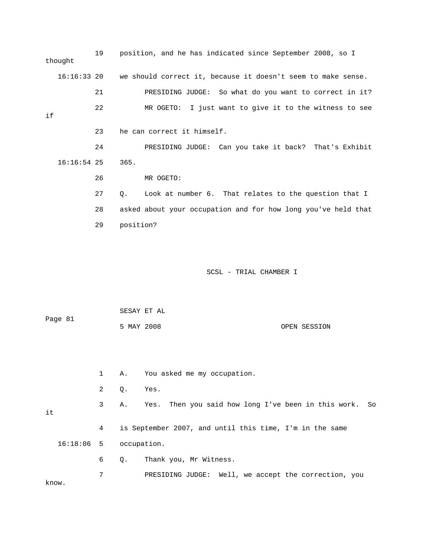|    | thought       | 19             |             | position, and he has indicated since September 2008, so I     |  |
|----|---------------|----------------|-------------|---------------------------------------------------------------|--|
|    | $16:16:33$ 20 |                |             | we should correct it, because it doesn't seem to make sense.  |  |
|    |               | 21             |             | PRESIDING JUDGE: So what do you want to correct in it?        |  |
| if |               | 22             |             | MR OGETO: I just want to give it to the witness to see        |  |
|    |               | 23             |             | he can correct it himself.                                    |  |
|    |               | 24             |             | PRESIDING JUDGE: Can you take it back? That's Exhibit         |  |
|    | $16:16:54$ 25 |                | 365.        |                                                               |  |
|    |               | 26             |             | MR OGETO:                                                     |  |
|    |               | 27             | Q.          | Look at number 6. That relates to the question that I         |  |
|    |               | 28             |             | asked about your occupation and for how long you've held that |  |
|    |               | 29             | position?   |                                                               |  |
|    |               |                |             | SCSL - TRIAL CHAMBER I                                        |  |
|    |               |                | SESAY ET AL |                                                               |  |
|    | Page 81       |                | 5 MAY 2008  | OPEN SESSION                                                  |  |
|    |               |                |             |                                                               |  |
|    |               | $\mathbf 1$    | Α.          | You asked me my occupation.                                   |  |
|    |               | $\overline{c}$ | Q.          | Yes.                                                          |  |
| it |               | 3              | Α.          | Then you said how long I've been in this work.<br>Yes.<br>So  |  |
|    |               | 4              |             | is September 2007, and until this time, I'm in the same       |  |
|    | 16:18:06      | 5              | occupation. |                                                               |  |

6 Q. Thank you, Mr Witness.

 7 PRESIDING JUDGE: Well, we accept the correction, you know.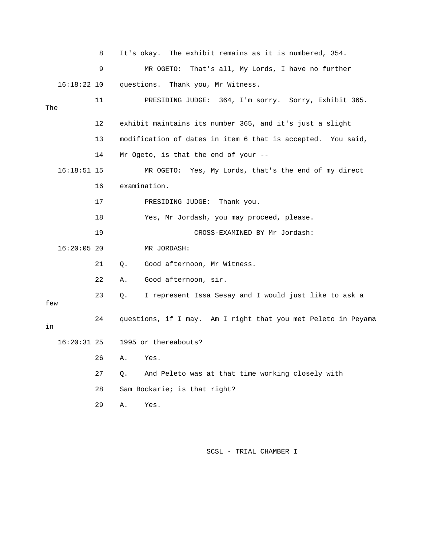8 It's okay. The exhibit remains as it is numbered, 354. 9 MR OGETO: That's all, My Lords, I have no further 16:18:22 10 questions. Thank you, Mr Witness. rry. Sorry, Exhibit 365. 11 PRESIDING JUDGE: 364, I'm so 12 exhibit maintains its number 365, and it's just a slight 13 modification of dates in item 6 that is accepted. You said, MR OGETO: Yes, My Lords, that's the end of my direct 18 Yes, Mr Jordash, you may proceed, please. 19 CROSS-EXAMINED BY Mr Jordash: 21 Q. Good afternoon, Mr Witness. 22 A. Good afternoon, sir. 23 Q. I represent Issa Sesay and I would just like to ask a w fe a 24 questions, if I may. Am I right that you met Peleto in Peyam 27 Q. And Peleto was at that time working closely with The 14 Mr Ogeto, is that the end of your --  $16:18:51$  15 16 examination. 17 PRESIDING JUDGE: Thank you. 16:20:05 20 MR JORDASH: in 16:20:31 25 1995 or thereabouts? 26 A. Yes. 28 Sam Bockarie; is that right? 29 A. Yes.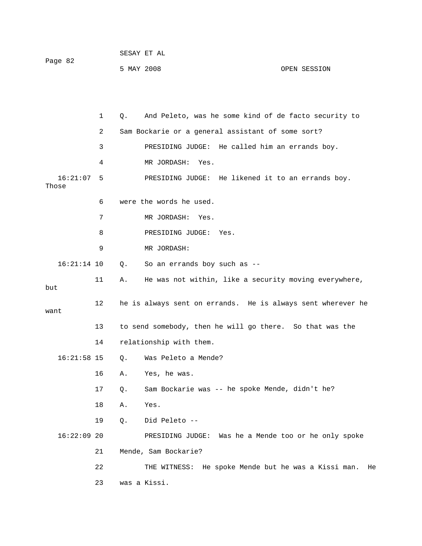| Page 82 | SESAY ET AL |              |
|---------|-------------|--------------|
|         | 5 MAY 2008  | OPEN SESSION |

|                   | 1  | Q. | And Peleto, was he some kind of de facto security to         |
|-------------------|----|----|--------------------------------------------------------------|
|                   | 2  |    | Sam Bockarie or a general assistant of some sort?            |
|                   | 3  |    | PRESIDING JUDGE: He called him an errands boy.               |
|                   | 4  |    | MR JORDASH:<br>Yes.                                          |
| 16:21:07<br>Those | 5  |    | PRESIDING JUDGE: He likened it to an errands boy.            |
|                   | 6  |    | were the words he used.                                      |
|                   | 7  |    | MR JORDASH:<br>Yes.                                          |
|                   | 8  |    | PRESIDING JUDGE:<br>Yes.                                     |
|                   | 9  |    | MR JORDASH:                                                  |
| $16:21:14$ 10     |    | Q. | So an errands boy such as --                                 |
| but               | 11 | Α. | He was not within, like a security moving everywhere,        |
| want              | 12 |    | he is always sent on errands. He is always sent wherever he  |
|                   | 13 |    | to send somebody, then he will go there. So that was the     |
|                   | 14 |    | relationship with them.                                      |
| $16:21:58$ 15     |    | Q. | Was Peleto a Mende?                                          |
|                   | 16 | Α. | Yes, he was.                                                 |
|                   | 17 | Q. | Sam Bockarie was -- he spoke Mende, didn't he?               |
|                   | 18 | Α. | Yes.                                                         |
|                   | 19 | Q. | Did Peleto --                                                |
| $16:22:09$ 20     |    |    | PRESIDING JUDGE: Was he a Mende too or he only spoke         |
|                   | 21 |    | Mende, Sam Bockarie?                                         |
|                   | 22 |    | He spoke Mende but he was a Kissi man.<br>THE WITNESS:<br>He |
|                   | 23 |    | was a Kissi.                                                 |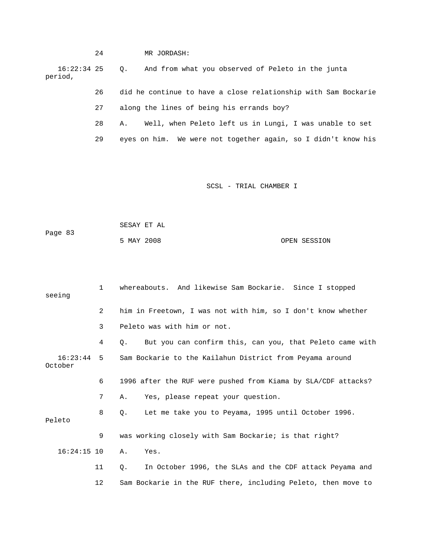24 MR JORDASH: 16:22:34 25 Q. And from what you o bserved of Peleto in the junta period, 26 did he continue to have a close relationship with Sam Bockarie 28 A. Well, when Peleto left us in Lungi, I was unable to set 29 eyes on him. We were not together again, so I didn't know his 27 along the lines of being his errands boy?

| Page 83 | SESAY ET AL |  |              |
|---------|-------------|--|--------------|
|         | 5 MAY 2008  |  | OPEN SESSION |

| seeing                  | $\mathbf{1}$ | whereabouts. And likewise Sam Bockarie. Since I stopped          |
|-------------------------|--------------|------------------------------------------------------------------|
|                         | 2            | him in Freetown, I was not with him, so I don't know whether     |
|                         | 3            | Peleto was with him or not.                                      |
|                         | 4            | But you can confirm this, can you, that Peleto came with<br>0.   |
| $16:23:44$ 5<br>October |              | Sam Bockarie to the Kailahun District from Peyama around         |
|                         | 6            | 1996 after the RUF were pushed from Kiama by SLA/CDF attacks?    |
|                         | 7            | Yes, please repeat your question.<br>Α.                          |
| Peleto                  | 8            | Let me take you to Peyama, 1995 until October 1996.<br>$\circ$ . |
|                         | 9            | was working closely with Sam Bockarie; is that right?            |
| $16:24:15$ 10           |              | Yes.<br>Α.                                                       |
|                         | 11           | In October 1996, the SLAs and the CDF attack Peyama and<br>О.    |
|                         | 12           | Sam Bockarie in the RUF there, including Peleto, then move to    |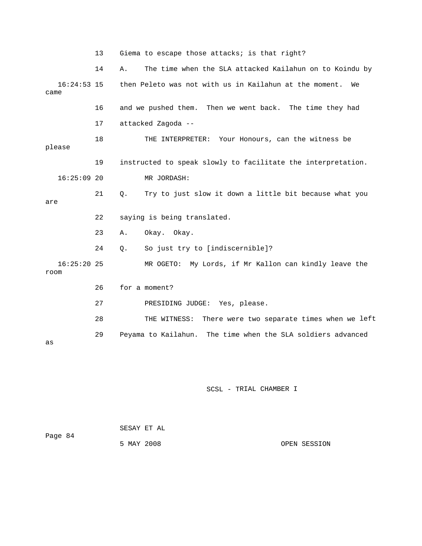13 Giema to escape those attacks; is that right?

19 instructed to speak slowly to facilitate the interpretation. MR JORDASH: 22 saying is being translated. 23 A. Okay. Okay. MR OGETO: My Lords, if Mr Kallon can kindly leave the 26 for a moment? 27 PRESIDING JUDGE: Yes, please. 28 THE WITNESS: There were two separate times when we left 14 A. The time when the SLA attacked Kailahun on to Koindu by 16:24:53 15 then Peleto was not with us in Kailahun at the moment. We came 16 and we pushed them. Then we went back. The time they had 17 attacked Zagoda -- 18 THE INTERPRETER: Your Honours, can the witness be please  $16:25:09$  20 21 Q. Try to just slow it down a little bit because what you are 24 Q. So just try to [indiscernible]?  $16:25:20$  25 room 29 Peyama to Kailahun. The time when the SLA soldiers advanced as

| Page 84 | SESAY ET AL |  |              |
|---------|-------------|--|--------------|
|         | 5 MAY 2008  |  | OPEN SESSION |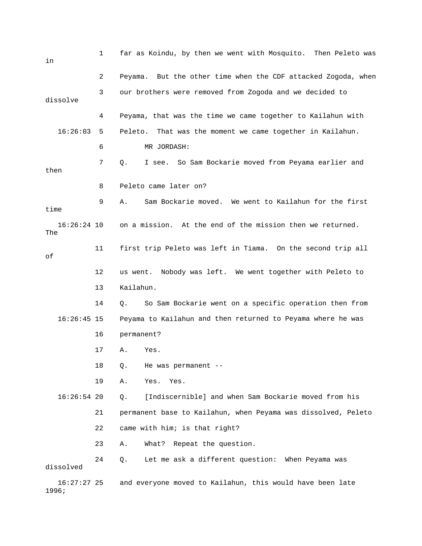| in                   | 1  | far as Koindu, by then we went with Mosquito. Then Peleto was |
|----------------------|----|---------------------------------------------------------------|
|                      | 2  | Peyama. But the other time when the CDF attacked Zogoda, when |
| dissolve             | 3  | our brothers were removed from Zogoda and we decided to       |
|                      | 4  | Peyama, that was the time we came together to Kailahun with   |
| 16:26:03             | 5  | Peleto. That was the moment we came together in Kailahun.     |
|                      | 6  | MR JORDASH:                                                   |
| then                 | 7  | So Sam Bockarie moved from Peyama earlier and<br>Q.<br>I see. |
|                      | 8  | Peleto came later on?                                         |
| time                 | 9  | Sam Bockarie moved. We went to Kailahun for the first<br>Α.   |
| $16:26:24$ 10<br>The |    | on a mission. At the end of the mission then we returned.     |
| оf                   | 11 | first trip Peleto was left in Tiama. On the second trip all   |
|                      | 12 | us went. Nobody was left. We went together with Peleto to     |
|                      | 13 | Kailahun.                                                     |
|                      | 14 | So Sam Bockarie went on a specific operation then from<br>Q.  |
| $16:26:45$ 15        |    | Peyama to Kailahun and then returned to Peyama where he was   |
|                      | 16 | permanent?                                                    |
|                      | 17 | Α.<br>Yes.                                                    |
|                      | 18 | He was permanent --<br>Q.                                     |
|                      | 19 | Α.<br>Yes.<br>Yes.                                            |
| $16:26:54$ 20        |    | [Indiscernible] and when Sam Bockarie moved from his<br>Q.    |
|                      | 21 | permanent base to Kailahun, when Peyama was dissolved, Peleto |
|                      | 22 | came with him; is that right?                                 |
|                      | 23 | Repeat the question.<br>What?<br>Α.                           |
| dissolved            | 24 | Let me ask a different question: When Peyama was<br>Q.        |
| $16:27:27$ 25        |    | and everyone moved to Kailahun, this would have been late     |

1996;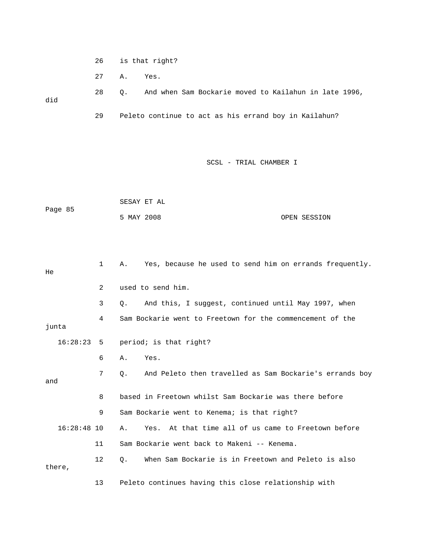- 26 is that right?
- 27 A. Yes.

28 Q. And when Sam Bockarie moved to Kailahun in late 1996, did 29 Peleto continue to act as his errand boy in Kailahun?

|         |            | SESAY ET AL |              |
|---------|------------|-------------|--------------|
| Page 85 |            |             |              |
|         | 5 MAY 2008 |             | OPEN SESSION |

| He            | $\mathbf{1}$ | Yes, because he used to send him on errands frequently.<br>Α. |
|---------------|--------------|---------------------------------------------------------------|
|               | 2            | used to send him.                                             |
|               | 3            | And this, I suggest, continued until May 1997, when<br>Q.     |
| junta         | 4            | Sam Bockarie went to Freetown for the commencement of the     |
| $16:28:23$ 5  |              | period; is that right?                                        |
|               | 6            | Yes.<br>Α.                                                    |
| and           | 7            | And Peleto then travelled as Sam Bockarie's errands boy<br>О. |
|               | 8            | based in Freetown whilst Sam Bockarie was there before        |
|               | 9            | Sam Bockarie went to Kenema; is that right?                   |
| $16:28:48$ 10 |              | Yes. At that time all of us came to Freetown before<br>Α.     |
|               | 11           | Sam Bockarie went back to Makeni -- Kenema.                   |
| there,        | 12           | When Sam Bockarie is in Freetown and Peleto is also<br>О.     |
|               | 13           | Peleto continues having this close relationship with          |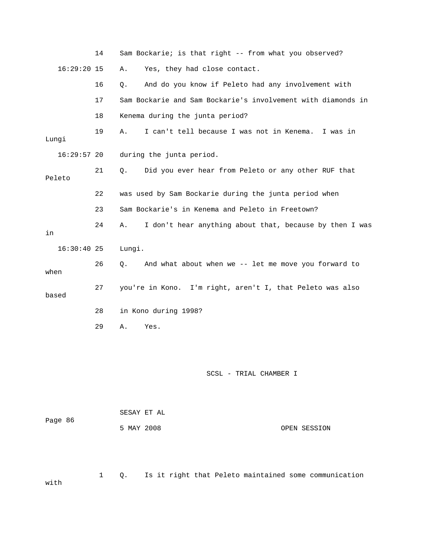|               | 14 | Sam Bockarie; is that right -- from what you observed?        |  |
|---------------|----|---------------------------------------------------------------|--|
| $16:29:20$ 15 |    | Yes, they had close contact.<br>Α.                            |  |
|               | 16 | And do you know if Peleto had any involvement with<br>Q.      |  |
|               | 17 | Sam Bockarie and Sam Bockarie's involvement with diamonds in  |  |
|               | 18 | Kenema during the junta period?                               |  |
| Lungi         | 19 | I can't tell because I was not in Kenema. I was in<br>Α.      |  |
| $16:29:57$ 20 |    | during the junta period.                                      |  |
| Peleto        | 21 | Did you ever hear from Peleto or any other RUF that<br>Q.     |  |
|               | 22 | was used by Sam Bockarie during the junta period when         |  |
|               | 23 | Sam Bockarie's in Kenema and Peleto in Freetown?              |  |
| in            | 24 | I don't hear anything about that, because by then I was<br>Α. |  |
| $16:30:40$ 25 |    | Lungi.                                                        |  |
| when          | 26 | And what about when we -- let me move you forward to<br>Q.    |  |
|               |    |                                                               |  |
| based         | 27 | you're in Kono. I'm right, aren't I, that Peleto was also     |  |
|               | 28 | in Kono during 1998?                                          |  |
|               | 29 | Α.<br>Yes.                                                    |  |
|               |    |                                                               |  |
|               |    | SCSL - TRIAL CHAMBER I                                        |  |
| Page 86       |    | SESAY ET AL                                                   |  |

 1 Q. Is it right that Peleto maintained some communication with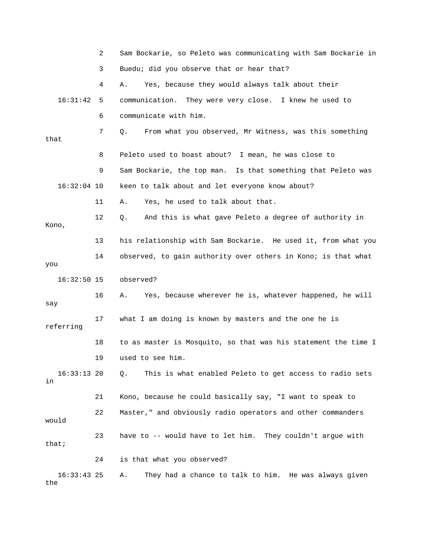|                     | 2  | Sam Bockarie, so Peleto was communicating with Sam Bockarie in |
|---------------------|----|----------------------------------------------------------------|
|                     | 3  | Buedu; did you observe that or hear that?                      |
|                     | 4  | Yes, because they would always talk about their<br>Α.          |
| 16:31:42            | 5  | communication. They were very close. I knew he used to         |
|                     | 6  | communicate with him.                                          |
| that                | 7  | From what you observed, Mr Witness, was this something<br>Q.   |
|                     | 8  | Peleto used to boast about? I mean, he was close to            |
|                     | 9  | Sam Bockarie, the top man. Is that something that Peleto was   |
| $16:32:04$ 10       |    | keen to talk about and let everyone know about?                |
|                     | 11 | Yes, he used to talk about that.<br>Α.                         |
| Kono,               | 12 | And this is what gave Peleto a degree of authority in<br>Q.    |
|                     | 13 | his relationship with Sam Bockarie. He used it, from what you  |
| you                 | 14 | observed, to gain authority over others in Kono; is that what  |
| $16:32:50$ 15       |    | observed?                                                      |
| say                 | 16 | Yes, because wherever he is, whatever happened, he will<br>Α.  |
| referring           | 17 | what I am doing is known by masters and the one he is          |
|                     | 18 | to as master is Mosquito, so that was his statement the time I |
|                     | 19 | used to see him.                                               |
| $16:33:13$ 20<br>in |    | This is what enabled Peleto to get access to radio sets<br>Q.  |
|                     | 21 | Kono, because he could basically say, "I want to speak to      |
| would               | 22 | Master," and obviously radio operators and other commanders    |
| that;               | 23 | have to -- would have to let him. They couldn't argue with     |
|                     | 24 | is that what you observed?                                     |
| $16:33:43$ 25       |    | They had a chance to talk to him. He was always given<br>Α.    |

the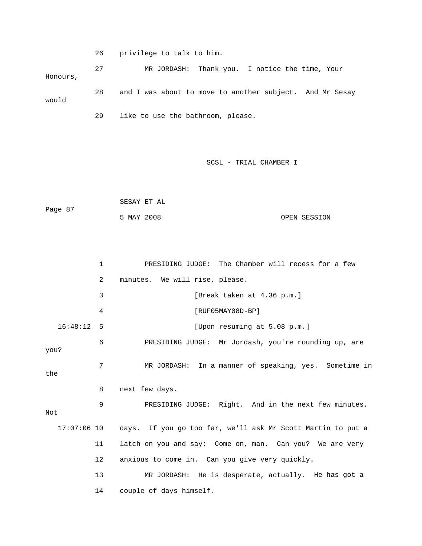26 privilege to talk to him.

 27 MR JORDASH: Thank you. I notice the time, Your 28 and I was about to move to another subject. And Mr Sesay would 29 like to use the bathroom, please. Honours,

```
 5 MAY 2008 OPEN SESSION 
            SESAY ET AL 
Page 87
```

|              | 1       | PRESIDING JUDGE: The Chamber will recess for a few          |
|--------------|---------|-------------------------------------------------------------|
|              | 2       | minutes. We will rise, please.                              |
|              | 3       | [Break taken at 4.36 p.m.]                                  |
|              | 4       | $[RUF05MAY08D-BP]$                                          |
| $16:48:12$ 5 |         | [Upon resuming at 5.08 p.m.]                                |
| you?         | 6       | PRESIDING JUDGE: Mr Jordash, you're rounding up, are        |
| the          | 7       | MR JORDASH: In a manner of speaking, yes. Sometime in       |
|              | 8       | next few days.                                              |
| Not          | 9       | PRESIDING JUDGE: Right. And in the next few minutes.        |
| 17:07:06 10  |         | days. If you go too far, we'll ask Mr Scott Martin to put a |
|              | 11      | latch on you and say: Come on, man. Can you? We are very    |
|              | $12 \,$ | anxious to come in. Can you give very quickly.              |
|              | 13      | MR JORDASH: He is desperate, actually. He has got a         |
|              | 14      | couple of days himself.                                     |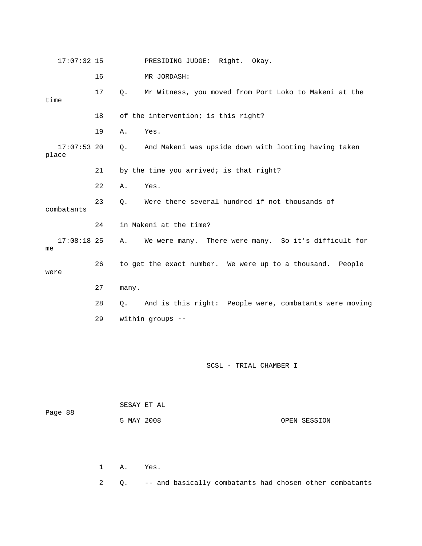| 16<br>MR JORDASH:<br>17<br>Mr Witness, you moved from Port Loko to Makeni at the<br>$Q$ .<br>time<br>18<br>of the intervention; is this right?<br>19<br>Yes.<br>Α.<br>$17:07:53$ 20<br>And Makeni was upside down with looting having taken<br>Q.<br>place<br>21<br>by the time you arrived; is that right?<br>22<br>Yes.<br>Α.<br>23<br>Were there several hundred if not thousands of<br>О.<br>combatants<br>in Makeni at the time?<br>24<br>$17:08:18$ 25<br>We were many. There were many. So it's difficult for<br>Α.<br>me<br>26<br>to get the exact number. We were up to a thousand. People<br>were<br>27<br>many.<br>28<br>$Q$ .<br>29<br>within groups -- | $17:07:32$ 15 | PRESIDING JUDGE: Right. Okay.                          |
|---------------------------------------------------------------------------------------------------------------------------------------------------------------------------------------------------------------------------------------------------------------------------------------------------------------------------------------------------------------------------------------------------------------------------------------------------------------------------------------------------------------------------------------------------------------------------------------------------------------------------------------------------------------------|---------------|--------------------------------------------------------|
|                                                                                                                                                                                                                                                                                                                                                                                                                                                                                                                                                                                                                                                                     |               |                                                        |
|                                                                                                                                                                                                                                                                                                                                                                                                                                                                                                                                                                                                                                                                     |               |                                                        |
|                                                                                                                                                                                                                                                                                                                                                                                                                                                                                                                                                                                                                                                                     |               |                                                        |
|                                                                                                                                                                                                                                                                                                                                                                                                                                                                                                                                                                                                                                                                     |               |                                                        |
|                                                                                                                                                                                                                                                                                                                                                                                                                                                                                                                                                                                                                                                                     |               |                                                        |
|                                                                                                                                                                                                                                                                                                                                                                                                                                                                                                                                                                                                                                                                     |               |                                                        |
|                                                                                                                                                                                                                                                                                                                                                                                                                                                                                                                                                                                                                                                                     |               |                                                        |
|                                                                                                                                                                                                                                                                                                                                                                                                                                                                                                                                                                                                                                                                     |               |                                                        |
|                                                                                                                                                                                                                                                                                                                                                                                                                                                                                                                                                                                                                                                                     |               |                                                        |
|                                                                                                                                                                                                                                                                                                                                                                                                                                                                                                                                                                                                                                                                     |               |                                                        |
|                                                                                                                                                                                                                                                                                                                                                                                                                                                                                                                                                                                                                                                                     |               |                                                        |
|                                                                                                                                                                                                                                                                                                                                                                                                                                                                                                                                                                                                                                                                     |               |                                                        |
|                                                                                                                                                                                                                                                                                                                                                                                                                                                                                                                                                                                                                                                                     |               | And is this right: People were, combatants were moving |
|                                                                                                                                                                                                                                                                                                                                                                                                                                                                                                                                                                                                                                                                     |               |                                                        |

|         |            | SESAY ET AL |              |
|---------|------------|-------------|--------------|
| Page 88 |            |             |              |
|         | 5 MAY 2008 |             | OPEN SESSION |

1 A. Yes.

2 Q. -- and basically combatants had chosen other combatants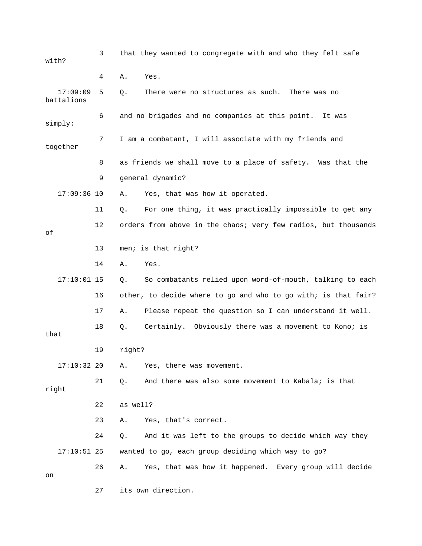| with?                  | 3  | that they wanted to congregate with and who they felt safe     |
|------------------------|----|----------------------------------------------------------------|
|                        | 4  | Yes.<br>Α.                                                     |
| 17:09:09<br>battalions | 5  | There were no structures as such.<br>Q.<br>There was no        |
| simply:                | 6  | and no brigades and no companies at this point.<br>It was      |
| together               | 7  | I am a combatant, I will associate with my friends and         |
|                        | 8  | as friends we shall move to a place of safety. Was that the    |
|                        | 9  | general dynamic?                                               |
| $17:09:36$ 10          |    | Yes, that was how it operated.<br>Α.                           |
|                        | 11 | For one thing, it was practically impossible to get any<br>Q.  |
| οf                     | 12 | orders from above in the chaos; very few radios, but thousands |
|                        | 13 | men; is that right?                                            |
|                        | 14 | Yes.<br>Α.                                                     |
| $17:10:01$ 15          |    | So combatants relied upon word-of-mouth, talking to each<br>Q. |
|                        | 16 | other, to decide where to go and who to go with; is that fair? |
|                        | 17 | Please repeat the question so I can understand it well.<br>Α.  |
| that                   | 18 | Certainly. Obviously there was a movement to Kono; is<br>Q.    |
|                        | 19 | right?                                                         |
| $17:10:32$ 20          |    | Yes, there was movement.<br>Α.                                 |
| right                  | 21 | And there was also some movement to Kabala; is that<br>Q.      |
|                        | 22 | as well?                                                       |
|                        | 23 | Yes, that's correct.<br>Α.                                     |
|                        | 24 | And it was left to the groups to decide which way they<br>Q.   |
| $17:10:51$ 25          |    | wanted to go, each group deciding which way to go?             |
| on                     | 26 | Yes, that was how it happened. Every group will decide<br>Α.   |
|                        | 27 | its own direction.                                             |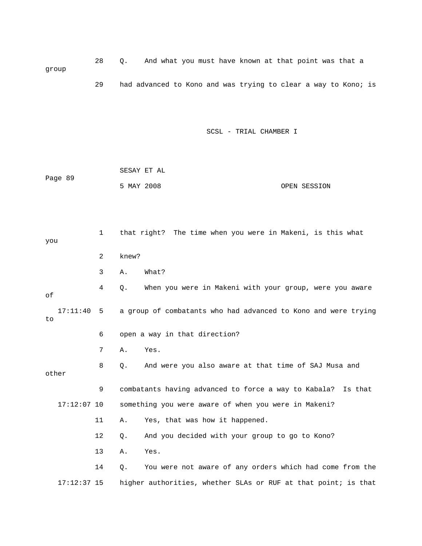28 Q. And what you must have known at that point was that a group 29 had advanced to Kono and was trying to clear a way to Kono; is

|         | SESAY ET AL |              |
|---------|-------------|--------------|
| Page 89 |             |              |
|         | 5 MAY 2008  | OPEN SESSION |

| you             | $\mathbf{1}$ | that right? The time when you were in Makeni, is this what       |
|-----------------|--------------|------------------------------------------------------------------|
|                 | 2            | knew?                                                            |
|                 | 3            | What?<br>Α.                                                      |
| оf              | 4            | When you were in Makeni with your group, were you aware<br>$Q$ . |
| 17:11:40<br>to. | $-5$         | a group of combatants who had advanced to Kono and were trying   |
|                 | 6            | open a way in that direction?                                    |
|                 | 7            | Yes.<br>Α.                                                       |
| other           | 8            | And were you also aware at that time of SAJ Musa and<br>Q.       |
|                 | 9            | combatants having advanced to force a way to Kabala? Is that     |
| $17:12:07$ 10   |              | something you were aware of when you were in Makeni?             |
|                 | 11           | Yes, that was how it happened.<br>Α.                             |
|                 | 12           | And you decided with your group to go to Kono?<br>Q.             |
|                 | 13           | Yes.<br>Α.                                                       |
|                 | 14           | You were not aware of any orders which had come from the<br>Q.   |
| $17:12:37$ 15   |              | higher authorities, whether SLAs or RUF at that point; is that   |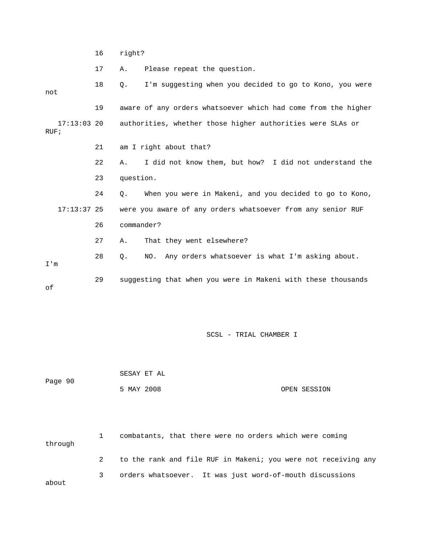16 right?

17 A. Please repeat the question.

 18 Q. I'm suggesting when you decided to go to Kono, you were not 19 aware of any orders whatsoever which had come from the higher 17:13:03 20 authorities, whether those higher authorities were SLAs or 21 am I right about that? 22 A. I did not know them, but how? I did not understand the 24 Q. When you were in Makeni, and you decided to go to Kono, 17:13:37 25 were you aware of any orders whatsoever from any senior RUF 27 A. That they went elsewhere? 28 Q. NO. Any orders whatsoever is what I'm asking about. 29 suggesting that when you were in Makeni with these thousands RUF; 23 question. 26 commander? I'm of

SCSL - TRIAL CHAMBER I

Page 90 OPEN SESSION SESAY ET AL 5 MAY 2008

1 combatants, that there were no orders which were coming through 2 to the rank and file RUF in Makeni; you were not receiving any 3 orders whatsoever. It was just word-of-mouth discussions about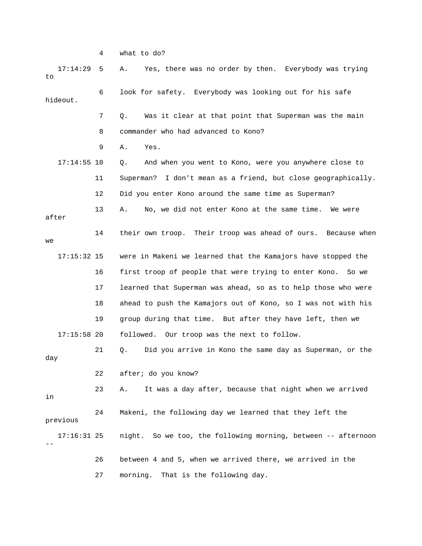4 what to do?

| 17:14:29<br>to | 5  | Yes, there was no order by then. Everybody was trying<br>Α.   |
|----------------|----|---------------------------------------------------------------|
| hideout.       | 6  | look for safety. Everybody was looking out for his safe       |
|                | 7  | Was it clear at that point that Superman was the main<br>Q.   |
|                | 8  | commander who had advanced to Kono?                           |
|                | 9  | Yes.<br>Α.                                                    |
| $17:14:55$ 10  |    | And when you went to Kono, were you anywhere close to<br>Q.   |
|                | 11 | Superman? I don't mean as a friend, but close geographically. |
|                | 12 | Did you enter Kono around the same time as Superman?          |
| after          | 13 | No, we did not enter Kono at the same time.<br>Α.<br>We were  |
| we             | 14 | their own troop. Their troop was ahead of ours. Because when  |
| $17:15:32$ 15  |    | were in Makeni we learned that the Kamajors have stopped the  |
|                | 16 | first troop of people that were trying to enter Kono. So we   |
|                | 17 | learned that Superman was ahead, so as to help those who were |
|                | 18 | ahead to push the Kamajors out of Kono, so I was not with his |
|                | 19 | group during that time. But after they have left, then we     |
| $17:15:58$ 20  |    | followed. Our troop was the next to follow.                   |
| day            | 21 | Did you arrive in Kono the same day as Superman, or the<br>Q. |
|                | 22 | after; do you know?                                           |
| in             | 23 | It was a day after, because that night when we arrived<br>Α.  |
| previous       | 24 | Makeni, the following day we learned that they left the       |
| $17:16:31$ 25  |    | night. So we too, the following morning, between -- afternoon |
|                | 26 | between 4 and 5, when we arrived there, we arrived in the     |
|                | 27 | morning.<br>That is the following day.                        |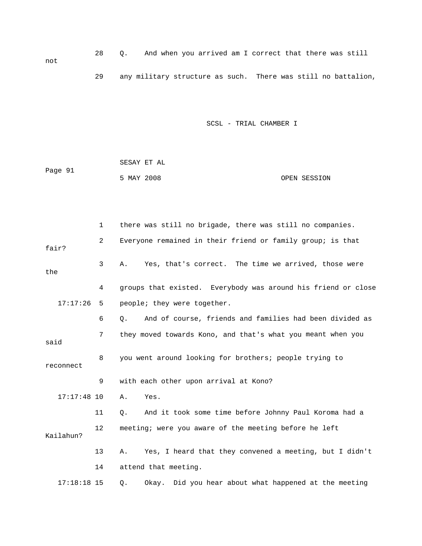28 Q. And when you arrived am I correct that there was still not 29 any military structure as such. There was still no battalion,

SCSL - TRIAL CHAMBER I

Page 91 SESAY ET AL 5 MAY 2008 OPEN SESSION

 2 Everyone remained in their friend or family group; is that 17:17:26 5 people; they were together. 6 Q. And of course, friends and families had been divided as 7 they moved towards Kono, and that's what you meant when you 8 you went around looking for brothers; people trying to reconnect 9 with each other upon arrival at Kono? 17:17:48 10 A. Yes. 11 Q. And it took some time before Johnny Paul Koroma had a 12 meeting; were you aware of the meeting before he left 13 A. Yes, I heard that they convened a meeting, but I didn't 1 there was still no brigade, there was still no companies. fair? 3 A. Yes, that's correct. The time we arrived, those were the 4 groups that existed. Everybody was around his friend or close said Kailahun? 14 attend that meeting. 17:18:18 15 Q. Okay. Did you hear about what happened at the meeting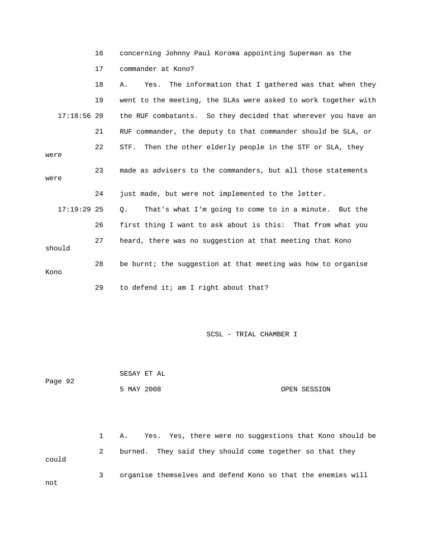|  | concerning Johnny Paul Koroma appointing Superman as the |  |  |  |  |  |  |  |  |
|--|----------------------------------------------------------|--|--|--|--|--|--|--|--|
|--|----------------------------------------------------------|--|--|--|--|--|--|--|--|

17 commander at Kono?

|               | 18 | Yes. The information that I gathered was that when they<br>Α.  |
|---------------|----|----------------------------------------------------------------|
|               | 19 | went to the meeting, the SLAs were asked to work together with |
| $17:18:56$ 20 |    | the RUF combatants. So they decided that wherever you have an  |
|               | 21 | RUF commander, the deputy to that commander should be SLA, or  |
| were          | 22 | STF. Then the other elderly people in the STF or SLA, they     |
| were          | 23 | made as advisers to the commanders, but all those statements   |
|               | 24 | just made, but were not implemented to the letter.             |
| $17:19:29$ 25 |    | That's what I'm going to come to in a minute. But the<br>Q.    |
|               | 26 | first thing I want to ask about is this: That from what you    |
| should        | 27 | heard, there was no suggestion at that meeting that Kono       |
| Kono          | 28 | be burnt; the suggestion at that meeting was how to organise   |
|               | 29 | to defend it; am I right about that?                           |

SCSL - TRIAL CHAMBER I

 SESAY ET AL Page 92 5 MAY 2008 OPEN SESSION

 1 A. Yes. Yes, there were no suggestions that Kono should be 2 burned. They said they should come together so that they could 3 organise themselves and defend Kono so that the enemies will not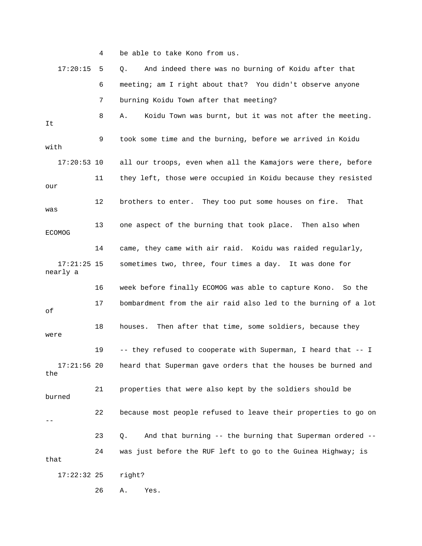|                           | 4  | be able to take Kono from us.                                  |
|---------------------------|----|----------------------------------------------------------------|
| 17:20:15                  | 5  | And indeed there was no burning of Koidu after that<br>Q.      |
|                           | 6  | meeting; am I right about that? You didn't observe anyone      |
|                           | 7  | burning Koidu Town after that meeting?                         |
| It                        | 8  | Koidu Town was burnt, but it was not after the meeting.<br>Α.  |
| with                      | 9  | took some time and the burning, before we arrived in Koidu     |
| $17:20:53$ 10             |    | all our troops, even when all the Kamajors were there, before  |
| our                       | 11 | they left, those were occupied in Koidu because they resisted  |
| was                       | 12 | brothers to enter. They too put some houses on fire.<br>That   |
| <b>ECOMOG</b>             | 13 | one aspect of the burning that took place. Then also when      |
|                           | 14 | came, they came with air raid. Koidu was raided regularly,     |
| $17:21:25$ 15<br>nearly a |    | sometimes two, three, four times a day. It was done for        |
|                           | 16 | week before finally ECOMOG was able to capture Kono. So the    |
| οf                        | 17 | bombardment from the air raid also led to the burning of a lot |
| were                      | 18 | Then after that time, some soldiers, because they<br>houses.   |
|                           | 19 | -- they refused to cooperate with Superman, I heard that -- I  |
| $17:21:56$ 20<br>the      |    | heard that Superman gave orders that the houses be burned and  |
| burned                    | 21 | properties that were also kept by the soldiers should be       |
|                           | 22 | because most people refused to leave their properties to go on |
|                           | 23 | And that burning -- the burning that Superman ordered --<br>Q. |
| that                      | 24 | was just before the RUF left to go to the Guinea Highway; is   |
| $17:22:32$ 25             |    | right?                                                         |
|                           | 26 | Yes.<br>Α.                                                     |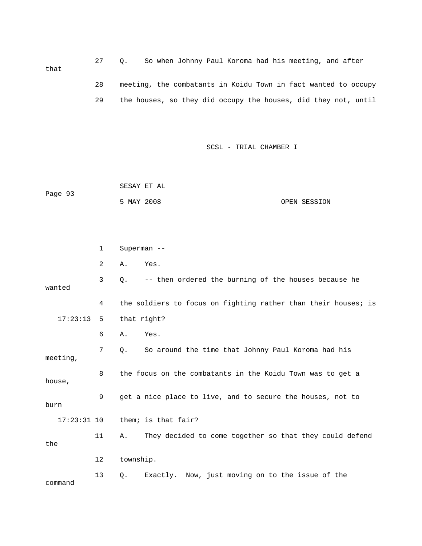27 Q. So when Johnny Paul Koroma had his meeting, and after that 28 meeting, the combatants in Koidu Town in fact wanted to occ upy 29 the houses, so they did occupy the houses, did they not, until

SCSL - TRIAL CHAMBER I

 SESAY ET AL Page 93 5 MAY 2008 OPEN SESSION

 2 A. Yes. 3 Q. -- then ordered the burning of the houses because he wanted 4 the soldiers to focus on fighting rather than their houses; is 6 A. Yes. 7 Q. So around the time that Johnny Paul Koroma had his 8 the focus on the combatants in the Koidu Town was to get a house,  $17:23:31$  10 them; is that fair? 11 A. They decided to come together so that they could defend the 13 Q. Exactly. Now, just moving on to the issue of the 1 Superman -- 17:23:13 5 that right? meeting, 9 get a nice place to live, and to secure the houses, not to burn 12 township. command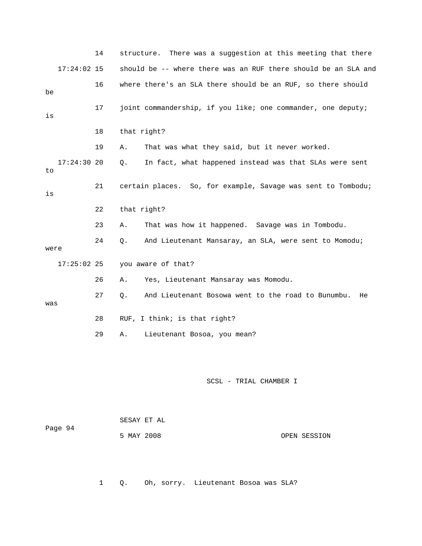|      |               | 14 | structure.                | There was a suggestion at this meeting that there              |              |
|------|---------------|----|---------------------------|----------------------------------------------------------------|--------------|
|      | $17:24:02$ 15 |    |                           | should be -- where there was an RUF there should be an SLA and |              |
| be   |               | 16 |                           | where there's an SLA there should be an RUF, so there should   |              |
| is   |               | 17 |                           | joint commandership, if you like; one commander, one deputy;   |              |
|      |               | 18 | that right?               |                                                                |              |
|      |               | 19 | Α.                        | That was what they said, but it never worked.                  |              |
| to   | 17:24:3020    |    | Q.                        | In fact, what happened instead was that SLAs were sent         |              |
| is   |               | 21 |                           | certain places. So, for example, Savage was sent to Tombodu;   |              |
|      |               | 22 | that right?               |                                                                |              |
|      |               | 23 | Α.                        | That was how it happened. Savage was in Tombodu.               |              |
| were |               | 24 | Q.                        | And Lieutenant Mansaray, an SLA, were sent to Momodu;          |              |
|      | $17:25:02$ 25 |    |                           | you aware of that?                                             |              |
|      |               | 26 | Α.                        | Yes, Lieutenant Mansaray was Momodu.                           |              |
| was  |               | 27 | Q.                        | And Lieutenant Bosowa went to the road to Bunumbu.             | He           |
|      |               | 28 |                           | RUF, I think; is that right?                                   |              |
|      |               | 29 | Α.                        | Lieutenant Bosoa, you mean?                                    |              |
|      |               |    |                           | SCSL - TRIAL CHAMBER I                                         |              |
|      | Page 94       |    | SESAY ET AL<br>5 MAY 2008 |                                                                | OPEN SESSION |

1 Q. Oh, sorry. Lieutenant Bosoa was SLA?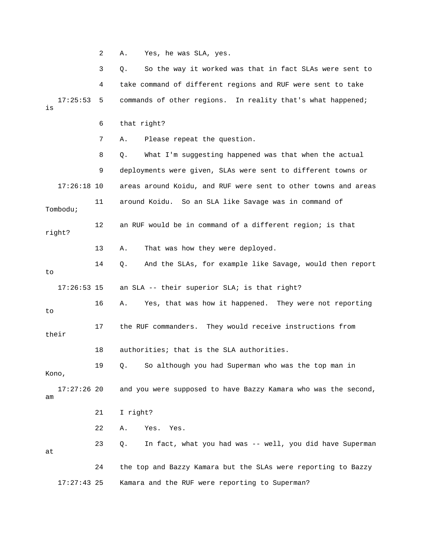2 A. Yes, he was SLA, yes.

 3 Q. So the way it worked was that in fact SLAs were sent to 4 take command of different regions and RUF were sent to take 17:25:53 5 commands of other regions. In reality that's what happened; 6 that right? 7 A. Please repeat the question. 8 Q. What I'm suggesting happened was that when the actual 9 deployments were given, SLAs were sent to different towns or 17:26:18 10 areas around Koidu, and RUF were sent to other towns and areas 11 around Koidu. So an SLA like Savage was in command of 12 an RUF would be in command of a different region; is that right? 14 Q. And the SLAs, for example like Savage, would then report 17 the RUF commanders. They would receive instructions from their 18 authorities; that is the SLA authorities. 19 Q. So although you had Superman who was the top man in 22 A. Yes. Yes. 23 Q. In fact, what you had was -- well, you did have Superman 24 the top and Bazzy Kamara but the SLAs were reporting to Bazzy is Tombodu; 13 A. That was how they were deployed. to 17:26:53 15 an SLA -- their superior SLA; is that right? 16 A. Yes, that was how it happened. They were not reporting to Kono, 17:27:26 20 and you were supposed to have Bazzy Kamara who was the second, am 21 I right? at 17:27:43 25 Kamara and the RUF were reporting to Superman?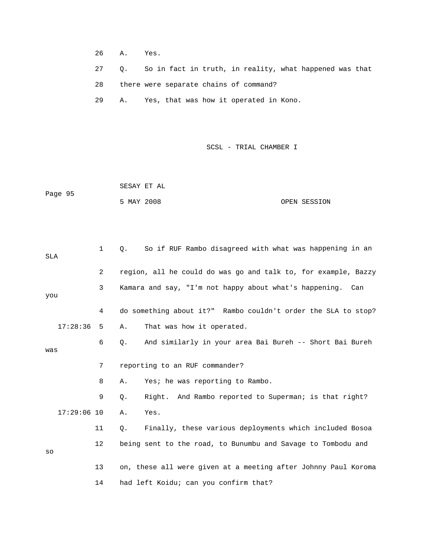- 26 A. Yes.
- 27 Q. So in fact in truth, in reality, what happened was that
- 28 there were separate chains of command?

29 A. Yes, that was how it operated in Kono.

SCSL - TRIAL CHAMBER I

SESAY ET AL Page 95 OPEN SESSION 5 MAY 2008

| SLA |               | 1              | So if RUF Rambo disagreed with what was happening in an<br>Q.  |
|-----|---------------|----------------|----------------------------------------------------------------|
|     |               | $\overline{2}$ | region, all he could do was go and talk to, for example, Bazzy |
| you |               | 3              | Kamara and say, "I'm not happy about what's happening. Can     |
|     |               | 4              | do something about it?" Rambo couldn't order the SLA to stop?  |
|     | 17:28:36      | 5              | That was how it operated.<br>Α.                                |
| was |               | 6              | And similarly in your area Bai Bureh -- Short Bai Bureh<br>Q.  |
|     |               | 7              | reporting to an RUF commander?                                 |
|     |               | 8              | Yes; he was reporting to Rambo.<br>Α.                          |
|     |               | 9              | Right. And Rambo reported to Superman; is that right?<br>Q.    |
|     | $17:29:06$ 10 |                | Yes.<br>Α.                                                     |
|     |               | 11             | Finally, these various deployments which included Bosoa<br>0.  |
| SO  |               | 12             | being sent to the road, to Bunumbu and Savage to Tombodu and   |
|     |               | 13             | on, these all were given at a meeting after Johnny Paul Koroma |
|     |               | 14             | had left Koidu; can you confirm that?                          |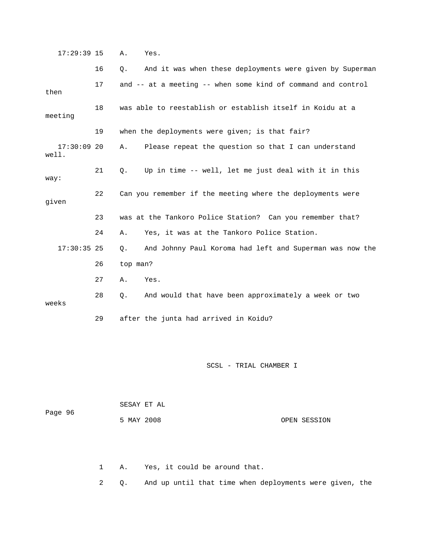17:29:39 15 A. Yes.

|                        | 16 | And it was when these deployments were given by Superman<br>$Q$ .     |
|------------------------|----|-----------------------------------------------------------------------|
| then                   | 17 | and -- at a meeting -- when some kind of command and control          |
| meeting                | 18 | was able to reestablish or establish itself in Koidu at a             |
|                        | 19 | when the deployments were given; is that fair?                        |
| $17:30:09$ 20<br>well. |    | Please repeat the question so that I can understand<br>Α.             |
| way:                   | 21 | Up in time -- well, let me just deal with it in this<br>Q.            |
| given                  | 22 | Can you remember if the meeting where the deployments were            |
|                        | 23 | was at the Tankoro Police Station? Can you remember that?             |
|                        | 24 | Yes, it was at the Tankoro Police Station.<br>Α.                      |
| $17:30:35$ 25          |    | And Johnny Paul Koroma had left and Superman was now the<br>$\circ$ . |
|                        | 26 | top man?                                                              |
|                        | 27 | Yes.<br>Α.                                                            |
| weeks                  | 28 | And would that have been approximately a week or two<br>Q.            |
|                        | 29 | after the junta had arrived in Koidu?                                 |

### SCSL - TRIAL CHAMBER I

| Page 96 |            | SESAY ET AL |              |
|---------|------------|-------------|--------------|
|         | 5 MAY 2008 |             | OPEN SESSION |

1 A. Yes, it could be around that.

2 Q. And up until that time when deployments were given, the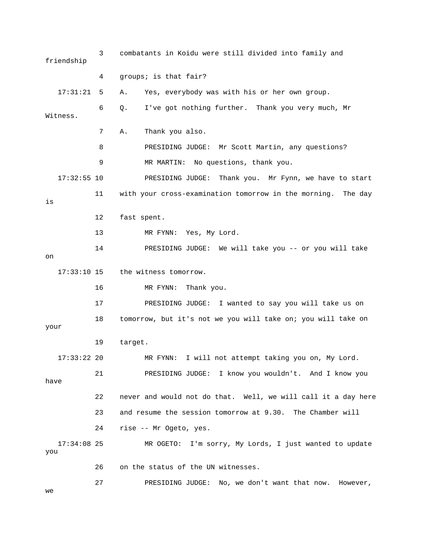3 combatants in Koidu were still divided into family and 17:31:21 5 A. Yes, everybody was with his or her own group. 6 Q. I've got nothing further. Thank you very much, Mr Witness. 8 PRESIDING JUDGE: Mr Scott Martin, any questions? 9 MR MARTIN: No questions, thank you. 11 vith your cross-examination tomorrow in the morning. The day 12 fast spent. 13 MR FYNN: Yes, My Lord. 17:33:10 15 the witness tomorrow. 16 MR FYNN: Thank you. I wanted to say you will take us on 17 PRESIDING JUDGE: 18 tomorrow, but it's not we you will take on; you will take on your 17:33:22 20 MR FYNN: I will not attempt taking you on, My Lord. you 21 PRESIDING JUDGE: I know you wouldn't. And I know have 22 never and would not do that. Well, we will call it a day here 24 rise -- Mr Ogeto, yes. MR OGETO: I'm sorry, My Lords, I just wanted to update you friendship 4 groups; is that fair? 7 A. Thank you also. 17:32:55 10 PRESIDING JUDGE: Thank you. Mr Fynn, we have to start is 14 PRESIDING JUDGE: We will take you -- or you will take on 19 target. 23 and resume the session tomorrow at 9.30. The Chamber will  $17:34:08$  25 26 on the status of the UN witnesses. 27 PRESIDING JUDGE: No, we don't want that now. However, we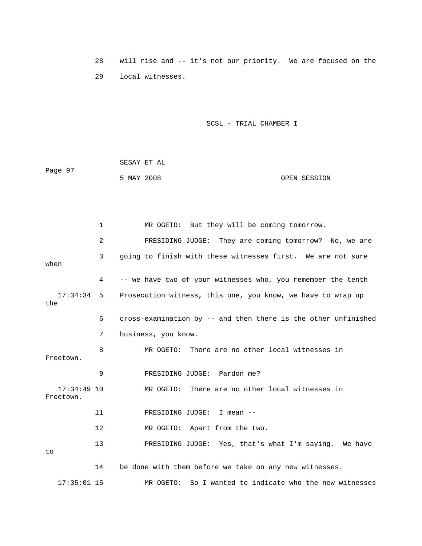28 will rise and -- it's not o ur priority. We are focused on the 29 local witnesses.

SCSL - TRIAL CHAMBER I

 SESAY ET AL Page 97 5 MAY 2008 OPEN SESSION

 2 PRESIDING JUDGE: They are coming tomorrow? No, we are 3 going to finish with these witnesses first. We are not sure 4 -- we have two of your witnesses who, you remember the tenth 6 cross-examination by -- and then there is the other unfinished 7 business, you know. 8 MR OGETO: There are no other local witnesses in Freetown. 9 PRESIDING JUDGE: Pardon me? 12 MR OGETO: Apart from the two. 13 PRESIDING JUDGE: Yes, that's what I'm saying. We have 1 MR OGETO: But they will be coming tomorrow. when 17:34:34 5 Prosecution witness, this one, you know, we have to wrap up the 17:34:49 10 MR OGETO: There are no other local witnesses in Freetown. 11 PRESIDING JUDGE: I mean - to 14 be done with them before we take on any new witnesses. 17:35:01 15 MR OGETO: So I wanted to indicate who the new witnesses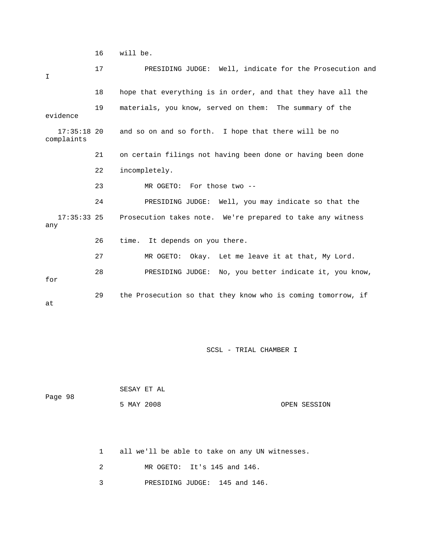16 will be.

| $\mathbf I$                 | 17 | PRESIDING JUDGE: Well, indicate for the Prosecution and      |
|-----------------------------|----|--------------------------------------------------------------|
|                             | 18 | hope that everything is in order, and that they have all the |
| evidence                    | 19 | materials, you know, served on them: The summary of the      |
| $17:35:18$ 20<br>complaints |    | and so on and so forth. I hope that there will be no         |
|                             | 21 | on certain filings not having been done or having been done  |
|                             | 22 | incompletely.                                                |
|                             | 23 | MR OGETO:<br>For those two --                                |
|                             | 24 | PRESIDING JUDGE: Well, you may indicate so that the          |
| $17:35:33$ 25<br>any        |    | Prosecution takes note. We're prepared to take any witness   |
|                             | 26 | time. It depends on you there.                               |
|                             | 27 | MR OGETO: Okay. Let me leave it at that, My Lord.            |
| for                         | 28 | PRESIDING JUDGE: No, you better indicate it, you know,       |
| at                          | 29 | the Prosecution so that they know who is coming tomorrow, if |

SCSL - TRIAL CHAMBER I

| Page 98 | SESAY ET AL |            |  |              |
|---------|-------------|------------|--|--------------|
|         |             | 5 MAY 2008 |  | OPEN SESSION |

1 all we'll be able to take on any UN witnesses.

2 MR OGETO: It's 145 and 146.

3 PRESIDING JUDGE: 145 and 146.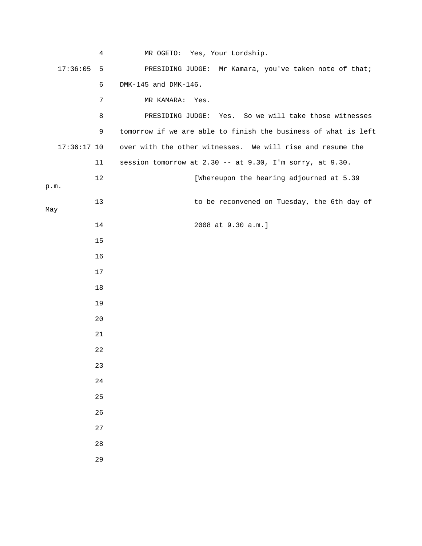|               | 4           | MR OGETO: Yes, Your Lordship.                                  |
|---------------|-------------|----------------------------------------------------------------|
| 17:36:05      | 5           | PRESIDING JUDGE: Mr Kamara, you've taken note of that;         |
|               | 6           | DMK-145 and DMK-146.                                           |
|               | 7           | MR KAMARA:<br>Yes.                                             |
|               | 8           | PRESIDING JUDGE: Yes. So we will take those witnesses          |
|               | 9           | tomorrow if we are able to finish the business of what is left |
| $17:36:17$ 10 |             | over with the other witnesses. We will rise and resume the     |
|               | 11          | session tomorrow at 2.30 -- at 9.30, I'm sorry, at 9.30.       |
| p.m.          | $12\,$      | [Whereupon the hearing adjourned at 5.39                       |
|               | 13          | to be reconvened on Tuesday, the 6th day of                    |
| May           |             |                                                                |
|               | 14          | 2008 at 9.30 a.m.]                                             |
|               | 15          |                                                                |
|               | 16          |                                                                |
|               | 17          |                                                                |
|               | 18          |                                                                |
|               | 19          |                                                                |
|               | 20          |                                                                |
|               | 21          |                                                                |
|               | 22          |                                                                |
|               | 23          |                                                                |
|               | $2\sqrt{4}$ |                                                                |
|               | 25          |                                                                |
|               | 26          |                                                                |
|               | 27          |                                                                |
|               | 28          |                                                                |
|               | 29          |                                                                |